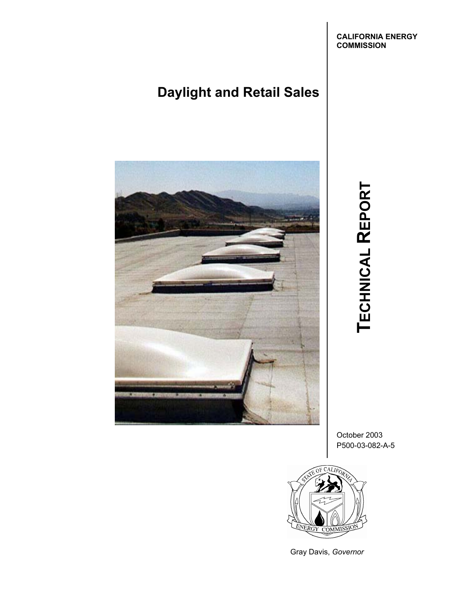**CALIFORNIA ENERGY COMMISSION**

# **Daylight and Retail Sales**



**TECHNICAL**  TECHNICAL REPORT

October 2003 P500-03-082-A-5



Gray Davis, *Governor*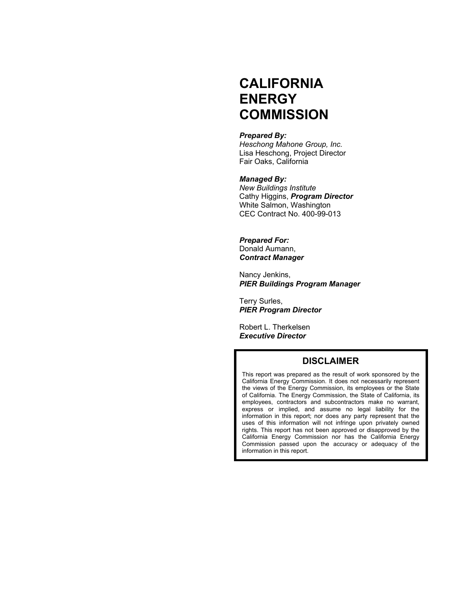## **CALIFORNIA ENERGY COMMISSION**

#### *Prepared By:*

 *Heschong Mahone Group, Inc.*  Lisa Heschong, Project Director Fair Oaks, California

#### *Managed By:*

*New Buildings Institute*  Cathy Higgins, *Program Director* White Salmon, Washington CEC Contract No. 400-99-013

*Prepared For:*  Donald Aumann, *Contract Manager* 

 Nancy Jenkins, *PIER Buildings Program Manager* 

 Terry Surles, *PIER Program Director* 

 Robert L. Therkelsen *Executive Director* 

#### **DISCLAIMER**

This report was prepared as the result of work sponsored by the California Energy Commission. It does not necessarily represent the views of the Energy Commission, its employees or the State of California. The Energy Commission, the State of California, its employees, contractors and subcontractors make no warrant, express or implied, and assume no legal liability for the information in this report; nor does any party represent that the uses of this information will not infringe upon privately owned rights. This report has not been approved or disapproved by the California Energy Commission nor has the California Energy Commission passed upon the accuracy or adequacy of the information in this report.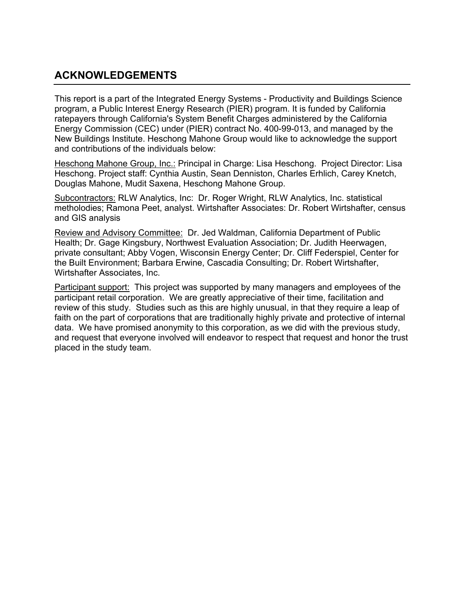### **ACKNOWLEDGEMENTS**

This report is a part of the Integrated Energy Systems - Productivity and Buildings Science program, a Public Interest Energy Research (PIER) program. It is funded by California ratepayers through California's System Benefit Charges administered by the California Energy Commission (CEC) under (PIER) contract No. 400-99-013, and managed by the New Buildings Institute. Heschong Mahone Group would like to acknowledge the support and contributions of the individuals below:

Heschong Mahone Group, Inc.: Principal in Charge: Lisa Heschong. Project Director: Lisa Heschong. Project staff: Cynthia Austin, Sean Denniston, Charles Erhlich, Carey Knetch, Douglas Mahone, Mudit Saxena, Heschong Mahone Group.

Subcontractors: RLW Analytics, Inc: Dr. Roger Wright, RLW Analytics, Inc. statistical metholodies; Ramona Peet, analyst. Wirtshafter Associates: Dr. Robert Wirtshafter, census and GIS analysis

Review and Advisory Committee: Dr. Jed Waldman, California Department of Public Health; Dr. Gage Kingsbury, Northwest Evaluation Association; Dr. Judith Heerwagen, private consultant; Abby Vogen, Wisconsin Energy Center; Dr. Cliff Federspiel, Center for the Built Environment; Barbara Erwine, Cascadia Consulting; Dr. Robert Wirtshafter, Wirtshafter Associates, Inc.

Participant support: This project was supported by many managers and employees of the participant retail corporation. We are greatly appreciative of their time, facilitation and review of this study. Studies such as this are highly unusual, in that they require a leap of faith on the part of corporations that are traditionally highly private and protective of internal data. We have promised anonymity to this corporation, as we did with the previous study, and request that everyone involved will endeavor to respect that request and honor the trust placed in the study team.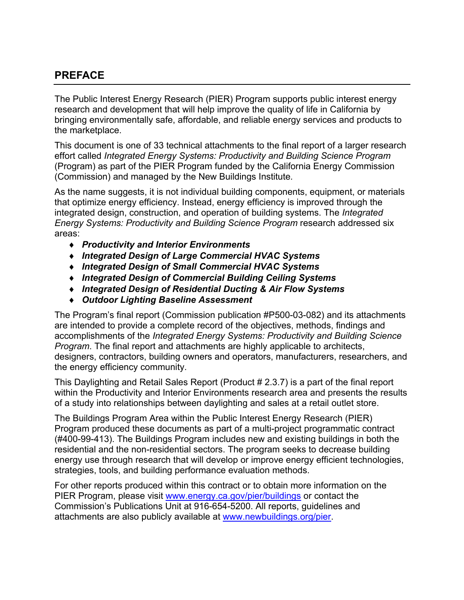### **PREFACE**

The Public Interest Energy Research (PIER) Program supports public interest energy research and development that will help improve the quality of life in California by bringing environmentally safe, affordable, and reliable energy services and products to the marketplace.

This document is one of 33 technical attachments to the final report of a larger research effort called *Integrated Energy Systems: Productivity and Building Science Program*  (Program) as part of the PIER Program funded by the California Energy Commission (Commission) and managed by the New Buildings Institute*.*

As the name suggests, it is not individual building components, equipment, or materials that optimize energy efficiency. Instead, energy efficiency is improved through the integrated design, construction, and operation of building systems. The *Integrated Energy Systems: Productivity and Building Science Program* research addressed six areas:

- ♦ *Productivity and Interior Environments*
- ♦ *Integrated Design of Large Commercial HVAC Systems*
- ♦ *Integrated Design of Small Commercial HVAC Systems*
- ♦ *Integrated Design of Commercial Building Ceiling Systems*
- ♦ *Integrated Design of Residential Ducting & Air Flow Systems*
- ♦ *Outdoor Lighting Baseline Assessment*

The Program's final report (Commission publication #P500-03-082) and its attachments are intended to provide a complete record of the objectives, methods, findings and accomplishments of the *Integrated Energy Systems: Productivity and Building Science Program*. The final report and attachments are highly applicable to architects, designers, contractors, building owners and operators, manufacturers, researchers, and the energy efficiency community.

This Daylighting and Retail Sales Report (Product # 2.3.7) is a part of the final report within the Productivity and Interior Environments research area and presents the results of a study into relationships between daylighting and sales at a retail outlet store.

The Buildings Program Area within the Public Interest Energy Research (PIER) Program produced these documents as part of a multi-project programmatic contract (#400-99-413). The Buildings Program includes new and existing buildings in both the residential and the non-residential sectors. The program seeks to decrease building energy use through research that will develop or improve energy efficient technologies, strategies, tools, and building performance evaluation methods.

For other reports produced within this contract or to obtain more information on the PIER Program, please visit www.energy.ca.gov/pier/buildings or contact the Commission's Publications Unit at 916-654-5200. All reports, guidelines and attachments are also publicly available at www.newbuildings.org/pier.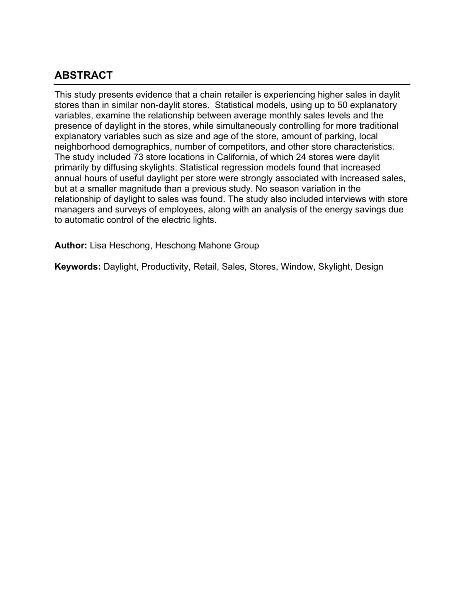### **ABSTRACT**

This study presents evidence that a chain retailer is experiencing higher sales in daylit stores than in similar non-daylit stores. Statistical models, using up to 50 explanatory variables, examine the relationship between average monthly sales levels and the presence of daylight in the stores, while simultaneously controlling for more traditional explanatory variables such as size and age of the store, amount of parking, local neighborhood demographics, number of competitors, and other store characteristics. The study included 73 store locations in California, of which 24 stores were daylit primarily by diffusing skylights. Statistical regression models found that increased annual hours of useful daylight per store were strongly associated with increased sales, but at a smaller magnitude than a previous study. No season variation in the relationship of daylight to sales was found. The study also included interviews with store managers and surveys of employees, along with an analysis of the energy savings due to automatic control of the electric lights.

**Author:** Lisa Heschong, Heschong Mahone Group

**Keywords:** Daylight, Productivity, Retail, Sales, Stores, Window, Skylight, Design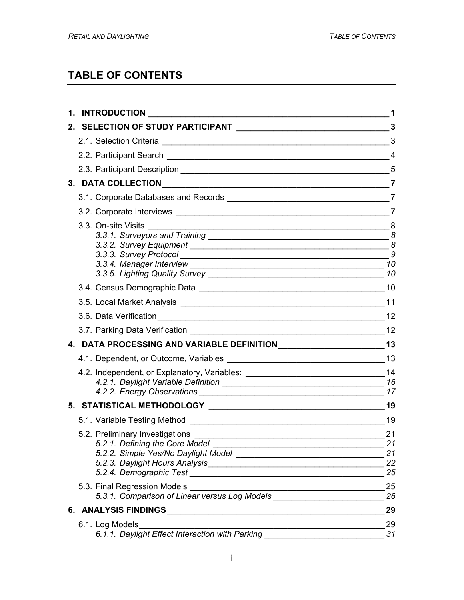## **TABLE OF CONTENTS**

| 3.3.4. Manager Interview 10 and 10 and 10 and 10 and 10 and 10 and 10 and 10 and 10 and 10 and 10 and 10 and 1                           |                      |
|------------------------------------------------------------------------------------------------------------------------------------------|----------------------|
|                                                                                                                                          | 10                   |
|                                                                                                                                          |                      |
|                                                                                                                                          |                      |
|                                                                                                                                          |                      |
|                                                                                                                                          |                      |
|                                                                                                                                          |                      |
| 4.2. Independent, or Explanatory, Variables: ___________________________________14                                                       | $-16$                |
|                                                                                                                                          |                      |
|                                                                                                                                          |                      |
|                                                                                                                                          | 21<br>21<br>22<br>25 |
|                                                                                                                                          |                      |
| 5.3.1. Comparison of Linear versus Log Models __________________________________                                                         | 25<br>26             |
|                                                                                                                                          | 29                   |
| 6.1. Log Models<br><u> 1990 - Johann John Stoff, deutscher Stoffen und der Stoffen und der Stoffen und der Stoffen und der Stoffen u</u> | 29                   |
| 6.1.1. Daylight Effect Interaction with Parking                                                                                          | 31                   |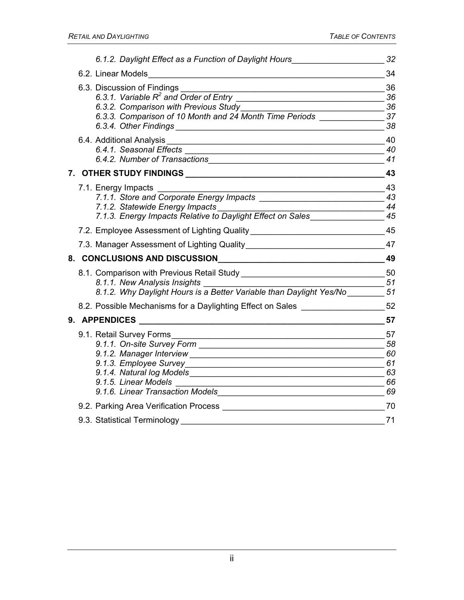|  | 6.1.2. Daylight Effect as a Function of Daylight Hours                                                                                     | 32 |
|--|--------------------------------------------------------------------------------------------------------------------------------------------|----|
|  | 6.2. Linear Models<br><u> 1989 - Johann Barn, mars eta bainar eta bainar eta baina eta baina eta baina eta baina eta baina eta baina e</u> | 34 |
|  |                                                                                                                                            | 36 |
|  |                                                                                                                                            |    |
|  | 6.3.2. Comparison with Previous Study<br>$\frac{1}{100}$ 36                                                                                |    |
|  | 6.3.3. Comparison of 10 Month and 24 Month Time Periods _________________________                                                          |    |
|  |                                                                                                                                            | 38 |
|  |                                                                                                                                            |    |
|  |                                                                                                                                            |    |
|  |                                                                                                                                            |    |
|  |                                                                                                                                            |    |
|  |                                                                                                                                            |    |
|  |                                                                                                                                            |    |
|  | $\frac{1}{2}$ 44<br>7.1.2. Statewide Energy Impacts_                                                                                       |    |
|  | 7.1.3. Energy Impacts Relative to Daylight Effect on Sales_______________________ 45                                                       |    |
|  | 7.2. Employee Assessment of Lighting Quality ___________________________________45                                                         |    |
|  |                                                                                                                                            |    |
|  |                                                                                                                                            |    |
|  |                                                                                                                                            |    |
|  | $\frac{1}{2}$ 51                                                                                                                           |    |
|  |                                                                                                                                            |    |
|  | 8.2. Possible Mechanisms for a Daylighting Effect on Sales ______________________ 52                                                       |    |
|  |                                                                                                                                            | 57 |
|  |                                                                                                                                            |    |
|  |                                                                                                                                            |    |
|  | 9.1.2. Manager Interview 60                                                                                                                |    |
|  |                                                                                                                                            |    |
|  | 9.1.4. Natural log Models 63                                                                                                               |    |
|  |                                                                                                                                            |    |
|  |                                                                                                                                            |    |
|  | 9.2. Parking Area Verification Process 2008 2009 12:00 12:00 12:00 12:00 12:00 12:00 12:00 12:00 12:00 12:00 1                             |    |
|  | 9.3. Statistical Terminology                                                                                                               | 71 |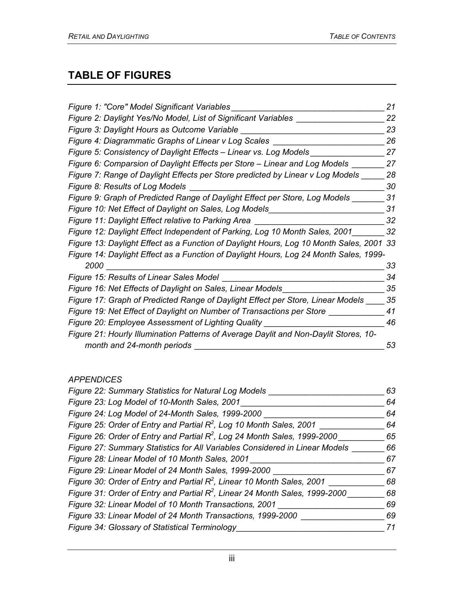## **TABLE OF FIGURES**

| Figure 1: "Core" Model Significant Variables                                            | 21 |
|-----------------------------------------------------------------------------------------|----|
| Figure 2: Daylight Yes/No Model, List of Significant Variables                          | 22 |
| Figure 3: Daylight Hours as Outcome Variable                                            | 23 |
| Figure 4: Diagrammatic Graphs of Linear v Log Scales                                    | 26 |
| Figure 5: Consistency of Daylight Effects - Linear vs. Log Models                       | 27 |
| Figure 6: Comparsion of Daylight Effects per Store – Linear and Log Models              | 27 |
| Figure 7: Range of Daylight Effects per Store predicted by Linear v Log Models          | 28 |
| Figure 8: Results of Log Models                                                         | 30 |
| Figure 9: Graph of Predicted Range of Daylight Effect per Store, Log Models _           | 31 |
| Figure 10: Net Effect of Daylight on Sales, Log Models                                  | 31 |
| Figure 11: Daylight Effect relative to Parking Area                                     | 32 |
| Figure 12: Daylight Effect Independent of Parking, Log 10 Month Sales, 2001             | 32 |
| Figure 13: Daylight Effect as a Function of Daylight Hours, Log 10 Month Sales, 2001 33 |    |
| Figure 14: Daylight Effect as a Function of Daylight Hours, Log 24 Month Sales, 1999-   |    |
| 2000                                                                                    | 33 |
| Figure 15: Results of Linear Sales Model ___                                            | 34 |
| Figure 16: Net Effects of Daylight on Sales, Linear Models                              | 35 |
| Figure 17: Graph of Predicted Range of Daylight Effect per Store, Linear Models         | 35 |
| Figure 19: Net Effect of Daylight on Number of Transactions per Store ____              | 41 |
| Figure 20: Employee Assessment of Lighting Quality                                      | 46 |
| Figure 21: Hourly Illumination Patterns of Average Daylit and Non-Daylit Stores, 10-    |    |
| month and 24-month periods                                                              | 53 |

*APPENDICES* 

| Figure 22: Summary Statistics for Natural Log Models                           | 63 |
|--------------------------------------------------------------------------------|----|
| Figure 23: Log Model of 10-Month Sales, 2001                                   | 64 |
| Figure 24: Log Model of 24-Month Sales, 1999-2000                              | 64 |
| Figure 25: Order of Entry and Partial $R^2$ , Log 10 Month Sales, 2001         | 64 |
| Figure 26: Order of Entry and Partial $R^2$ , Log 24 Month Sales, 1999-2000    | 65 |
| Figure 27: Summary Statistics for All Variables Considered in Linear Models    | 66 |
| Figure 28: Linear Model of 10 Month Sales, 2001                                | 67 |
| Figure 29: Linear Model of 24 Month Sales, 1999-2000                           | 67 |
| Figure 30: Order of Entry and Partial $R^2$ , Linear 10 Month Sales, 2001      | 68 |
| Figure 31: Order of Entry and Partial $R^2$ , Linear 24 Month Sales, 1999-2000 | 68 |
| Figure 32: Linear Model of 10 Month Transactions, 2001                         | 69 |
| Figure 33: Linear Model of 24 Month Transactions, 1999-2000                    | 69 |
| Figure 34: Glossary of Statistical Terminology                                 | 71 |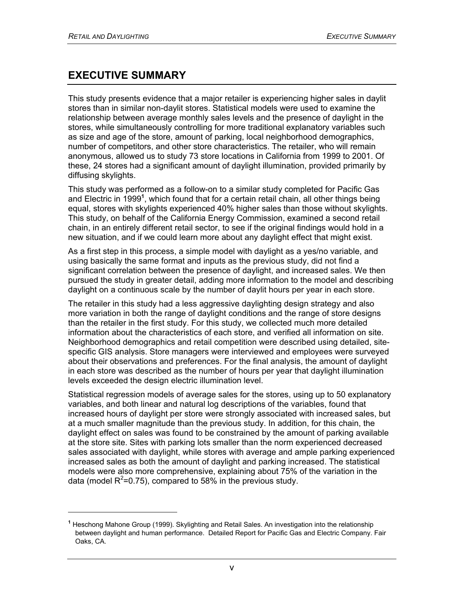### **EXECUTIVE SUMMARY**

This study presents evidence that a major retailer is experiencing higher sales in daylit stores than in similar non-daylit stores. Statistical models were used to examine the relationship between average monthly sales levels and the presence of daylight in the stores, while simultaneously controlling for more traditional explanatory variables such as size and age of the store, amount of parking, local neighborhood demographics, number of competitors, and other store characteristics. The retailer, who will remain anonymous, allowed us to study 73 store locations in California from 1999 to 2001. Of these, 24 stores had a significant amount of daylight illumination, provided primarily by diffusing skylights.

This study was performed as a follow-on to a similar study completed for Pacific Gas and Electric in 1999**<sup>1</sup>** , which found that for a certain retail chain, all other things being equal, stores with skylights experienced 40% higher sales than those without skylights. This study, on behalf of the California Energy Commission, examined a second retail chain, in an entirely different retail sector, to see if the original findings would hold in a new situation, and if we could learn more about any daylight effect that might exist.

As a first step in this process, a simple model with daylight as a yes/no variable, and using basically the same format and inputs as the previous study, did not find a significant correlation between the presence of daylight, and increased sales. We then pursued the study in greater detail, adding more information to the model and describing daylight on a continuous scale by the number of daylit hours per year in each store.

The retailer in this study had a less aggressive daylighting design strategy and also more variation in both the range of daylight conditions and the range of store designs than the retailer in the first study. For this study, we collected much more detailed information about the characteristics of each store, and verified all information on site. Neighborhood demographics and retail competition were described using detailed, sitespecific GIS analysis. Store managers were interviewed and employees were surveyed about their observations and preferences. For the final analysis, the amount of daylight in each store was described as the number of hours per year that daylight illumination levels exceeded the design electric illumination level.

Statistical regression models of average sales for the stores, using up to 50 explanatory variables, and both linear and natural log descriptions of the variables, found that increased hours of daylight per store were strongly associated with increased sales, but at a much smaller magnitude than the previous study. In addition, for this chain, the daylight effect on sales was found to be constrained by the amount of parking available at the store site. Sites with parking lots smaller than the norm experienced decreased sales associated with daylight, while stores with average and ample parking experienced increased sales as both the amount of daylight and parking increased. The statistical models were also more comprehensive, explaining about 75% of the variation in the data (model  $R^2$ =0.75), compared to 58% in the previous study.

**<sup>1</sup>** Heschong Mahone Group (1999). Skylighting and Retail Sales. An investigation into the relationship between daylight and human performance. Detailed Report for Pacific Gas and Electric Company. Fair Oaks, CA.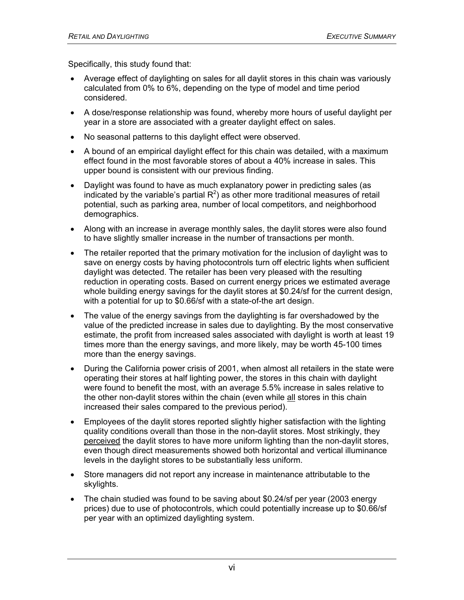Specifically, this study found that:

- Average effect of daylighting on sales for all daylit stores in this chain was variously calculated from 0% to 6%, depending on the type of model and time period considered.
- A dose/response relationship was found, whereby more hours of useful daylight per year in a store are associated with a greater daylight effect on sales.
- No seasonal patterns to this daylight effect were observed.
- A bound of an empirical daylight effect for this chain was detailed, with a maximum effect found in the most favorable stores of about a 40% increase in sales. This upper bound is consistent with our previous finding.
- Daylight was found to have as much explanatory power in predicting sales (as indicated by the variable's partial  $R^2$ ) as other more traditional measures of retail potential, such as parking area, number of local competitors, and neighborhood demographics.
- Along with an increase in average monthly sales, the daylit stores were also found to have slightly smaller increase in the number of transactions per month.
- The retailer reported that the primary motivation for the inclusion of daylight was to save on energy costs by having photocontrols turn off electric lights when sufficient daylight was detected. The retailer has been very pleased with the resulting reduction in operating costs. Based on current energy prices we estimated average whole building energy savings for the daylit stores at \$0.24/sf for the current design, with a potential for up to \$0.66/sf with a state-of-the art design.
- The value of the energy savings from the daylighting is far overshadowed by the value of the predicted increase in sales due to daylighting. By the most conservative estimate, the profit from increased sales associated with daylight is worth at least 19 times more than the energy savings, and more likely, may be worth 45-100 times more than the energy savings.
- During the California power crisis of 2001, when almost all retailers in the state were operating their stores at half lighting power, the stores in this chain with daylight were found to benefit the most, with an average 5.5% increase in sales relative to the other non-daylit stores within the chain (even while all stores in this chain increased their sales compared to the previous period).
- Employees of the daylit stores reported slightly higher satisfaction with the lighting quality conditions overall than those in the non-daylit stores. Most strikingly, they perceived the daylit stores to have more uniform lighting than the non-daylit stores, even though direct measurements showed both horizontal and vertical illuminance levels in the daylight stores to be substantially less uniform.
- Store managers did not report any increase in maintenance attributable to the skylights.
- The chain studied was found to be saving about \$0.24/sf per year (2003 energy prices) due to use of photocontrols, which could potentially increase up to \$0.66/sf per year with an optimized daylighting system.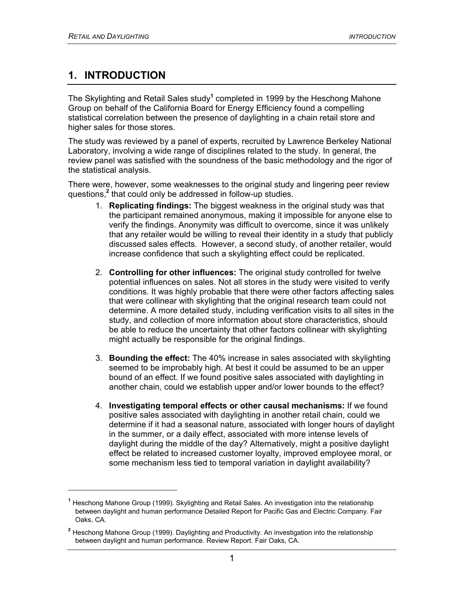-

### **1. INTRODUCTION**

The Skylighting and Retail Sales study**<sup>1</sup>** completed in 1999 by the Heschong Mahone Group on behalf of the California Board for Energy Efficiency found a compelling statistical correlation between the presence of daylighting in a chain retail store and higher sales for those stores.

The study was reviewed by a panel of experts, recruited by Lawrence Berkeley National Laboratory, involving a wide range of disciplines related to the study. In general, the review panel was satisfied with the soundness of the basic methodology and the rigor of the statistical analysis.

There were, however, some weaknesses to the original study and lingering peer review questions,<sup>2</sup> that could only be addressed in follow-up studies.

- 1. **Replicating findings:** The biggest weakness in the original study was that the participant remained anonymous, making it impossible for anyone else to verify the findings. Anonymity was difficult to overcome, since it was unlikely that any retailer would be willing to reveal their identity in a study that publicly discussed sales effects. However, a second study, of another retailer, would increase confidence that such a skylighting effect could be replicated.
- 2. **Controlling for other influences:** The original study controlled for twelve potential influences on sales. Not all stores in the study were visited to verify conditions. It was highly probable that there were other factors affecting sales that were collinear with skylighting that the original research team could not determine. A more detailed study, including verification visits to all sites in the study, and collection of more information about store characteristics, should be able to reduce the uncertainty that other factors collinear with skylighting might actually be responsible for the original findings.
- 3. **Bounding the effect:** The 40% increase in sales associated with skylighting seemed to be improbably high. At best it could be assumed to be an upper bound of an effect. If we found positive sales associated with daylighting in another chain, could we establish upper and/or lower bounds to the effect?
- 4. **Investigating temporal effects or other causal mechanisms:** If we found positive sales associated with daylighting in another retail chain, could we determine if it had a seasonal nature, associated with longer hours of daylight in the summer, or a daily effect, associated with more intense levels of daylight during the middle of the day? Alternatively, might a positive daylight effect be related to increased customer loyalty, improved employee moral, or some mechanism less tied to temporal variation in daylight availability?

**<sup>1</sup>** Heschong Mahone Group (1999). Skylighting and Retail Sales. An investigation into the relationship between daylight and human performance Detailed Report for Pacific Gas and Electric Company. Fair Oaks, CA.

**<sup>2</sup>** Heschong Mahone Group (1999). Daylighting and Productivity. An investigation into the relationship between daylight and human performance. Review Report. Fair Oaks, CA.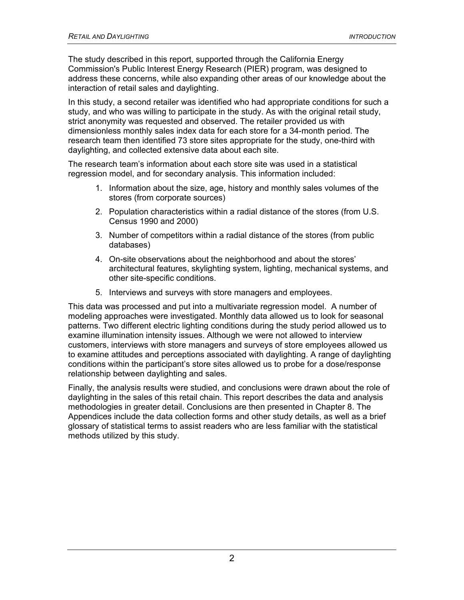The study described in this report, supported through the California Energy Commission's Public Interest Energy Research (PIER) program, was designed to address these concerns, while also expanding other areas of our knowledge about the interaction of retail sales and daylighting.

In this study, a second retailer was identified who had appropriate conditions for such a study, and who was willing to participate in the study. As with the original retail study, strict anonymity was requested and observed. The retailer provided us with dimensionless monthly sales index data for each store for a 34-month period. The research team then identified 73 store sites appropriate for the study, one-third with daylighting, and collected extensive data about each site.

The research team's information about each store site was used in a statistical regression model, and for secondary analysis. This information included:

- 1. Information about the size, age, history and monthly sales volumes of the stores (from corporate sources)
- 2. Population characteristics within a radial distance of the stores (from U.S. Census 1990 and 2000)
- 3. Number of competitors within a radial distance of the stores (from public databases)
- 4. On-site observations about the neighborhood and about the stores' architectural features, skylighting system, lighting, mechanical systems, and other site-specific conditions.
- 5. Interviews and surveys with store managers and employees.

This data was processed and put into a multivariate regression model. A number of modeling approaches were investigated. Monthly data allowed us to look for seasonal patterns. Two different electric lighting conditions during the study period allowed us to examine illumination intensity issues. Although we were not allowed to interview customers, interviews with store managers and surveys of store employees allowed us to examine attitudes and perceptions associated with daylighting. A range of daylighting conditions within the participant's store sites allowed us to probe for a dose/response relationship between daylighting and sales.

Finally, the analysis results were studied, and conclusions were drawn about the role of daylighting in the sales of this retail chain. This report describes the data and analysis methodologies in greater detail. Conclusions are then presented in Chapter 8. The Appendices include the data collection forms and other study details, as well as a brief glossary of statistical terms to assist readers who are less familiar with the statistical methods utilized by this study.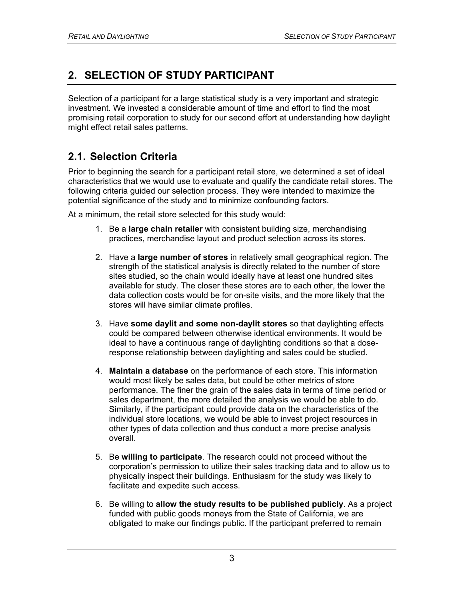### **2. SELECTION OF STUDY PARTICIPANT**

Selection of a participant for a large statistical study is a very important and strategic investment. We invested a considerable amount of time and effort to find the most promising retail corporation to study for our second effort at understanding how daylight might effect retail sales patterns.

### **2.1. Selection Criteria**

Prior to beginning the search for a participant retail store, we determined a set of ideal characteristics that we would use to evaluate and qualify the candidate retail stores. The following criteria guided our selection process. They were intended to maximize the potential significance of the study and to minimize confounding factors.

At a minimum, the retail store selected for this study would:

- 1. Be a **large chain retailer** with consistent building size, merchandising practices, merchandise layout and product selection across its stores.
- 2. Have a **large number of stores** in relatively small geographical region. The strength of the statistical analysis is directly related to the number of store sites studied, so the chain would ideally have at least one hundred sites available for study. The closer these stores are to each other, the lower the data collection costs would be for on-site visits, and the more likely that the stores will have similar climate profiles.
- 3. Have **some daylit and some non-daylit stores** so that daylighting effects could be compared between otherwise identical environments. It would be ideal to have a continuous range of daylighting conditions so that a doseresponse relationship between daylighting and sales could be studied.
- 4. **Maintain a database** on the performance of each store. This information would most likely be sales data, but could be other metrics of store performance. The finer the grain of the sales data in terms of time period or sales department, the more detailed the analysis we would be able to do. Similarly, if the participant could provide data on the characteristics of the individual store locations, we would be able to invest project resources in other types of data collection and thus conduct a more precise analysis overall.
- 5. Be **willing to participate**. The research could not proceed without the corporation's permission to utilize their sales tracking data and to allow us to physically inspect their buildings. Enthusiasm for the study was likely to facilitate and expedite such access.
- 6. Be willing to **allow the study results to be published publicly**. As a project funded with public goods moneys from the State of California, we are obligated to make our findings public. If the participant preferred to remain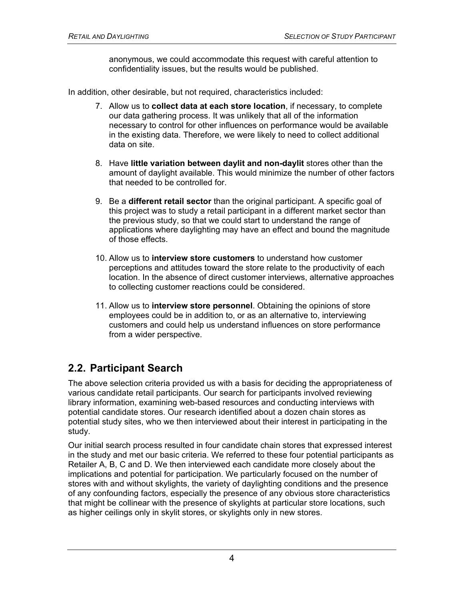anonymous, we could accommodate this request with careful attention to confidentiality issues, but the results would be published.

In addition, other desirable, but not required, characteristics included:

- 7. Allow us to **collect data at each store location**, if necessary, to complete our data gathering process. It was unlikely that all of the information necessary to control for other influences on performance would be available in the existing data. Therefore, we were likely to need to collect additional data on site.
- 8. Have **little variation between daylit and non-daylit** stores other than the amount of daylight available. This would minimize the number of other factors that needed to be controlled for.
- 9. Be a **different retail sector** than the original participant. A specific goal of this project was to study a retail participant in a different market sector than the previous study, so that we could start to understand the range of applications where daylighting may have an effect and bound the magnitude of those effects.
- 10. Allow us to **interview store customers** to understand how customer perceptions and attitudes toward the store relate to the productivity of each location. In the absence of direct customer interviews, alternative approaches to collecting customer reactions could be considered.
- 11. Allow us to **interview store personnel**. Obtaining the opinions of store employees could be in addition to, or as an alternative to, interviewing customers and could help us understand influences on store performance from a wider perspective.

### **2.2. Participant Search**

The above selection criteria provided us with a basis for deciding the appropriateness of various candidate retail participants. Our search for participants involved reviewing library information, examining web-based resources and conducting interviews with potential candidate stores. Our research identified about a dozen chain stores as potential study sites, who we then interviewed about their interest in participating in the study.

Our initial search process resulted in four candidate chain stores that expressed interest in the study and met our basic criteria. We referred to these four potential participants as Retailer A, B, C and D. We then interviewed each candidate more closely about the implications and potential for participation. We particularly focused on the number of stores with and without skylights, the variety of daylighting conditions and the presence of any confounding factors, especially the presence of any obvious store characteristics that might be collinear with the presence of skylights at particular store locations, such as higher ceilings only in skylit stores, or skylights only in new stores.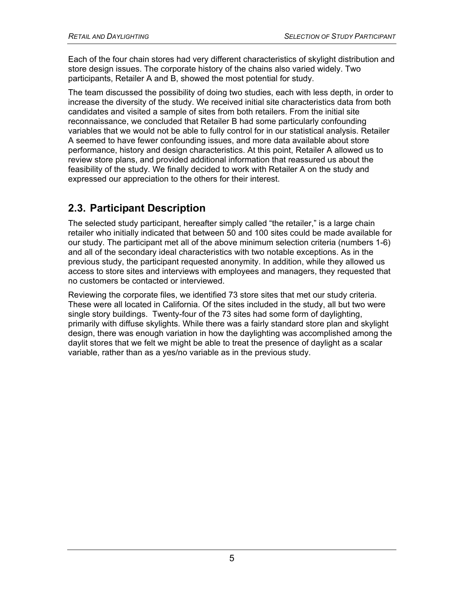Each of the four chain stores had very different characteristics of skylight distribution and store design issues. The corporate history of the chains also varied widely. Two participants, Retailer A and B, showed the most potential for study.

The team discussed the possibility of doing two studies, each with less depth, in order to increase the diversity of the study. We received initial site characteristics data from both candidates and visited a sample of sites from both retailers. From the initial site reconnaissance, we concluded that Retailer B had some particularly confounding variables that we would not be able to fully control for in our statistical analysis. Retailer A seemed to have fewer confounding issues, and more data available about store performance, history and design characteristics. At this point, Retailer A allowed us to review store plans, and provided additional information that reassured us about the feasibility of the study. We finally decided to work with Retailer A on the study and expressed our appreciation to the others for their interest.

### **2.3. Participant Description**

The selected study participant, hereafter simply called "the retailer," is a large chain retailer who initially indicated that between 50 and 100 sites could be made available for our study. The participant met all of the above minimum selection criteria (numbers 1-6) and all of the secondary ideal characteristics with two notable exceptions. As in the previous study, the participant requested anonymity. In addition, while they allowed us access to store sites and interviews with employees and managers, they requested that no customers be contacted or interviewed.

Reviewing the corporate files, we identified 73 store sites that met our study criteria. These were all located in California. Of the sites included in the study, all but two were single story buildings. Twenty-four of the 73 sites had some form of daylighting, primarily with diffuse skylights. While there was a fairly standard store plan and skylight design, there was enough variation in how the daylighting was accomplished among the daylit stores that we felt we might be able to treat the presence of daylight as a scalar variable, rather than as a yes/no variable as in the previous study.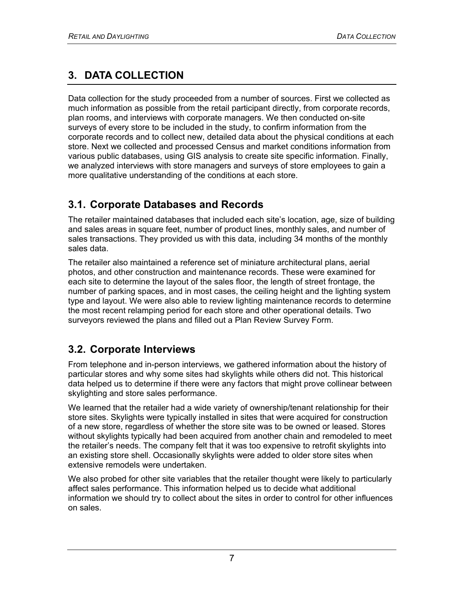## **3. DATA COLLECTION**

Data collection for the study proceeded from a number of sources. First we collected as much information as possible from the retail participant directly, from corporate records, plan rooms, and interviews with corporate managers. We then conducted on-site surveys of every store to be included in the study, to confirm information from the corporate records and to collect new, detailed data about the physical conditions at each store. Next we collected and processed Census and market conditions information from various public databases, using GIS analysis to create site specific information. Finally, we analyzed interviews with store managers and surveys of store employees to gain a more qualitative understanding of the conditions at each store.

## **3.1. Corporate Databases and Records**

The retailer maintained databases that included each site's location, age, size of building and sales areas in square feet, number of product lines, monthly sales, and number of sales transactions. They provided us with this data, including 34 months of the monthly sales data.

The retailer also maintained a reference set of miniature architectural plans, aerial photos, and other construction and maintenance records. These were examined for each site to determine the layout of the sales floor, the length of street frontage, the number of parking spaces, and in most cases, the ceiling height and the lighting system type and layout. We were also able to review lighting maintenance records to determine the most recent relamping period for each store and other operational details. Two surveyors reviewed the plans and filled out a Plan Review Survey Form.

## **3.2. Corporate Interviews**

From telephone and in-person interviews, we gathered information about the history of particular stores and why some sites had skylights while others did not. This historical data helped us to determine if there were any factors that might prove collinear between skylighting and store sales performance.

We learned that the retailer had a wide variety of ownership/tenant relationship for their store sites. Skylights were typically installed in sites that were acquired for construction of a new store, regardless of whether the store site was to be owned or leased. Stores without skylights typically had been acquired from another chain and remodeled to meet the retailer's needs. The company felt that it was too expensive to retrofit skylights into an existing store shell. Occasionally skylights were added to older store sites when extensive remodels were undertaken.

We also probed for other site variables that the retailer thought were likely to particularly affect sales performance. This information helped us to decide what additional information we should try to collect about the sites in order to control for other influences on sales.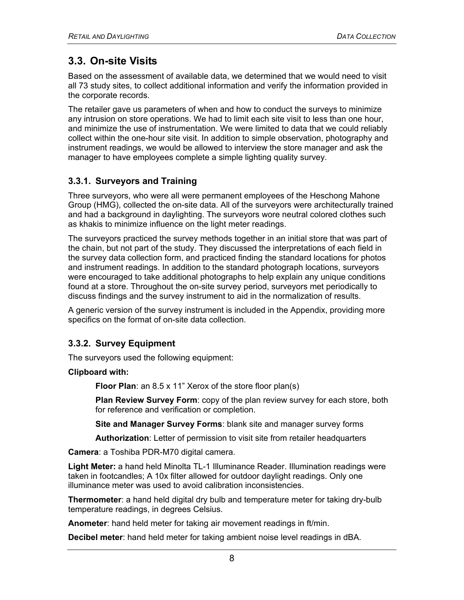### **3.3. On-site Visits**

Based on the assessment of available data, we determined that we would need to visit all 73 study sites, to collect additional information and verify the information provided in the corporate records.

The retailer gave us parameters of when and how to conduct the surveys to minimize any intrusion on store operations. We had to limit each site visit to less than one hour, and minimize the use of instrumentation. We were limited to data that we could reliably collect within the one-hour site visit. In addition to simple observation, photography and instrument readings, we would be allowed to interview the store manager and ask the manager to have employees complete a simple lighting quality survey.

### **3.3.1. Surveyors and Training**

Three surveyors, who were all were permanent employees of the Heschong Mahone Group (HMG), collected the on-site data. All of the surveyors were architecturally trained and had a background in daylighting. The surveyors wore neutral colored clothes such as khakis to minimize influence on the light meter readings.

The surveyors practiced the survey methods together in an initial store that was part of the chain, but not part of the study. They discussed the interpretations of each field in the survey data collection form, and practiced finding the standard locations for photos and instrument readings. In addition to the standard photograph locations, surveyors were encouraged to take additional photographs to help explain any unique conditions found at a store. Throughout the on-site survey period, surveyors met periodically to discuss findings and the survey instrument to aid in the normalization of results.

A generic version of the survey instrument is included in the Appendix, providing more specifics on the format of on-site data collection.

### **3.3.2. Survey Equipment**

The surveyors used the following equipment:

#### **Clipboard with:**

**Floor Plan**: an 8.5 x 11" Xerox of the store floor plan(s)

**Plan Review Survey Form**: copy of the plan review survey for each store, both for reference and verification or completion.

**Site and Manager Survey Forms**: blank site and manager survey forms

**Authorization**: Letter of permission to visit site from retailer headquarters

**Camera**: a Toshiba PDR-M70 digital camera.

**Light Meter:** a hand held Minolta TL-1 Illuminance Reader. Illumination readings were taken in footcandles; A 10x filter allowed for outdoor daylight readings. Only one illuminance meter was used to avoid calibration inconsistencies.

**Thermometer**: a hand held digital dry bulb and temperature meter for taking dry-bulb temperature readings, in degrees Celsius.

**Anometer**: hand held meter for taking air movement readings in ft/min.

**Decibel meter**: hand held meter for taking ambient noise level readings in dBA.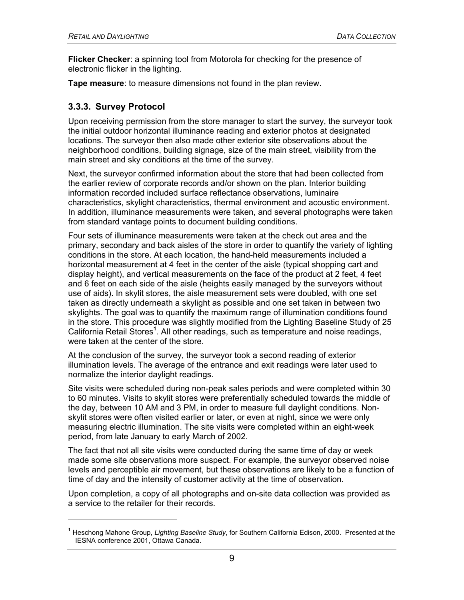**Flicker Checker**: a spinning tool from Motorola for checking for the presence of electronic flicker in the lighting.

**Tape measure**: to measure dimensions not found in the plan review.

#### **3.3.3. Survey Protocol**

-

Upon receiving permission from the store manager to start the survey, the surveyor took the initial outdoor horizontal illuminance reading and exterior photos at designated locations. The surveyor then also made other exterior site observations about the neighborhood conditions, building signage, size of the main street, visibility from the main street and sky conditions at the time of the survey.

Next, the surveyor confirmed information about the store that had been collected from the earlier review of corporate records and/or shown on the plan. Interior building information recorded included surface reflectance observations, luminaire characteristics, skylight characteristics, thermal environment and acoustic environment. In addition, illuminance measurements were taken, and several photographs were taken from standard vantage points to document building conditions.

Four sets of illuminance measurements were taken at the check out area and the primary, secondary and back aisles of the store in order to quantify the variety of lighting conditions in the store. At each location, the hand-held measurements included a horizontal measurement at 4 feet in the center of the aisle (typical shopping cart and display height), and vertical measurements on the face of the product at 2 feet, 4 feet and 6 feet on each side of the aisle (heights easily managed by the surveyors without use of aids). In skylit stores, the aisle measurement sets were doubled, with one set taken as directly underneath a skylight as possible and one set taken in between two skylights. The goal was to quantify the maximum range of illumination conditions found in the store. This procedure was slightly modified from the Lighting Baseline Study of 25 California Retail Stores**<sup>1</sup>** . All other readings, such as temperature and noise readings, were taken at the center of the store.

At the conclusion of the survey, the surveyor took a second reading of exterior illumination levels. The average of the entrance and exit readings were later used to normalize the interior daylight readings.

Site visits were scheduled during non-peak sales periods and were completed within 30 to 60 minutes. Visits to skylit stores were preferentially scheduled towards the middle of the day, between 10 AM and 3 PM, in order to measure full daylight conditions. Nonskylit stores were often visited earlier or later, or even at night, since we were only measuring electric illumination. The site visits were completed within an eight-week period, from late January to early March of 2002.

The fact that not all site visits were conducted during the same time of day or week made some site observations more suspect. For example, the surveyor observed noise levels and perceptible air movement, but these observations are likely to be a function of time of day and the intensity of customer activity at the time of observation.

Upon completion, a copy of all photographs and on-site data collection was provided as a service to the retailer for their records.

**<sup>1</sup>** Heschong Mahone Group, *Lighting Baseline Study*, for Southern California Edison, 2000. Presented at the IESNA conference 2001, Ottawa Canada.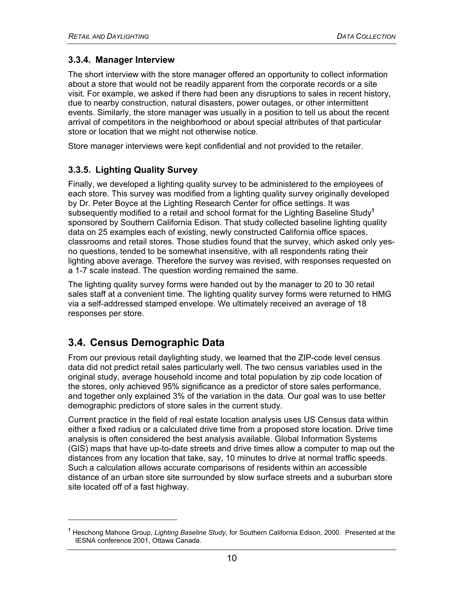#### **3.3.4. Manager Interview**

The short interview with the store manager offered an opportunity to collect information about a store that would not be readily apparent from the corporate records or a site visit. For example, we asked if there had been any disruptions to sales in recent history, due to nearby construction, natural disasters, power outages, or other intermittent events. Similarly, the store manager was usually in a position to tell us about the recent arrival of competitors in the neighborhood or about special attributes of that particular store or location that we might not otherwise notice.

Store manager interviews were kept confidential and not provided to the retailer.

### **3.3.5. Lighting Quality Survey**

Finally, we developed a lighting quality survey to be administered to the employees of each store. This survey was modified from a lighting quality survey originally developed by Dr. Peter Boyce at the Lighting Research Center for office settings. It was subsequently modified to a retail and school format for the Lighting Baseline Study**<sup>1</sup>** sponsored by Southern California Edison. That study collected baseline lighting quality data on 25 examples each of existing, newly constructed California office spaces, classrooms and retail stores. Those studies found that the survey, which asked only yesno questions, tended to be somewhat insensitive, with all respondents rating their lighting above average. Therefore the survey was revised, with responses requested on a 1-7 scale instead. The question wording remained the same.

The lighting quality survey forms were handed out by the manager to 20 to 30 retail sales staff at a convenient time. The lighting quality survey forms were returned to HMG via a self-addressed stamped envelope. We ultimately received an average of 18 responses per store.

### **3.4. Census Demographic Data**

 $\overline{a}$ 

From our previous retail daylighting study, we learned that the ZIP-code level census data did not predict retail sales particularly well. The two census variables used in the original study, average household income and total population by zip code location of the stores, only achieved 95% significance as a predictor of store sales performance, and together only explained 3% of the variation in the data. Our goal was to use better demographic predictors of store sales in the current study.

Current practice in the field of real estate location analysis uses US Census data within either a fixed radius or a calculated drive time from a proposed store location. Drive time analysis is often considered the best analysis available. Global Information Systems (GIS) maps that have up-to-date streets and drive times allow a computer to map out the distances from any location that take, say, 10 minutes to drive at normal traffic speeds. Such a calculation allows accurate comparisons of residents within an accessible distance of an urban store site surrounded by slow surface streets and a suburban store site located off of a fast highway.

**<sup>1</sup>** Heschong Mahone Group, *Lighting Baseline Study*, for Southern California Edison, 2000. Presented at the IESNA conference 2001, Ottawa Canada.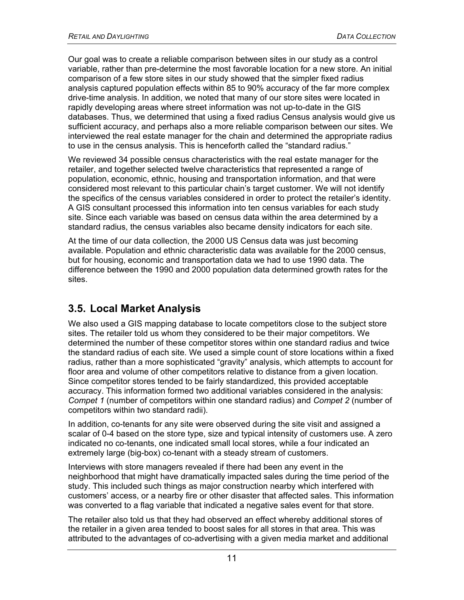Our goal was to create a reliable comparison between sites in our study as a control variable, rather than pre-determine the most favorable location for a new store. An initial comparison of a few store sites in our study showed that the simpler fixed radius analysis captured population effects within 85 to 90% accuracy of the far more complex drive-time analysis. In addition, we noted that many of our store sites were located in rapidly developing areas where street information was not up-to-date in the GIS databases. Thus, we determined that using a fixed radius Census analysis would give us sufficient accuracy, and perhaps also a more reliable comparison between our sites. We interviewed the real estate manager for the chain and determined the appropriate radius to use in the census analysis. This is henceforth called the "standard radius."

We reviewed 34 possible census characteristics with the real estate manager for the retailer, and together selected twelve characteristics that represented a range of population, economic, ethnic, housing and transportation information, and that were considered most relevant to this particular chain's target customer. We will not identify the specifics of the census variables considered in order to protect the retailer's identity. A GIS consultant processed this information into ten census variables for each study site. Since each variable was based on census data within the area determined by a standard radius, the census variables also became density indicators for each site.

At the time of our data collection, the 2000 US Census data was just becoming available. Population and ethnic characteristic data was available for the 2000 census, but for housing, economic and transportation data we had to use 1990 data. The difference between the 1990 and 2000 population data determined growth rates for the sites.

### **3.5. Local Market Analysis**

We also used a GIS mapping database to locate competitors close to the subject store sites. The retailer told us whom they considered to be their major competitors. We determined the number of these competitor stores within one standard radius and twice the standard radius of each site. We used a simple count of store locations within a fixed radius, rather than a more sophisticated "gravity" analysis, which attempts to account for floor area and volume of other competitors relative to distance from a given location. Since competitor stores tended to be fairly standardized, this provided acceptable accuracy. This information formed two additional variables considered in the analysis: *Compet 1* (number of competitors within one standard radius) and *Compet 2* (number of competitors within two standard radii).

In addition, co-tenants for any site were observed during the site visit and assigned a scalar of 0-4 based on the store type, size and typical intensity of customers use. A zero indicated no co-tenants, one indicated small local stores, while a four indicated an extremely large (big-box) co-tenant with a steady stream of customers.

Interviews with store managers revealed if there had been any event in the neighborhood that might have dramatically impacted sales during the time period of the study. This included such things as major construction nearby which interfered with customers' access, or a nearby fire or other disaster that affected sales. This information was converted to a flag variable that indicated a negative sales event for that store.

The retailer also told us that they had observed an effect whereby additional stores of the retailer in a given area tended to boost sales for all stores in that area. This was attributed to the advantages of co-advertising with a given media market and additional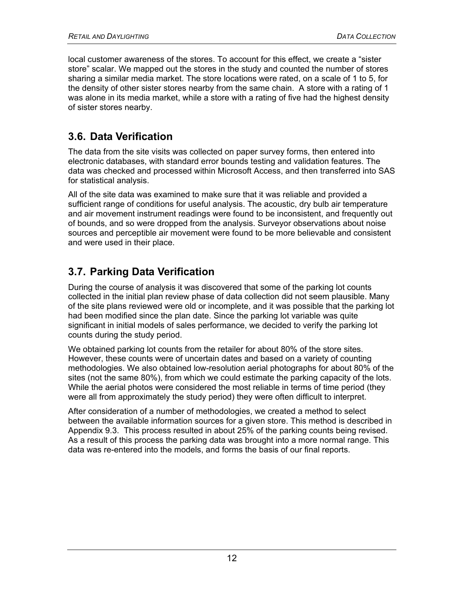local customer awareness of the stores. To account for this effect, we create a "sister store" scalar. We mapped out the stores in the study and counted the number of stores sharing a similar media market. The store locations were rated, on a scale of 1 to 5, for the density of other sister stores nearby from the same chain. A store with a rating of 1 was alone in its media market, while a store with a rating of five had the highest density of sister stores nearby.

## **3.6. Data Verification**

The data from the site visits was collected on paper survey forms, then entered into electronic databases, with standard error bounds testing and validation features. The data was checked and processed within Microsoft Access, and then transferred into SAS for statistical analysis.

All of the site data was examined to make sure that it was reliable and provided a sufficient range of conditions for useful analysis. The acoustic, dry bulb air temperature and air movement instrument readings were found to be inconsistent, and frequently out of bounds, and so were dropped from the analysis. Surveyor observations about noise sources and perceptible air movement were found to be more believable and consistent and were used in their place.

## **3.7. Parking Data Verification**

During the course of analysis it was discovered that some of the parking lot counts collected in the initial plan review phase of data collection did not seem plausible. Many of the site plans reviewed were old or incomplete, and it was possible that the parking lot had been modified since the plan date. Since the parking lot variable was quite significant in initial models of sales performance, we decided to verify the parking lot counts during the study period.

We obtained parking lot counts from the retailer for about 80% of the store sites. However, these counts were of uncertain dates and based on a variety of counting methodologies. We also obtained low-resolution aerial photographs for about 80% of the sites (not the same 80%), from which we could estimate the parking capacity of the lots. While the aerial photos were considered the most reliable in terms of time period (they were all from approximately the study period) they were often difficult to interpret.

After consideration of a number of methodologies, we created a method to select between the available information sources for a given store. This method is described in Appendix 9.3. This process resulted in about 25% of the parking counts being revised. As a result of this process the parking data was brought into a more normal range. This data was re-entered into the models, and forms the basis of our final reports.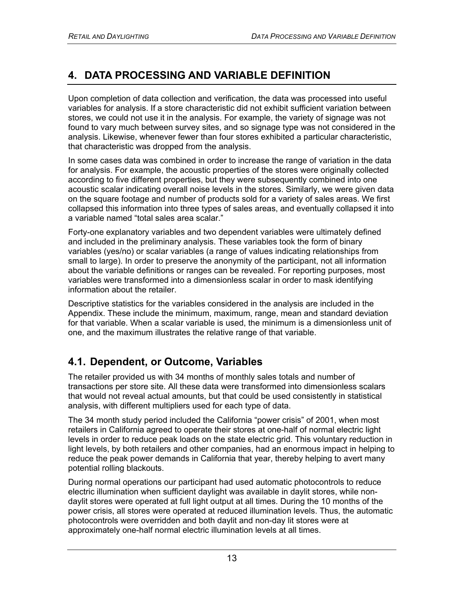### **4. DATA PROCESSING AND VARIABLE DEFINITION**

Upon completion of data collection and verification, the data was processed into useful variables for analysis. If a store characteristic did not exhibit sufficient variation between stores, we could not use it in the analysis. For example, the variety of signage was not found to vary much between survey sites, and so signage type was not considered in the analysis. Likewise, whenever fewer than four stores exhibited a particular characteristic, that characteristic was dropped from the analysis.

In some cases data was combined in order to increase the range of variation in the data for analysis. For example, the acoustic properties of the stores were originally collected according to five different properties, but they were subsequently combined into one acoustic scalar indicating overall noise levels in the stores. Similarly, we were given data on the square footage and number of products sold for a variety of sales areas. We first collapsed this information into three types of sales areas, and eventually collapsed it into a variable named "total sales area scalar."

Forty-one explanatory variables and two dependent variables were ultimately defined and included in the preliminary analysis. These variables took the form of binary variables (yes/no) or scalar variables (a range of values indicating relationships from small to large). In order to preserve the anonymity of the participant, not all information about the variable definitions or ranges can be revealed. For reporting purposes, most variables were transformed into a dimensionless scalar in order to mask identifying information about the retailer.

Descriptive statistics for the variables considered in the analysis are included in the Appendix. These include the minimum, maximum, range, mean and standard deviation for that variable. When a scalar variable is used, the minimum is a dimensionless unit of one, and the maximum illustrates the relative range of that variable.

### **4.1. Dependent, or Outcome, Variables**

The retailer provided us with 34 months of monthly sales totals and number of transactions per store site. All these data were transformed into dimensionless scalars that would not reveal actual amounts, but that could be used consistently in statistical analysis, with different multipliers used for each type of data.

The 34 month study period included the California "power crisis" of 2001, when most retailers in California agreed to operate their stores at one-half of normal electric light levels in order to reduce peak loads on the state electric grid. This voluntary reduction in light levels, by both retailers and other companies, had an enormous impact in helping to reduce the peak power demands in California that year, thereby helping to avert many potential rolling blackouts.

During normal operations our participant had used automatic photocontrols to reduce electric illumination when sufficient daylight was available in daylit stores, while nondaylit stores were operated at full light output at all times. During the 10 months of the power crisis, all stores were operated at reduced illumination levels. Thus, the automatic photocontrols were overridden and both daylit and non-day lit stores were at approximately one-half normal electric illumination levels at all times.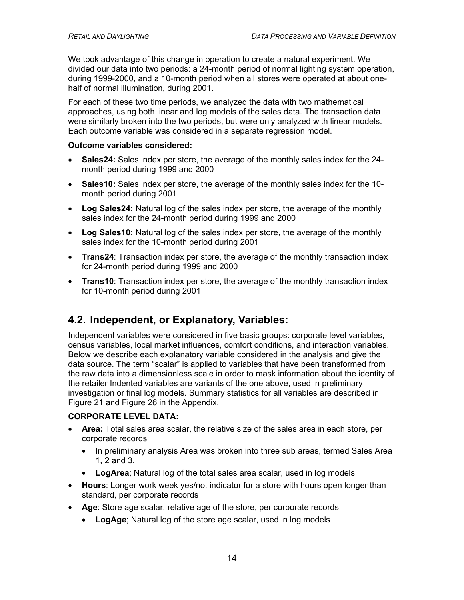We took advantage of this change in operation to create a natural experiment. We divided our data into two periods: a 24-month period of normal lighting system operation, during 1999-2000, and a 10-month period when all stores were operated at about onehalf of normal illumination, during 2001.

For each of these two time periods, we analyzed the data with two mathematical approaches, using both linear and log models of the sales data. The transaction data were similarly broken into the two periods, but were only analyzed with linear models. Each outcome variable was considered in a separate regression model.

#### **Outcome variables considered:**

- **Sales24:** Sales index per store, the average of the monthly sales index for the 24 month period during 1999 and 2000
- **Sales10:** Sales index per store, the average of the monthly sales index for the 10 month period during 2001
- **Log Sales24:** Natural log of the sales index per store, the average of the monthly sales index for the 24-month period during 1999 and 2000
- **Log Sales10:** Natural log of the sales index per store, the average of the monthly sales index for the 10-month period during 2001
- **Trans24**: Transaction index per store, the average of the monthly transaction index for 24-month period during 1999 and 2000
- **Trans10**: Transaction index per store, the average of the monthly transaction index for 10-month period during 2001

### **4.2. Independent, or Explanatory, Variables:**

Independent variables were considered in five basic groups: corporate level variables, census variables, local market influences, comfort conditions, and interaction variables. Below we describe each explanatory variable considered in the analysis and give the data source. The term "scalar" is applied to variables that have been transformed from the raw data into a dimensionless scale in order to mask information about the identity of the retailer Indented variables are variants of the one above, used in preliminary investigation or final log models. Summary statistics for all variables are described in Figure 21 and Figure 26 in the Appendix.

#### **CORPORATE LEVEL DATA:**

- **Area:** Total sales area scalar, the relative size of the sales area in each store, per corporate records
	- In preliminary analysis Area was broken into three sub areas, termed Sales Area 1, 2 and 3.
	- **LogArea**; Natural log of the total sales area scalar, used in log models
- **Hours**: Longer work week yes/no, indicator for a store with hours open longer than standard, per corporate records
- **Age**: Store age scalar, relative age of the store, per corporate records
	- **LogAge**; Natural log of the store age scalar, used in log models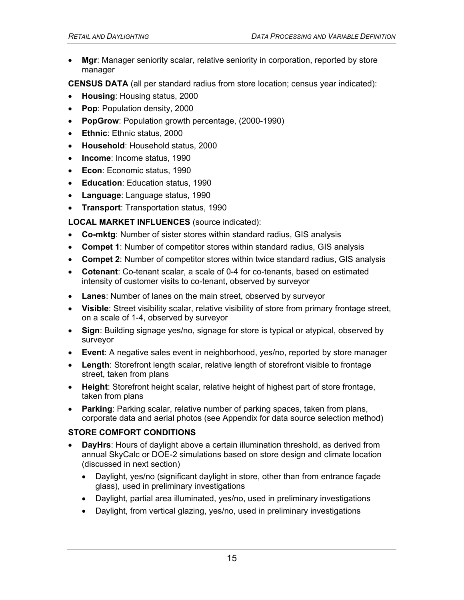• **Mgr**: Manager seniority scalar, relative seniority in corporation, reported by store manager

**CENSUS DATA** (all per standard radius from store location; census year indicated):

- **Housing**: Housing status, 2000
- **Pop**: Population density, 2000
- **PopGrow**: Population growth percentage, (2000-1990)
- **Ethnic**: Ethnic status, 2000
- **Household**: Household status, 2000
- **Income**: Income status, 1990
- **Econ**: Economic status, 1990
- **Education**: Education status, 1990
- **Language**: Language status, 1990
- **Transport**: Transportation status, 1990

#### **LOCAL MARKET INFLUENCES** (source indicated):

- **Co-mktg**: Number of sister stores within standard radius, GIS analysis
- **Compet 1**: Number of competitor stores within standard radius, GIS analysis
- **Compet 2**: Number of competitor stores within twice standard radius, GIS analysis
- **Cotenant**: Co-tenant scalar, a scale of 0-4 for co-tenants, based on estimated intensity of customer visits to co-tenant, observed by surveyor
- **Lanes**: Number of lanes on the main street, observed by surveyor
- **Visible**: Street visibility scalar, relative visibility of store from primary frontage street, on a scale of 1-4, observed by surveyor
- **Sign**: Building signage yes/no, signage for store is typical or atypical, observed by surveyor
- **Event**: A negative sales event in neighborhood, yes/no, reported by store manager
- **Length**: Storefront length scalar, relative length of storefront visible to frontage street, taken from plans
- **Height**: Storefront height scalar, relative height of highest part of store frontage, taken from plans
- **Parking**: Parking scalar, relative number of parking spaces, taken from plans, corporate data and aerial photos (see Appendix for data source selection method)

#### **STORE COMFORT CONDITIONS**

- **DayHrs**: Hours of daylight above a certain illumination threshold, as derived from annual SkyCalc or DOE-2 simulations based on store design and climate location (discussed in next section)
	- Daylight, yes/no (significant daylight in store, other than from entrance façade glass), used in preliminary investigations
	- Daylight, partial area illuminated, yes/no, used in preliminary investigations
	- Daylight, from vertical glazing, yes/no, used in preliminary investigations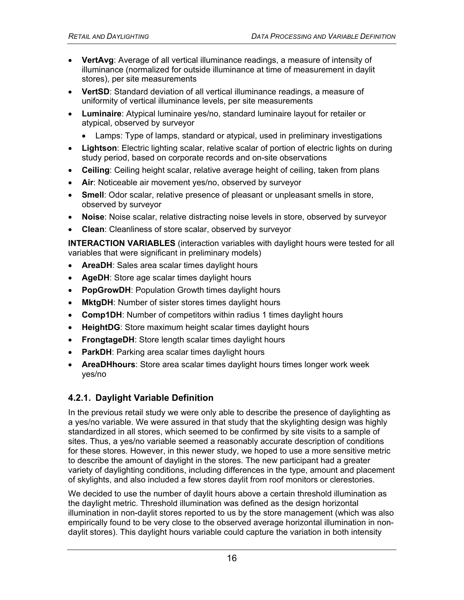- **VertAvg**: Average of all vertical illuminance readings, a measure of intensity of illuminance (normalized for outside illuminance at time of measurement in daylit stores), per site measurements
- **VertSD**: Standard deviation of all vertical illuminance readings, a measure of uniformity of vertical illuminance levels, per site measurements
- **Luminaire**: Atypical luminaire yes/no, standard luminaire layout for retailer or atypical, observed by surveyor
	- Lamps: Type of lamps, standard or atypical, used in preliminary investigations
- **Lightson**: Electric lighting scalar, relative scalar of portion of electric lights on during study period, based on corporate records and on-site observations
- **Ceiling**: Ceiling height scalar, relative average height of ceiling, taken from plans
- **Air**: Noticeable air movement yes/no, observed by surveyor
- **Smell**: Odor scalar, relative presence of pleasant or unpleasant smells in store, observed by surveyor
- **Noise**: Noise scalar, relative distracting noise levels in store, observed by surveyor
- **Clean**: Cleanliness of store scalar, observed by surveyor

**INTERACTION VARIABLES** (interaction variables with daylight hours were tested for all variables that were significant in preliminary models)

- **AreaDH**: Sales area scalar times daylight hours
- **AgeDH**: Store age scalar times daylight hours
- **PopGrowDH**: Population Growth times daylight hours
- **MktgDH**: Number of sister stores times daylight hours
- **Comp1DH**: Number of competitors within radius 1 times daylight hours
- **HeightDG**: Store maximum height scalar times daylight hours
- **FrongtageDH**: Store length scalar times daylight hours
- **ParkDH**: Parking area scalar times daylight hours
- **AreaDHhours**: Store area scalar times daylight hours times longer work week yes/no

### **4.2.1. Daylight Variable Definition**

In the previous retail study we were only able to describe the presence of daylighting as a yes/no variable. We were assured in that study that the skylighting design was highly standardized in all stores, which seemed to be confirmed by site visits to a sample of sites. Thus, a yes/no variable seemed a reasonably accurate description of conditions for these stores. However, in this newer study, we hoped to use a more sensitive metric to describe the amount of daylight in the stores. The new participant had a greater variety of daylighting conditions, including differences in the type, amount and placement of skylights, and also included a few stores daylit from roof monitors or clerestories.

We decided to use the number of daylit hours above a certain threshold illumination as the daylight metric. Threshold illumination was defined as the design horizontal illumination in non-daylit stores reported to us by the store management (which was also empirically found to be very close to the observed average horizontal illumination in nondaylit stores). This daylight hours variable could capture the variation in both intensity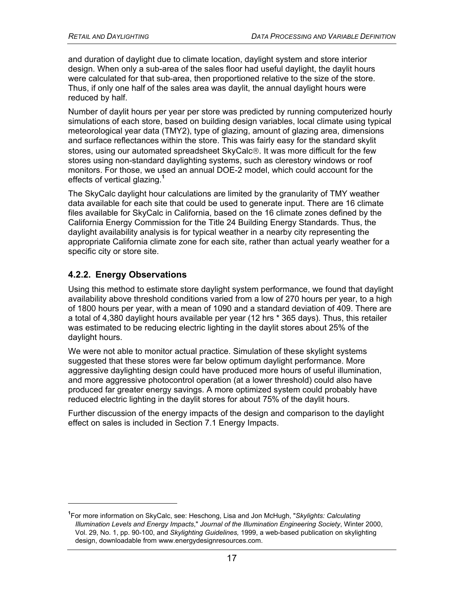and duration of daylight due to climate location, daylight system and store interior design. When only a sub-area of the sales floor had useful daylight, the daylit hours were calculated for that sub-area, then proportioned relative to the size of the store. Thus, if only one half of the sales area was daylit, the annual daylight hours were reduced by half.

Number of daylit hours per year per store was predicted by running computerized hourly simulations of each store, based on building design variables, local climate using typical meteorological year data (TMY2), type of glazing, amount of glazing area, dimensions and surface reflectances within the store. This was fairly easy for the standard skylit stores, using our automated spreadsheet SkyCalc<sup>®</sup>. It was more difficult for the few stores using non-standard daylighting systems, such as clerestory windows or roof monitors. For those, we used an annual DOE-2 model, which could account for the effects of vertical glazing.**<sup>1</sup>**

The SkyCalc daylight hour calculations are limited by the granularity of TMY weather data available for each site that could be used to generate input. There are 16 climate files available for SkyCalc in California, based on the 16 climate zones defined by the California Energy Commission for the Title 24 Building Energy Standards. Thus, the daylight availability analysis is for typical weather in a nearby city representing the appropriate California climate zone for each site, rather than actual yearly weather for a specific city or store site.

### **4.2.2. Energy Observations**

Using this method to estimate store daylight system performance, we found that daylight availability above threshold conditions varied from a low of 270 hours per year, to a high of 1800 hours per year, with a mean of 1090 and a standard deviation of 409. There are a total of 4,380 daylight hours available per year (12 hrs \* 365 days). Thus, this retailer was estimated to be reducing electric lighting in the daylit stores about 25% of the daylight hours.

We were not able to monitor actual practice. Simulation of these skylight systems suggested that these stores were far below optimum daylight performance. More aggressive daylighting design could have produced more hours of useful illumination, and more aggressive photocontrol operation (at a lower threshold) could also have produced far greater energy savings. A more optimized system could probably have reduced electric lighting in the daylit stores for about 75% of the daylit hours.

Further discussion of the energy impacts of the design and comparison to the daylight effect on sales is included in Section 7.1 Energy Impacts.

**<sup>1</sup>** For more information on SkyCalc, see: Heschong, Lisa and Jon McHugh, "*Skylights: Calculating Illumination Levels and Energy Impacts*," *Journal of the Illumination Engineering Society*, Winter 2000, Vol. 29, No. 1, pp. 90-100, and *Skylighting Guidelines,* 1999, a web-based publication on skylighting design, downloadable from www.energydesignresources.com.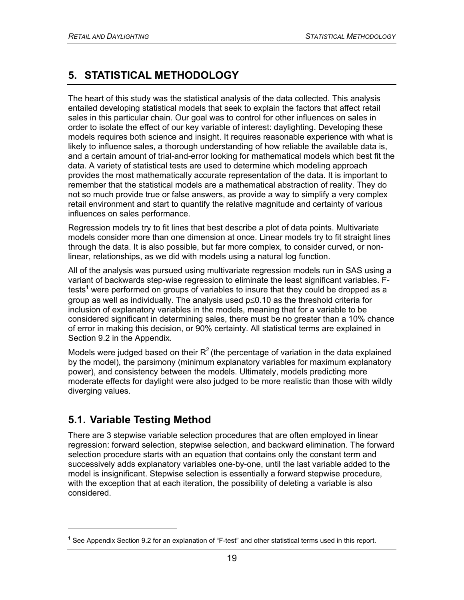### **5. STATISTICAL METHODOLOGY**

The heart of this study was the statistical analysis of the data collected. This analysis entailed developing statistical models that seek to explain the factors that affect retail sales in this particular chain. Our goal was to control for other influences on sales in order to isolate the effect of our key variable of interest: daylighting. Developing these models requires both science and insight. It requires reasonable experience with what is likely to influence sales, a thorough understanding of how reliable the available data is, and a certain amount of trial-and-error looking for mathematical models which best fit the data. A variety of statistical tests are used to determine which modeling approach provides the most mathematically accurate representation of the data. It is important to remember that the statistical models are a mathematical abstraction of reality. They do not so much provide true or false answers, as provide a way to simplify a very complex retail environment and start to quantify the relative magnitude and certainty of various influences on sales performance.

Regression models try to fit lines that best describe a plot of data points. Multivariate models consider more than one dimension at once. Linear models try to fit straight lines through the data. It is also possible, but far more complex, to consider curved, or nonlinear, relationships, as we did with models using a natural log function.

All of the analysis was pursued using multivariate regression models run in SAS using a variant of backwards step-wise regression to eliminate the least significant variables. Ftests**<sup>1</sup>** were performed on groups of variables to insure that they could be dropped as a group as well as individually. The analysis used p≤0.10 as the threshold criteria for inclusion of explanatory variables in the models, meaning that for a variable to be considered significant in determining sales, there must be no greater than a 10% chance of error in making this decision, or 90% certainty. All statistical terms are explained in Section 9.2 in the Appendix.

Models were judged based on their  $R^2$  (the percentage of variation in the data explained by the model), the parsimony (minimum explanatory variables for maximum explanatory power), and consistency between the models. Ultimately, models predicting more moderate effects for daylight were also judged to be more realistic than those with wildly diverging values.

### **5.1. Variable Testing Method**

There are 3 stepwise variable selection procedures that are often employed in linear regression: forward selection, stepwise selection, and backward elimination. The forward selection procedure starts with an equation that contains only the constant term and successively adds explanatory variables one-by-one, until the last variable added to the model is insignificant. Stepwise selection is essentially a forward stepwise procedure, with the exception that at each iteration, the possibility of deleting a variable is also considered.

<sup>&</sup>lt;sup>1</sup> See Appendix Section 9.2 for an explanation of "F-test" and other statistical terms used in this report.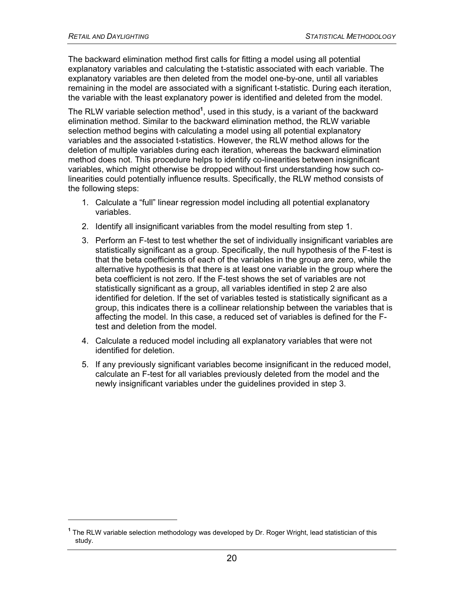-

The backward elimination method first calls for fitting a model using all potential explanatory variables and calculating the t-statistic associated with each variable. The explanatory variables are then deleted from the model one-by-one, until all variables remaining in the model are associated with a significant t-statistic. During each iteration, the variable with the least explanatory power is identified and deleted from the model.

The RLW variable selection method<sup>1</sup>, used in this study, is a variant of the backward elimination method. Similar to the backward elimination method, the RLW variable selection method begins with calculating a model using all potential explanatory variables and the associated t-statistics. However, the RLW method allows for the deletion of multiple variables during each iteration, whereas the backward elimination method does not. This procedure helps to identify co-linearities between insignificant variables, which might otherwise be dropped without first understanding how such colinearities could potentially influence results. Specifically, the RLW method consists of the following steps:

- 1. Calculate a "full" linear regression model including all potential explanatory variables.
- 2. Identify all insignificant variables from the model resulting from step 1.
- 3. Perform an F-test to test whether the set of individually insignificant variables are statistically significant as a group. Specifically, the null hypothesis of the F-test is that the beta coefficients of each of the variables in the group are zero, while the alternative hypothesis is that there is at least one variable in the group where the beta coefficient is not zero. If the F-test shows the set of variables are not statistically significant as a group, all variables identified in step 2 are also identified for deletion. If the set of variables tested is statistically significant as a group, this indicates there is a collinear relationship between the variables that is affecting the model. In this case, a reduced set of variables is defined for the Ftest and deletion from the model.
- 4. Calculate a reduced model including all explanatory variables that were not identified for deletion.
- 5. If any previously significant variables become insignificant in the reduced model, calculate an F-test for all variables previously deleted from the model and the newly insignificant variables under the guidelines provided in step 3.

**<sup>1</sup>** The RLW variable selection methodology was developed by Dr. Roger Wright, lead statistician of this study.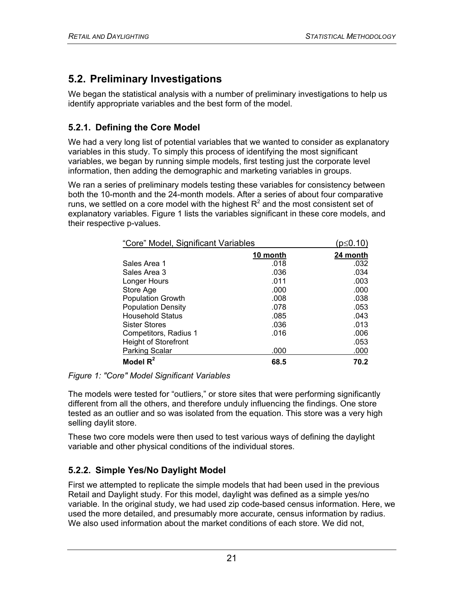## **5.2. Preliminary Investigations**

We began the statistical analysis with a number of preliminary investigations to help us identify appropriate variables and the best form of the model.

### **5.2.1. Defining the Core Model**

We had a very long list of potential variables that we wanted to consider as explanatory variables in this study. To simply this process of identifying the most significant variables, we began by running simple models, first testing just the corporate level information, then adding the demographic and marketing variables in groups.

We ran a series of preliminary models testing these variables for consistency between both the 10-month and the 24-month models. After a series of about four comparative runs, we settled on a core model with the highest  $R^2$  and the most consistent set of explanatory variables. Figure 1 lists the variables significant in these core models, and their respective p-values.

| "Core" Model, Significant Variables |          | (p≤0.10) |
|-------------------------------------|----------|----------|
|                                     | 10 month | 24 month |
| Sales Area 1                        | .018     | .032     |
| Sales Area 3                        | .036     | .034     |
| Longer Hours                        | .011     | .003     |
| Store Age                           | .000     | .000     |
| Population Growth                   | .008     | .038     |
| <b>Population Density</b>           | .078     | .053     |
| <b>Household Status</b>             | .085     | .043     |
| <b>Sister Stores</b>                | .036     | .013     |
| Competitors, Radius 1               | .016     | .006     |
| <b>Height of Storefront</b>         |          | .053     |
| Parking Scalar                      | .000     | .000     |
| Model $R^2$                         | 68.5     | 70.2     |

*Figure 1: "Core" Model Significant Variables* 

The models were tested for "outliers," or store sites that were performing significantly different from all the others, and therefore unduly influencing the findings. One store tested as an outlier and so was isolated from the equation. This store was a very high selling daylit store.

These two core models were then used to test various ways of defining the daylight variable and other physical conditions of the individual stores.

### **5.2.2. Simple Yes/No Daylight Model**

First we attempted to replicate the simple models that had been used in the previous Retail and Daylight study. For this model, daylight was defined as a simple yes/no variable. In the original study, we had used zip code-based census information. Here, we used the more detailed, and presumably more accurate, census information by radius. We also used information about the market conditions of each store. We did not,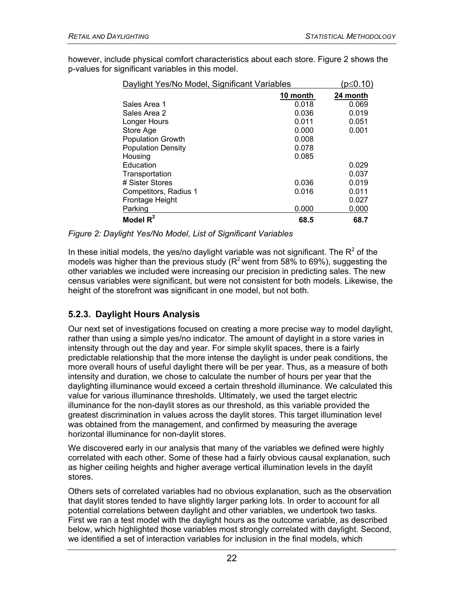| Daylight Yes/No Model, Significant Variables |          | (p≤0.10) |
|----------------------------------------------|----------|----------|
|                                              | 10 month | 24 month |
| Sales Area 1                                 | 0.018    | 0.069    |
| Sales Area 2                                 | 0.036    | 0.019    |
| Longer Hours                                 | 0.011    | 0.051    |
| Store Age                                    | 0.000    | 0.001    |
| <b>Population Growth</b>                     | 0.008    |          |
| <b>Population Density</b>                    | 0.078    |          |
| Housing                                      | 0.085    |          |
| Education                                    |          | 0.029    |
| Transportation                               |          | 0.037    |
| # Sister Stores                              | 0.036    | 0.019    |
| Competitors, Radius 1                        | 0.016    | 0.011    |
| Frontage Height                              |          | 0.027    |
| Parking                                      | 0.000    | 0.000    |
| Model $R^2$                                  | 68.5     | 68.7     |

however, include physical comfort characteristics about each store. Figure 2 shows the p-values for significant variables in this model.

#### *Figure 2: Daylight Yes/No Model, List of Significant Variables*

In these initial models, the yes/no daylight variable was not significant. The  $R^2$  of the models was higher than the previous study ( $R^2$  went from 58% to 69%), suggesting the other variables we included were increasing our precision in predicting sales. The new census variables were significant, but were not consistent for both models. Likewise, the height of the storefront was significant in one model, but not both.

### **5.2.3. Daylight Hours Analysis**

Our next set of investigations focused on creating a more precise way to model daylight, rather than using a simple yes/no indicator. The amount of daylight in a store varies in intensity through out the day and year. For simple skylit spaces, there is a fairly predictable relationship that the more intense the daylight is under peak conditions, the more overall hours of useful daylight there will be per year. Thus, as a measure of both intensity and duration, we chose to calculate the number of hours per year that the daylighting illuminance would exceed a certain threshold illuminance. We calculated this value for various illuminance thresholds. Ultimately, we used the target electric illuminance for the non-daylit stores as our threshold, as this variable provided the greatest discrimination in values across the daylit stores. This target illumination level was obtained from the management, and confirmed by measuring the average horizontal illuminance for non-daylit stores.

We discovered early in our analysis that many of the variables we defined were highly correlated with each other. Some of these had a fairly obvious causal explanation, such as higher ceiling heights and higher average vertical illumination levels in the daylit stores.

Others sets of correlated variables had no obvious explanation, such as the observation that daylit stores tended to have slightly larger parking lots. In order to account for all potential correlations between daylight and other variables, we undertook two tasks. First we ran a test model with the daylight hours as the outcome variable, as described below, which highlighted those variables most strongly correlated with daylight. Second, we identified a set of interaction variables for inclusion in the final models, which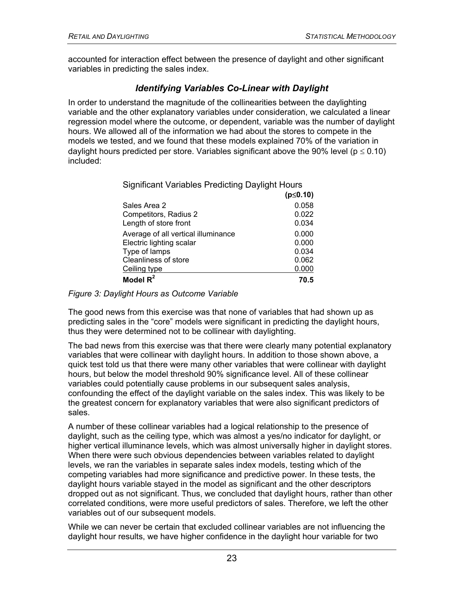accounted for interaction effect between the presence of daylight and other significant variables in predicting the sales index.

### *Identifying Variables Co-Linear with Daylight*

In order to understand the magnitude of the collinearities between the daylighting variable and the other explanatory variables under consideration, we calculated a linear regression model where the outcome, or dependent, variable was the number of daylight hours. We allowed all of the information we had about the stores to compete in the models we tested, and we found that these models explained 70% of the variation in daylight hours predicted per store. Variables significant above the 90% level ( $p \le 0.10$ ) included:

| <b>Significant Variables Predicting Daylight Hours</b> |                |
|--------------------------------------------------------|----------------|
|                                                        | $(p \le 0.10)$ |
| Sales Area 2                                           | 0.058          |
| Competitors, Radius 2                                  | 0.022          |
| Length of store front                                  | 0.034          |
| Average of all vertical illuminance                    | 0.000          |
| Electric lighting scalar                               | 0.000          |
| Type of lamps                                          | 0.034          |
| <b>Cleanliness of store</b>                            | 0.062          |
| Ceiling type                                           | 0.000          |
| Model $R^2$                                            | 70.5           |

#### *Figure 3: Daylight Hours as Outcome Variable*

The good news from this exercise was that none of variables that had shown up as predicting sales in the "core" models were significant in predicting the daylight hours, thus they were determined not to be collinear with daylighting.

The bad news from this exercise was that there were clearly many potential explanatory variables that were collinear with daylight hours. In addition to those shown above, a quick test told us that there were many other variables that were collinear with daylight hours, but below the model threshold 90% significance level. All of these collinear variables could potentially cause problems in our subsequent sales analysis, confounding the effect of the daylight variable on the sales index. This was likely to be the greatest concern for explanatory variables that were also significant predictors of sales.

A number of these collinear variables had a logical relationship to the presence of daylight, such as the ceiling type, which was almost a yes/no indicator for daylight, or higher vertical illuminance levels, which was almost universally higher in daylight stores. When there were such obvious dependencies between variables related to daylight levels, we ran the variables in separate sales index models, testing which of the competing variables had more significance and predictive power. In these tests, the daylight hours variable stayed in the model as significant and the other descriptors dropped out as not significant. Thus, we concluded that daylight hours, rather than other correlated conditions, were more useful predictors of sales. Therefore, we left the other variables out of our subsequent models.

While we can never be certain that excluded collinear variables are not influencing the daylight hour results, we have higher confidence in the daylight hour variable for two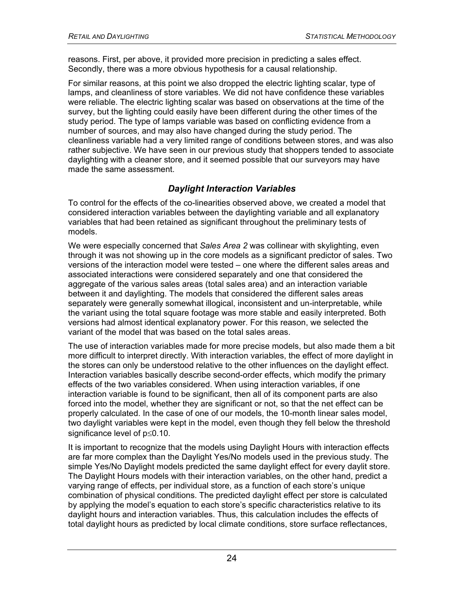reasons. First, per above, it provided more precision in predicting a sales effect. Secondly, there was a more obvious hypothesis for a causal relationship.

For similar reasons, at this point we also dropped the electric lighting scalar, type of lamps, and cleanliness of store variables. We did not have confidence these variables were reliable. The electric lighting scalar was based on observations at the time of the survey, but the lighting could easily have been different during the other times of the study period. The type of lamps variable was based on conflicting evidence from a number of sources, and may also have changed during the study period. The cleanliness variable had a very limited range of conditions between stores, and was also rather subjective. We have seen in our previous study that shoppers tended to associate daylighting with a cleaner store, and it seemed possible that our surveyors may have made the same assessment.

### *Daylight Interaction Variables*

To control for the effects of the co-linearities observed above, we created a model that considered interaction variables between the daylighting variable and all explanatory variables that had been retained as significant throughout the preliminary tests of models.

We were especially concerned that *Sales Area 2* was collinear with skylighting, even through it was not showing up in the core models as a significant predictor of sales. Two versions of the interaction model were tested – one where the different sales areas and associated interactions were considered separately and one that considered the aggregate of the various sales areas (total sales area) and an interaction variable between it and daylighting. The models that considered the different sales areas separately were generally somewhat illogical, inconsistent and un-interpretable, while the variant using the total square footage was more stable and easily interpreted. Both versions had almost identical explanatory power. For this reason, we selected the variant of the model that was based on the total sales areas.

The use of interaction variables made for more precise models, but also made them a bit more difficult to interpret directly. With interaction variables, the effect of more daylight in the stores can only be understood relative to the other influences on the daylight effect. Interaction variables basically describe second-order effects, which modify the primary effects of the two variables considered. When using interaction variables, if one interaction variable is found to be significant, then all of its component parts are also forced into the model, whether they are significant or not, so that the net effect can be properly calculated. In the case of one of our models, the 10-month linear sales model, two daylight variables were kept in the model, even though they fell below the threshold significance level of p≤0.10.

It is important to recognize that the models using Daylight Hours with interaction effects are far more complex than the Daylight Yes/No models used in the previous study. The simple Yes/No Daylight models predicted the same daylight effect for every daylit store. The Daylight Hours models with their interaction variables, on the other hand, predict a varying range of effects, per individual store, as a function of each store's unique combination of physical conditions. The predicted daylight effect per store is calculated by applying the model's equation to each store's specific characteristics relative to its daylight hours and interaction variables. Thus, this calculation includes the effects of total daylight hours as predicted by local climate conditions, store surface reflectances,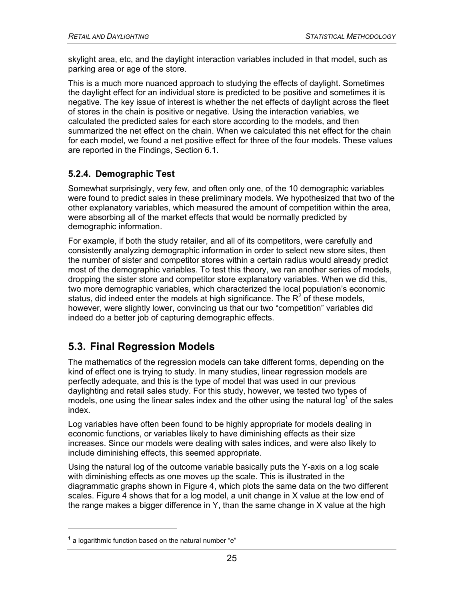skylight area, etc, and the daylight interaction variables included in that model, such as parking area or age of the store.

This is a much more nuanced approach to studying the effects of daylight. Sometimes the daylight effect for an individual store is predicted to be positive and sometimes it is negative. The key issue of interest is whether the net effects of daylight across the fleet of stores in the chain is positive or negative. Using the interaction variables, we calculated the predicted sales for each store according to the models, and then summarized the net effect on the chain. When we calculated this net effect for the chain for each model, we found a net positive effect for three of the four models. These values are reported in the Findings, Section 6.1.

### **5.2.4. Demographic Test**

Somewhat surprisingly, very few, and often only one, of the 10 demographic variables were found to predict sales in these preliminary models. We hypothesized that two of the other explanatory variables, which measured the amount of competition within the area, were absorbing all of the market effects that would be normally predicted by demographic information.

For example, if both the study retailer, and all of its competitors, were carefully and consistently analyzing demographic information in order to select new store sites, then the number of sister and competitor stores within a certain radius would already predict most of the demographic variables. To test this theory, we ran another series of models, dropping the sister store and competitor store explanatory variables. When we did this, two more demographic variables, which characterized the local population's economic status, did indeed enter the models at high significance. The  $R^2$  of these models, however, were slightly lower, convincing us that our two "competition" variables did indeed do a better job of capturing demographic effects.

## **5.3. Final Regression Models**

The mathematics of the regression models can take different forms, depending on the kind of effect one is trying to study. In many studies, linear regression models are perfectly adequate, and this is the type of model that was used in our previous daylighting and retail sales study. For this study, however, we tested two types of models, one using the linear sales index and the other using the natural log<sup>1</sup> of the sales index.

Log variables have often been found to be highly appropriate for models dealing in economic functions, or variables likely to have diminishing effects as their size increases. Since our models were dealing with sales indices, and were also likely to include diminishing effects, this seemed appropriate.

Using the natural log of the outcome variable basically puts the Y-axis on a log scale with diminishing effects as one moves up the scale. This is illustrated in the diagrammatic graphs shown in Figure 4, which plots the same data on the two different scales. Figure 4 shows that for a log model, a unit change in X value at the low end of the range makes a bigger difference in Y, than the same change in X value at the high

<sup>&</sup>lt;sup>1</sup> a logarithmic function based on the natural number "e"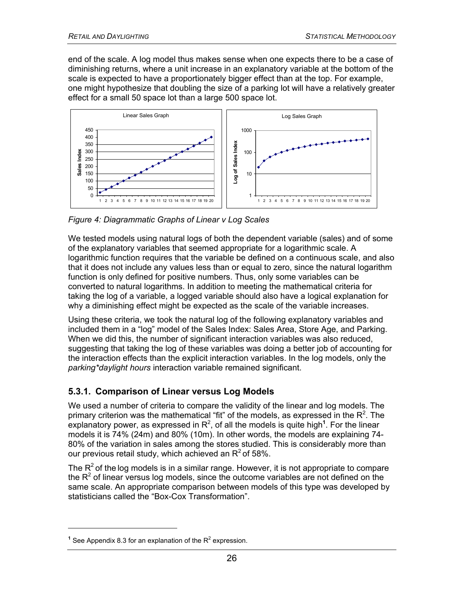end of the scale. A log model thus makes sense when one expects there to be a case of diminishing returns, where a unit increase in an explanatory variable at the bottom of the scale is expected to have a proportionately bigger effect than at the top. For example, one might hypothesize that doubling the size of a parking lot will have a relatively greater effect for a small 50 space lot than a large 500 space lot.



*Figure 4: Diagrammatic Graphs of Linear v Log Scales* 

We tested models using natural logs of both the dependent variable (sales) and of some of the explanatory variables that seemed appropriate for a logarithmic scale. A logarithmic function requires that the variable be defined on a continuous scale, and also that it does not include any values less than or equal to zero, since the natural logarithm function is only defined for positive numbers. Thus, only some variables can be converted to natural logarithms. In addition to meeting the mathematical criteria for taking the log of a variable, a logged variable should also have a logical explanation for why a diminishing effect might be expected as the scale of the variable increases.

Using these criteria, we took the natural log of the following explanatory variables and included them in a "log" model of the Sales Index: Sales Area, Store Age, and Parking. When we did this, the number of significant interaction variables was also reduced, suggesting that taking the log of these variables was doing a better job of accounting for the interaction effects than the explicit interaction variables. In the log models, only the *parking\*daylight hours* interaction variable remained significant.

### **5.3.1. Comparison of Linear versus Log Models**

We used a number of criteria to compare the validity of the linear and log models. The primary criterion was the mathematical "fit" of the models, as expressed in the  $R^2$ . The explanatory power, as expressed in  $R^2$ , of all the models is quite high<sup>1</sup>. For the linear models it is 74% (24m) and 80% (10m). In other words, the models are explaining 74- 80% of the variation in sales among the stores studied. This is considerably more than our previous retail study, which achieved an  $R^2$  of 58%.

The  $R<sup>2</sup>$  of the log models is in a similar range. However, it is not appropriate to compare the  $R<sup>2</sup>$  of linear versus log models, since the outcome variables are not defined on the same scale. An appropriate comparison between models of this type was developed by statisticians called the "Box-Cox Transformation".

<sup>&</sup>lt;sup>1</sup> See Appendix 8.3 for an explanation of the  $R^2$  expression.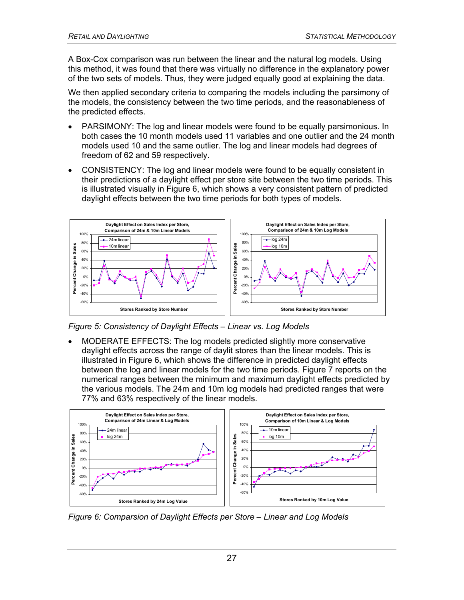A Box-Cox comparison was run between the linear and the natural log models. Using this method, it was found that there was virtually no difference in the explanatory power of the two sets of models. Thus, they were judged equally good at explaining the data.

We then applied secondary criteria to comparing the models including the parsimony of the models, the consistency between the two time periods, and the reasonableness of the predicted effects.

- PARSIMONY: The log and linear models were found to be equally parsimonious. In both cases the 10 month models used 11 variables and one outlier and the 24 month models used 10 and the same outlier. The log and linear models had degrees of freedom of 62 and 59 respectively.
- CONSISTENCY: The log and linear models were found to be equally consistent in their predictions of a daylight effect per store site between the two time periods. This is illustrated visually in Figure 6, which shows a very consistent pattern of predicted daylight effects between the two time periods for both types of models.



*Figure 5: Consistency of Daylight Effects – Linear vs. Log Models* 

• MODERATE EFFECTS: The log models predicted slightly more conservative daylight effects across the range of daylit stores than the linear models. This is illustrated in Figure 6, which shows the difference in predicted daylight effects between the log and linear models for the two time periods. Figure 7 reports on the numerical ranges between the minimum and maximum daylight effects predicted by the various models. The 24m and 10m log models had predicted ranges that were 77% and 63% respectively of the linear models.



*Figure 6: Comparsion of Daylight Effects per Store – Linear and Log Models*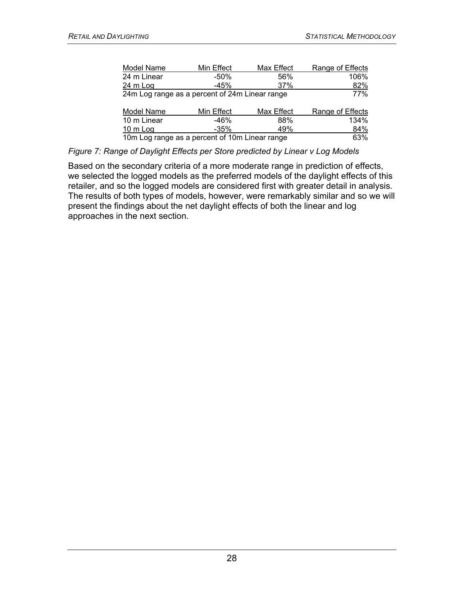| Model Name                                     | Min Effect | Max Effect | Range of Effects |
|------------------------------------------------|------------|------------|------------------|
| 24 m Linear                                    | $-50%$     | 56%        | 106%             |
| 24 m Log                                       | $-45%$     | 37%        | 82%              |
| 24m Log range as a percent of 24m Linear range |            |            | 77%              |
|                                                |            |            |                  |
| Model Name                                     | Min Effect | Max Effect | Range of Effects |
| 10 m Linear                                    | -46%       | 88%        | 134%             |
| 10 m $Log$                                     | $-35%$     | 49%        | 84%              |

*Figure 7: Range of Daylight Effects per Store predicted by Linear v Log Models* 

Based on the secondary criteria of a more moderate range in prediction of effects, we selected the logged models as the preferred models of the daylight effects of this retailer, and so the logged models are considered first with greater detail in analysis. The results of both types of models, however, were remarkably similar and so we will present the findings about the net daylight effects of both the linear and log approaches in the next section.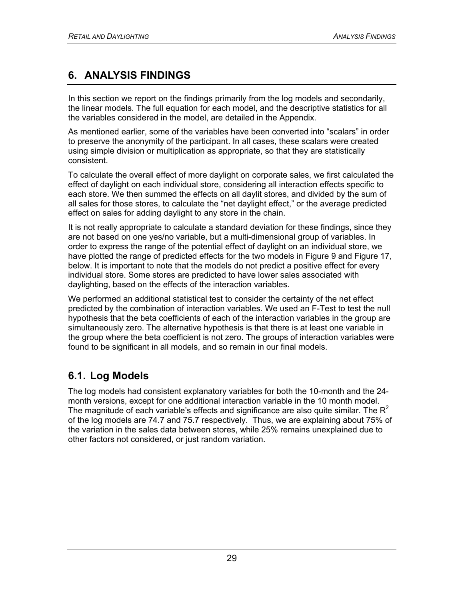## **6. ANALYSIS FINDINGS**

In this section we report on the findings primarily from the log models and secondarily, the linear models. The full equation for each model, and the descriptive statistics for all the variables considered in the model, are detailed in the Appendix.

As mentioned earlier, some of the variables have been converted into "scalars" in order to preserve the anonymity of the participant. In all cases, these scalars were created using simple division or multiplication as appropriate, so that they are statistically consistent.

To calculate the overall effect of more daylight on corporate sales, we first calculated the effect of daylight on each individual store, considering all interaction effects specific to each store. We then summed the effects on all daylit stores, and divided by the sum of all sales for those stores, to calculate the "net daylight effect," or the average predicted effect on sales for adding daylight to any store in the chain.

It is not really appropriate to calculate a standard deviation for these findings, since they are not based on one yes/no variable, but a multi-dimensional group of variables. In order to express the range of the potential effect of daylight on an individual store, we have plotted the range of predicted effects for the two models in Figure 9 and Figure 17, below. It is important to note that the models do not predict a positive effect for every individual store. Some stores are predicted to have lower sales associated with daylighting, based on the effects of the interaction variables.

We performed an additional statistical test to consider the certainty of the net effect predicted by the combination of interaction variables. We used an F-Test to test the null hypothesis that the beta coefficients of each of the interaction variables in the group are simultaneously zero. The alternative hypothesis is that there is at least one variable in the group where the beta coefficient is not zero. The groups of interaction variables were found to be significant in all models, and so remain in our final models.

# **6.1. Log Models**

The log models had consistent explanatory variables for both the 10-month and the 24 month versions, except for one additional interaction variable in the 10 month model. The magnitude of each variable's effects and significance are also quite similar. The  $R^2$ of the log models are 74.7 and 75.7 respectively. Thus, we are explaining about 75% of the variation in the sales data between stores, while 25% remains unexplained due to other factors not considered, or just random variation.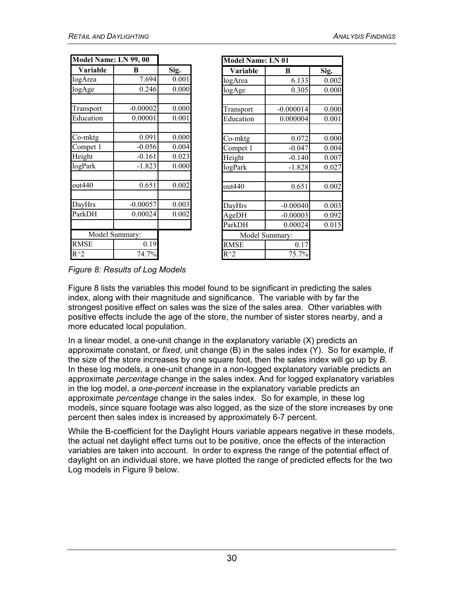| Model Name: LN 99, 00 |                |       |
|-----------------------|----------------|-------|
| Variable              | B              | Sig.  |
| logArea               | 7.694          | 0.001 |
| logAge                | 0.246          | 0.000 |
|                       |                |       |
| Transport             | $-0.00002$     | 0.000 |
| Education             | 0.00001        | 0.001 |
|                       |                |       |
| Co-mktg               | 0.091          | 0.000 |
| Compet 1              | $-0.056$       | 0.004 |
| Height                | $-0.161$       | 0.023 |
| logPark               | $-1.823$       | 0.000 |
|                       |                |       |
| out440                | 0.651          | 0.002 |
| DayHrs                | $-0.00057$     | 0.003 |
| ParkDH                | 0.00024        | 0.002 |
|                       |                |       |
|                       | Model Summary: |       |
| <b>RMSE</b>           | 0.19           |       |
| $R^{\wedge}2$         | 74.7%          |       |

| <b>Model Name: LN 01</b> |             |       |  |  |
|--------------------------|-------------|-------|--|--|
| Variable                 | B           | Sig.  |  |  |
| logArea                  | 6.133       | 0.002 |  |  |
| logAge                   | 0.305       | 0.000 |  |  |
|                          |             |       |  |  |
| Transport                | $-0.000014$ | 0.000 |  |  |
| Education                | 0.000004    | 0.001 |  |  |
|                          |             |       |  |  |
| Co-mktg                  | 0.072       | 0.000 |  |  |
| Compet 1                 | $-0.047$    | 0.004 |  |  |
| Height                   | $-0.140$    | 0.007 |  |  |
| logPark                  | $-1.828$    | 0.027 |  |  |
|                          |             |       |  |  |
| out440                   | 0.651       | 0.002 |  |  |
|                          |             |       |  |  |
| DayHrs                   | $-0.00040$  | 0.003 |  |  |
| AgeDH                    | $-0.00003$  | 0.092 |  |  |
| ParkDH                   | 0.00024     | 0.015 |  |  |
| Model Summary:           |             |       |  |  |
| <b>RMSE</b>              | 0.17        |       |  |  |
| $R^{\wedge}2$            | 75.7%       |       |  |  |

*Figure 8: Results of Log Models* 

Figure 8 lists the variables this model found to be significant in predicting the sales index, along with their magnitude and significance. The variable with by far the strongest positive effect on sales was the size of the sales area. Other variables with positive effects include the age of the store, the number of sister stores nearby, and a more educated local population.

In a linear model, a one-unit change in the explanatory variable  $(X)$  predicts an approximate constant, or *fixed*, unit change (B) in the sales index (Y). So for example, if the size of the store increases by one square foot, then the sales index will go up by *B*. In these log models, a one-unit change in a non-logged explanatory variable predicts an approximate *percentage* change in the sales index. And for logged explanatory variables in the log model, a *one-percent* increase in the explanatory variable predicts an approximate *percentage* change in the sales index. So for example, in these log models, since square footage was also logged, as the size of the store increases by one percent then sales index is increased by approximately 6-7 percent.

While the B-coefficient for the Daylight Hours variable appears negative in these models, the actual net daylight effect turns out to be positive, once the effects of the interaction variables are taken into account. In order to express the range of the potential effect of daylight on an individual store, we have plotted the range of predicted effects for the two Log models in Figure 9 below.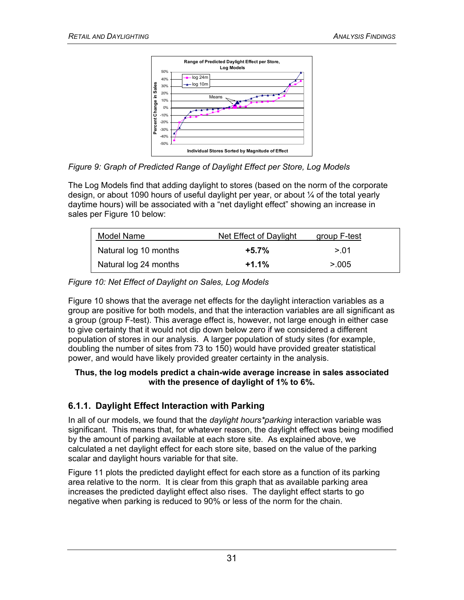

*Figure 9: Graph of Predicted Range of Daylight Effect per Store, Log Models* 

The Log Models find that adding daylight to stores (based on the norm of the corporate design, or about 1090 hours of useful daylight per year, or about  $\frac{1}{4}$  of the total yearly daytime hours) will be associated with a "net daylight effect" showing an increase in sales per Figure 10 below:

| Model Name            | Net Effect of Daylight | group F-test |
|-----------------------|------------------------|--------------|
| Natural log 10 months | $+5.7%$                | > 01         |
| Natural log 24 months | $+1.1%$                | > 0.005      |

#### *Figure 10: Net Effect of Daylight on Sales, Log Models*

Figure 10 shows that the average net effects for the daylight interaction variables as a group are positive for both models, and that the interaction variables are all significant as a group (group F-test). This average effect is, however, not large enough in either case to give certainty that it would not dip down below zero if we considered a different population of stores in our analysis. A larger population of study sites (for example, doubling the number of sites from 73 to 150) would have provided greater statistical power, and would have likely provided greater certainty in the analysis.

#### **Thus, the log models predict a chain-wide average increase in sales associated with the presence of daylight of 1% to 6%.**

### **6.1.1. Daylight Effect Interaction with Parking**

In all of our models, we found that the *daylight hours\*parking* interaction variable was significant. This means that, for whatever reason, the daylight effect was being modified by the amount of parking available at each store site. As explained above, we calculated a net daylight effect for each store site, based on the value of the parking scalar and daylight hours variable for that site.

Figure 11 plots the predicted daylight effect for each store as a function of its parking area relative to the norm. It is clear from this graph that as available parking area increases the predicted daylight effect also rises. The daylight effect starts to go negative when parking is reduced to 90% or less of the norm for the chain.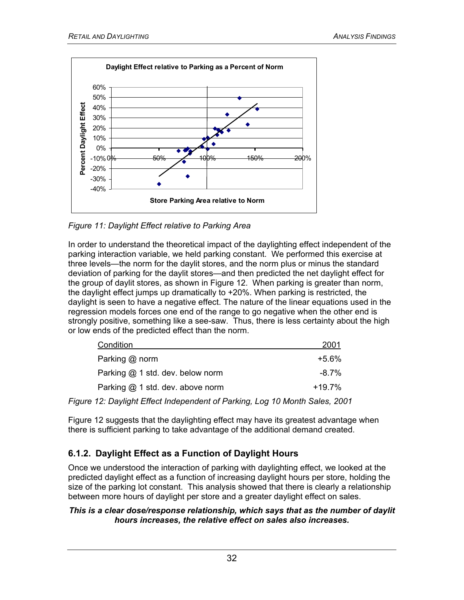

*Figure 11: Daylight Effect relative to Parking Area* 

In order to understand the theoretical impact of the daylighting effect independent of the parking interaction variable, we held parking constant. We performed this exercise at three levels—the norm for the daylit stores, and the norm plus or minus the standard deviation of parking for the daylit stores—and then predicted the net daylight effect for the group of daylit stores, as shown in Figure 12. When parking is greater than norm, the daylight effect jumps up dramatically to +20%. When parking is restricted, the daylight is seen to have a negative effect. The nature of the linear equations used in the regression models forces one end of the range to go negative when the other end is strongly positive, something like a see-saw. Thus, there is less certainty about the high or low ends of the predicted effect than the norm.

| $+5.6\%$  |
|-----------|
| $-8.7\%$  |
| $+19.7\%$ |
|           |

*Figure 12: Daylight Effect Independent of Parking, Log 10 Month Sales, 2001* 

Figure 12 suggests that the daylighting effect may have its greatest advantage when there is sufficient parking to take advantage of the additional demand created.

## **6.1.2. Daylight Effect as a Function of Daylight Hours**

Once we understood the interaction of parking with daylighting effect, we looked at the predicted daylight effect as a function of increasing daylight hours per store, holding the size of the parking lot constant. This analysis showed that there is clearly a relationship between more hours of daylight per store and a greater daylight effect on sales.

#### *This is a clear dose/response relationship, which says that as the number of daylit hours increases, the relative effect on sales also increases.*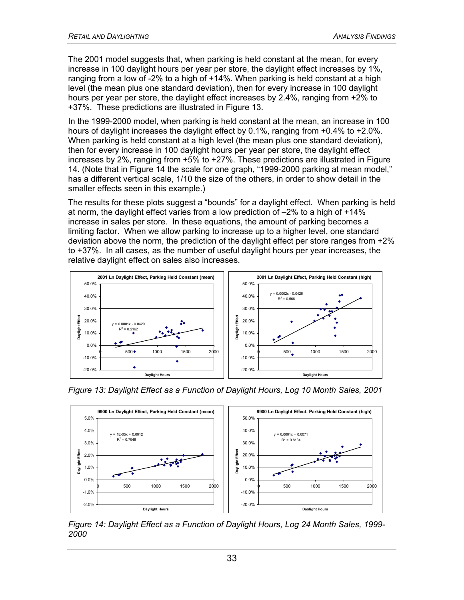The 2001 model suggests that, when parking is held constant at the mean, for every increase in 100 daylight hours per year per store, the daylight effect increases by 1%, ranging from a low of -2% to a high of +14%. When parking is held constant at a high level (the mean plus one standard deviation), then for every increase in 100 daylight hours per year per store, the daylight effect increases by 2.4%, ranging from +2% to +37%. These predictions are illustrated in Figure 13.

In the 1999-2000 model, when parking is held constant at the mean, an increase in 100 hours of daylight increases the daylight effect by 0.1%, ranging from +0.4% to +2.0%. When parking is held constant at a high level (the mean plus one standard deviation), then for every increase in 100 daylight hours per year per store, the daylight effect increases by 2%, ranging from +5% to +27%. These predictions are illustrated in Figure 14. (Note that in Figure 14 the scale for one graph, "1999-2000 parking at mean model," has a different vertical scale, 1/10 the size of the others, in order to show detail in the smaller effects seen in this example.)

The results for these plots suggest a "bounds" for a daylight effect. When parking is held at norm, the daylight effect varies from a low prediction of –2% to a high of +14% increase in sales per store. In these equations, the amount of parking becomes a limiting factor. When we allow parking to increase up to a higher level, one standard deviation above the norm, the prediction of the daylight effect per store ranges from +2% to +37%. In all cases, as the number of useful daylight hours per year increases, the relative daylight effect on sales also increases.



*Figure 13: Daylight Effect as a Function of Daylight Hours, Log 10 Month Sales, 2001* 



*Figure 14: Daylight Effect as a Function of Daylight Hours, Log 24 Month Sales, 1999- 2000*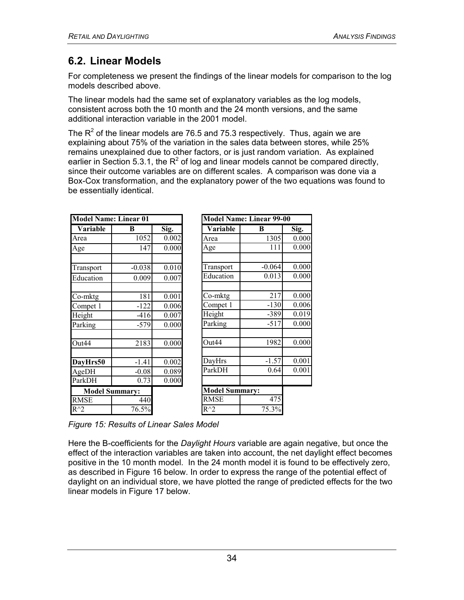## **6.2. Linear Models**

For completeness we present the findings of the linear models for comparison to the log models described above.

The linear models had the same set of explanatory variables as the log models, consistent across both the 10 month and the 24 month versions, and the same additional interaction variable in the 2001 model.

The  $R^2$  of the linear models are 76.5 and 75.3 respectively. Thus, again we are explaining about 75% of the variation in the sales data between stores, while 25% remains unexplained due to other factors, or is just random variation. As explained earlier in Section 5.3.1, the  $R^2$  of log and linear models cannot be compared directly, since their outcome variables are on different scales. A comparison was done via a Box-Cox transformation, and the explanatory power of the two equations was found to be essentially identical.

| <b>Model Name: Linear 01</b> |          |       |
|------------------------------|----------|-------|
| Variable                     | В        | Sig.  |
| Area                         | 1052     | 0.002 |
| Age                          | 147      | 0.000 |
|                              |          |       |
| Transport                    | $-0.038$ | 0.010 |
| Education                    | 0.009    | 0.007 |
|                              |          |       |
| Co-mktg                      | 181      | 0.001 |
| Compet 1                     | $-122$   | 0.006 |
| Height                       | $-416$   | 0.007 |
| Parking                      | -579     | 0.000 |
|                              |          |       |
| Out44                        | 2183     | 0.000 |
|                              |          |       |
| DayHrs50                     | $-1.41$  | 0.002 |
| AgeDH                        | $-0.08$  | 0.089 |
| ParkDH                       | 0.73     | 0.000 |
| <b>Model Summary:</b>        |          |       |
| <b>RMSE</b>                  | 440      |       |
| $R^{\wedge}2$                | 76.5%    |       |

| <b>Model Name: Linear 99-00</b> |          |       |  |  |
|---------------------------------|----------|-------|--|--|
| Variable                        | В        | Sig.  |  |  |
| Area                            | 1305     | 0.000 |  |  |
| Age                             | 111      | 0.000 |  |  |
|                                 |          |       |  |  |
| Transport                       | $-0.064$ | 0.000 |  |  |
| Education                       | 0.013    | 0.000 |  |  |
|                                 |          |       |  |  |
| Co-mktg                         | 217      | 0.000 |  |  |
| Compet 1                        | $-130$   | 0.006 |  |  |
| Height                          | -389     | 0.019 |  |  |
| Parking                         | $-517$   | 0.000 |  |  |
|                                 |          |       |  |  |
| Out44                           | 1982     | 0.000 |  |  |
|                                 |          |       |  |  |
| DayHrs                          | $-1.57$  | 0.001 |  |  |
| ParkDH                          | 0.64     | 0.001 |  |  |
|                                 |          |       |  |  |
| <b>Model Summary:</b>           |          |       |  |  |
| <b>RMSE</b>                     | 475      |       |  |  |
| $R^{\wedge}2$                   | 75.3%    |       |  |  |

*Figure 15: Results of Linear Sales Model* 

Here the B-coefficients for the *Daylight Hours* variable are again negative, but once the effect of the interaction variables are taken into account, the net daylight effect becomes positive in the 10 month model. In the 24 month model it is found to be effectively zero, as described in Figure 16 below. In order to express the range of the potential effect of daylight on an individual store, we have plotted the range of predicted effects for the two linear models in Figure 17 below.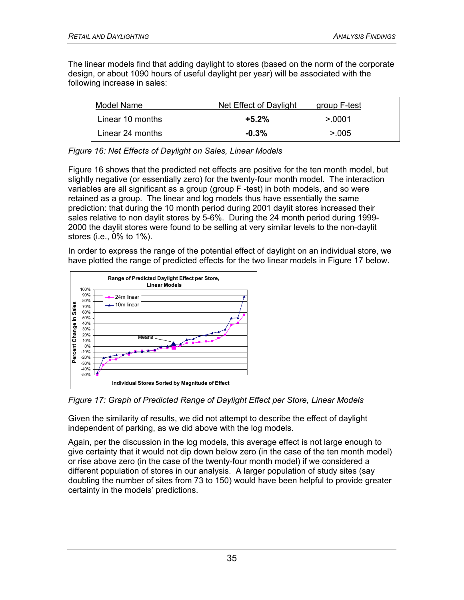The linear models find that adding daylight to stores (based on the norm of the corporate design, or about 1090 hours of useful daylight per year) will be associated with the following increase in sales:

| Model Name       | Net Effect of Daylight | group F-test |
|------------------|------------------------|--------------|
| Linear 10 months | $+5.2%$                | > 0001       |
| Linear 24 months | $-0.3%$                | > 0.005      |

| Figure 16: Net Effects of Daylight on Sales, Linear Models |  |  |  |  |  |  |  |
|------------------------------------------------------------|--|--|--|--|--|--|--|
|------------------------------------------------------------|--|--|--|--|--|--|--|

Figure 16 shows that the predicted net effects are positive for the ten month model, but slightly negative (or essentially zero) for the twenty-four month model. The interaction variables are all significant as a group (group F -test) in both models, and so were retained as a group. The linear and log models thus have essentially the same prediction: that during the 10 month period during 2001 daylit stores increased their sales relative to non daylit stores by 5-6%. During the 24 month period during 1999- 2000 the daylit stores were found to be selling at very similar levels to the non-daylit stores (i.e., 0% to 1%).

In order to express the range of the potential effect of daylight on an individual store, we have plotted the range of predicted effects for the two linear models in Figure 17 below.



*Figure 17: Graph of Predicted Range of Daylight Effect per Store, Linear Models* 

Given the similarity of results, we did not attempt to describe the effect of daylight independent of parking, as we did above with the log models.

Again, per the discussion in the log models, this average effect is not large enough to give certainty that it would not dip down below zero (in the case of the ten month model) or rise above zero (in the case of the twenty-four month model) if we considered a different population of stores in our analysis. A larger population of study sites (say doubling the number of sites from 73 to 150) would have been helpful to provide greater certainty in the models' predictions.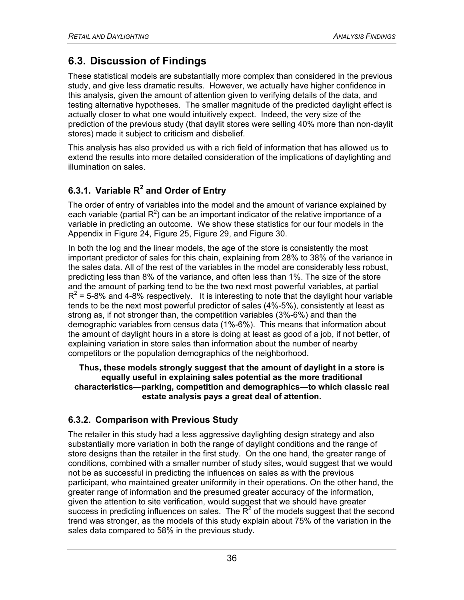## **6.3. Discussion of Findings**

These statistical models are substantially more complex than considered in the previous study, and give less dramatic results. However, we actually have higher confidence in this analysis, given the amount of attention given to verifying details of the data, and testing alternative hypotheses. The smaller magnitude of the predicted daylight effect is actually closer to what one would intuitively expect. Indeed, the very size of the prediction of the previous study (that daylit stores were selling 40% more than non-daylit stores) made it subject to criticism and disbelief.

This analysis has also provided us with a rich field of information that has allowed us to extend the results into more detailed consideration of the implications of daylighting and illumination on sales.

### 6.3.1. Variable R<sup>2</sup> and Order of Entry

The order of entry of variables into the model and the amount of variance explained by each variable (partial  $R^2$ ) can be an important indicator of the relative importance of a variable in predicting an outcome. We show these statistics for our four models in the Appendix in Figure 24, Figure 25, Figure 29, and Figure 30.

In both the log and the linear models, the age of the store is consistently the most important predictor of sales for this chain, explaining from 28% to 38% of the variance in the sales data. All of the rest of the variables in the model are considerably less robust, predicting less than 8% of the variance, and often less than 1%. The size of the store and the amount of parking tend to be the two next most powerful variables, at partial  $R^2$  = 5-8% and 4-8% respectively. It is interesting to note that the daylight hour variable tends to be the next most powerful predictor of sales (4%-5%), consistently at least as strong as, if not stronger than, the competition variables (3%-6%) and than the demographic variables from census data (1%-6%). This means that information about the amount of daylight hours in a store is doing at least as good of a job, if not better, of explaining variation in store sales than information about the number of nearby competitors or the population demographics of the neighborhood.

#### **Thus, these models strongly suggest that the amount of daylight in a store is equally useful in explaining sales potential as the more traditional characteristics—parking, competition and demographics—to which classic real estate analysis pays a great deal of attention.**

### **6.3.2. Comparison with Previous Study**

The retailer in this study had a less aggressive daylighting design strategy and also substantially more variation in both the range of daylight conditions and the range of store designs than the retailer in the first study. On the one hand, the greater range of conditions, combined with a smaller number of study sites, would suggest that we would not be as successful in predicting the influences on sales as with the previous participant, who maintained greater uniformity in their operations. On the other hand, the greater range of information and the presumed greater accuracy of the information, given the attention to site verification, would suggest that we should have greater success in predicting influences on sales. The  $\overline{R}^2$  of the models suggest that the second trend was stronger, as the models of this study explain about 75% of the variation in the sales data compared to 58% in the previous study.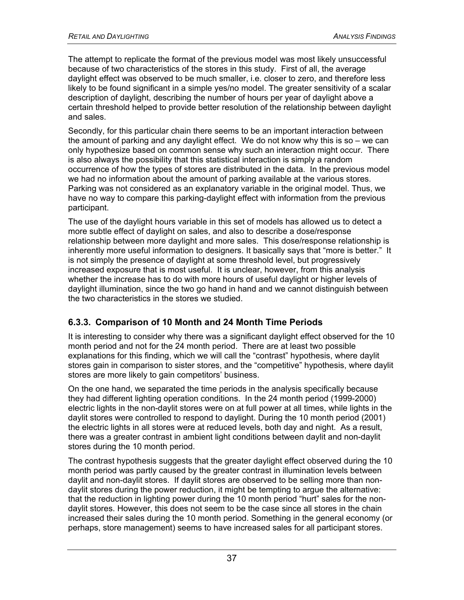The attempt to replicate the format of the previous model was most likely unsuccessful because of two characteristics of the stores in this study. First of all, the average daylight effect was observed to be much smaller, i.e. closer to zero, and therefore less likely to be found significant in a simple yes/no model. The greater sensitivity of a scalar description of daylight, describing the number of hours per year of daylight above a certain threshold helped to provide better resolution of the relationship between daylight and sales.

Secondly, for this particular chain there seems to be an important interaction between the amount of parking and any daylight effect. We do not know why this is so – we can only hypothesize based on common sense why such an interaction might occur. There is also always the possibility that this statistical interaction is simply a random occurrence of how the types of stores are distributed in the data. In the previous model we had no information about the amount of parking available at the various stores. Parking was not considered as an explanatory variable in the original model. Thus, we have no way to compare this parking-daylight effect with information from the previous participant.

The use of the daylight hours variable in this set of models has allowed us to detect a more subtle effect of daylight on sales, and also to describe a dose/response relationship between more daylight and more sales. This dose/response relationship is inherently more useful information to designers. It basically says that "more is better." It is not simply the presence of daylight at some threshold level, but progressively increased exposure that is most useful. It is unclear, however, from this analysis whether the increase has to do with more hours of useful daylight or higher levels of daylight illumination, since the two go hand in hand and we cannot distinguish between the two characteristics in the stores we studied.

### **6.3.3. Comparison of 10 Month and 24 Month Time Periods**

It is interesting to consider why there was a significant daylight effect observed for the 10 month period and not for the 24 month period. There are at least two possible explanations for this finding, which we will call the "contrast" hypothesis, where daylit stores gain in comparison to sister stores, and the "competitive" hypothesis, where daylit stores are more likely to gain competitors' business.

On the one hand, we separated the time periods in the analysis specifically because they had different lighting operation conditions. In the 24 month period (1999-2000) electric lights in the non-daylit stores were on at full power at all times, while lights in the daylit stores were controlled to respond to daylight. During the 10 month period (2001) the electric lights in all stores were at reduced levels, both day and night. As a result, there was a greater contrast in ambient light conditions between daylit and non-daylit stores during the 10 month period.

The contrast hypothesis suggests that the greater daylight effect observed during the 10 month period was partly caused by the greater contrast in illumination levels between daylit and non-daylit stores. If daylit stores are observed to be selling more than nondaylit stores during the power reduction, it might be tempting to argue the alternative: that the reduction in lighting power during the 10 month period "hurt" sales for the nondaylit stores. However, this does not seem to be the case since all stores in the chain increased their sales during the 10 month period. Something in the general economy (or perhaps, store management) seems to have increased sales for all participant stores.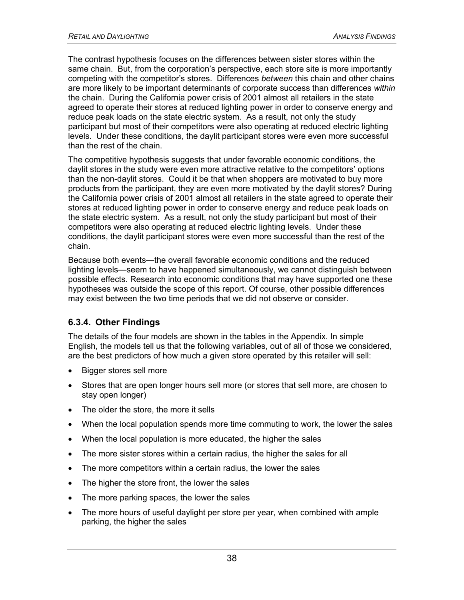The contrast hypothesis focuses on the differences between sister stores within the same chain. But, from the corporation's perspective, each store site is more importantly competing with the competitor's stores. Differences *between* this chain and other chains are more likely to be important determinants of corporate success than differences *within* the chain. During the California power crisis of 2001 almost all retailers in the state agreed to operate their stores at reduced lighting power in order to conserve energy and reduce peak loads on the state electric system. As a result, not only the study participant but most of their competitors were also operating at reduced electric lighting levels. Under these conditions, the daylit participant stores were even more successful than the rest of the chain.

The competitive hypothesis suggests that under favorable economic conditions, the daylit stores in the study were even more attractive relative to the competitors' options than the non-daylit stores. Could it be that when shoppers are motivated to buy more products from the participant, they are even more motivated by the daylit stores? During the California power crisis of 2001 almost all retailers in the state agreed to operate their stores at reduced lighting power in order to conserve energy and reduce peak loads on the state electric system. As a result, not only the study participant but most of their competitors were also operating at reduced electric lighting levels. Under these conditions, the daylit participant stores were even more successful than the rest of the chain.

Because both events—the overall favorable economic conditions and the reduced lighting levels—seem to have happened simultaneously, we cannot distinguish between possible effects. Research into economic conditions that may have supported one these hypotheses was outside the scope of this report. Of course, other possible differences may exist between the two time periods that we did not observe or consider.

### **6.3.4. Other Findings**

The details of the four models are shown in the tables in the Appendix. In simple English, the models tell us that the following variables, out of all of those we considered, are the best predictors of how much a given store operated by this retailer will sell:

- Bigger stores sell more
- Stores that are open longer hours sell more (or stores that sell more, are chosen to stay open longer)
- The older the store, the more it sells
- When the local population spends more time commuting to work, the lower the sales
- When the local population is more educated, the higher the sales
- The more sister stores within a certain radius, the higher the sales for all
- The more competitors within a certain radius, the lower the sales
- The higher the store front, the lower the sales
- The more parking spaces, the lower the sales
- The more hours of useful daylight per store per year, when combined with ample parking, the higher the sales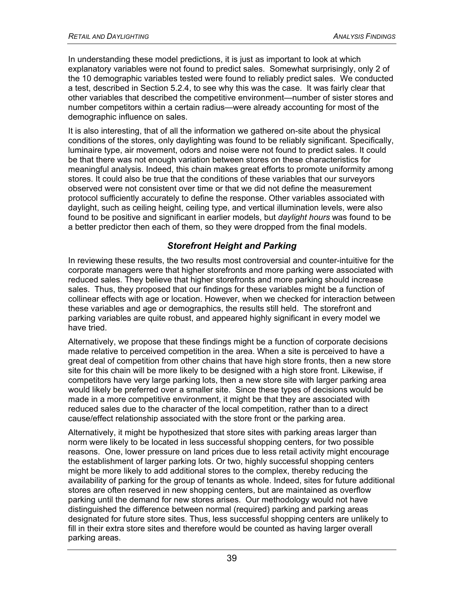In understanding these model predictions, it is just as important to look at which explanatory variables were not found to predict sales. Somewhat surprisingly, only 2 of the 10 demographic variables tested were found to reliably predict sales. We conducted a test, described in Section 5.2.4, to see why this was the case. It was fairly clear that other variables that described the competitive environment—number of sister stores and number competitors within a certain radius—were already accounting for most of the demographic influence on sales.

It is also interesting, that of all the information we gathered on-site about the physical conditions of the stores, only daylighting was found to be reliably significant. Specifically, luminaire type, air movement, odors and noise were not found to predict sales. It could be that there was not enough variation between stores on these characteristics for meaningful analysis. Indeed, this chain makes great efforts to promote uniformity among stores. It could also be true that the conditions of these variables that our surveyors observed were not consistent over time or that we did not define the measurement protocol sufficiently accurately to define the response. Other variables associated with daylight, such as ceiling height, ceiling type, and vertical illumination levels, were also found to be positive and significant in earlier models, but *daylight hours* was found to be a better predictor then each of them, so they were dropped from the final models.

### *Storefront Height and Parking*

In reviewing these results, the two results most controversial and counter-intuitive for the corporate managers were that higher storefronts and more parking were associated with reduced sales. They believe that higher storefronts and more parking should increase sales. Thus, they proposed that our findings for these variables might be a function of collinear effects with age or location. However, when we checked for interaction between these variables and age or demographics, the results still held. The storefront and parking variables are quite robust, and appeared highly significant in every model we have tried.

Alternatively, we propose that these findings might be a function of corporate decisions made relative to perceived competition in the area. When a site is perceived to have a great deal of competition from other chains that have high store fronts, then a new store site for this chain will be more likely to be designed with a high store front. Likewise, if competitors have very large parking lots, then a new store site with larger parking area would likely be preferred over a smaller site. Since these types of decisions would be made in a more competitive environment, it might be that they are associated with reduced sales due to the character of the local competition, rather than to a direct cause/effect relationship associated with the store front or the parking area.

Alternatively, it might be hypothesized that store sites with parking areas larger than norm were likely to be located in less successful shopping centers, for two possible reasons. One, lower pressure on land prices due to less retail activity might encourage the establishment of larger parking lots. Or two, highly successful shopping centers might be more likely to add additional stores to the complex, thereby reducing the availability of parking for the group of tenants as whole. Indeed, sites for future additional stores are often reserved in new shopping centers, but are maintained as overflow parking until the demand for new stores arises. Our methodology would not have distinguished the difference between normal (required) parking and parking areas designated for future store sites. Thus, less successful shopping centers are unlikely to fill in their extra store sites and therefore would be counted as having larger overall parking areas.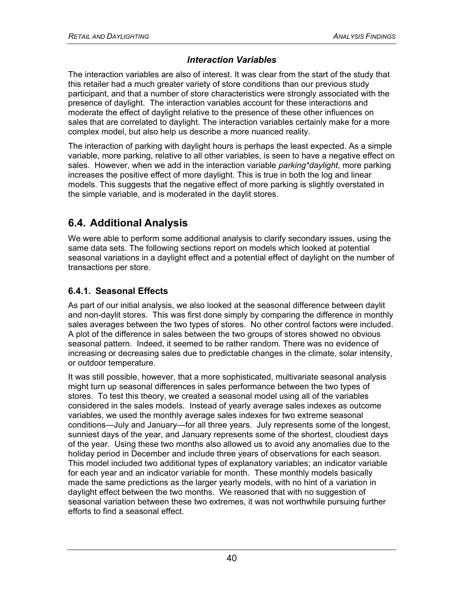### *Interaction Variables*

The interaction variables are also of interest. It was clear from the start of the study that this retailer had a much greater variety of store conditions than our previous study participant, and that a number of store characteristics were strongly associated with the presence of daylight. The interaction variables account for these interactions and moderate the effect of daylight relative to the presence of these other influences on sales that are correlated to daylight. The interaction variables certainly make for a more complex model, but also help us describe a more nuanced reality.

The interaction of parking with daylight hours is perhaps the least expected. As a simple variable, more parking, relative to all other variables, is seen to have a negative effect on sales. However, when we add in the interaction variable *parking\*daylight*, more parking increases the positive effect of more daylight. This is true in both the log and linear models. This suggests that the negative effect of more parking is slightly overstated in the simple variable, and is moderated in the daylit stores.

# **6.4. Additional Analysis**

We were able to perform some additional analysis to clarify secondary issues, using the same data sets. The following sections report on models which looked at potential seasonal variations in a daylight effect and a potential effect of daylight on the number of transactions per store.

### **6.4.1. Seasonal Effects**

As part of our initial analysis, we also looked at the seasonal difference between daylit and non-daylit stores. This was first done simply by comparing the difference in monthly sales averages between the two types of stores. No other control factors were included. A plot of the difference in sales between the two groups of stores showed no obvious seasonal pattern. Indeed, it seemed to be rather random. There was no evidence of increasing or decreasing sales due to predictable changes in the climate, solar intensity, or outdoor temperature.

It was still possible, however, that a more sophisticated, multivariate seasonal analysis might turn up seasonal differences in sales performance between the two types of stores. To test this theory, we created a seasonal model using all of the variables considered in the sales models. Instead of yearly average sales indexes as outcome variables, we used the monthly average sales indexes for two extreme seasonal conditions—July and January—for all three years. July represents some of the longest, sunniest days of the year, and January represents some of the shortest, cloudiest days of the year. Using these two months also allowed us to avoid any anomalies due to the holiday period in December and include three years of observations for each season. This model included two additional types of explanatory variables; an indicator variable for each year and an indicator variable for month. These monthly models basically made the same predictions as the larger yearly models, with no hint of a variation in daylight effect between the two months. We reasoned that with no suggestion of seasonal variation between these two extremes, it was not worthwhile pursuing further efforts to find a seasonal effect.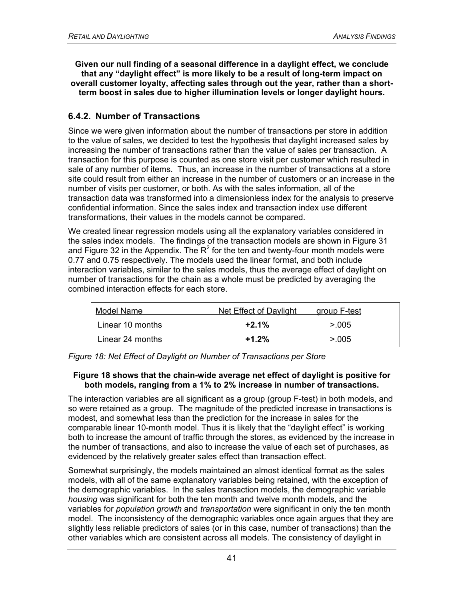**Given our null finding of a seasonal difference in a daylight effect, we conclude that any "daylight effect" is more likely to be a result of long-term impact on overall customer loyalty, affecting sales through out the year, rather than a shortterm boost in sales due to higher illumination levels or longer daylight hours.** 

### **6.4.2. Number of Transactions**

Since we were given information about the number of transactions per store in addition to the value of sales, we decided to test the hypothesis that daylight increased sales by increasing the number of transactions rather than the value of sales per transaction. A transaction for this purpose is counted as one store visit per customer which resulted in sale of any number of items. Thus, an increase in the number of transactions at a store site could result from either an increase in the number of customers or an increase in the number of visits per customer, or both. As with the sales information, all of the transaction data was transformed into a dimensionless index for the analysis to preserve confidential information. Since the sales index and transaction index use different transformations, their values in the models cannot be compared.

We created linear regression models using all the explanatory variables considered in the sales index models. The findings of the transaction models are shown in Figure 31 and Figure 32 in the Appendix. The  $R^2$  for the ten and twenty-four month models were 0.77 and 0.75 respectively. The models used the linear format, and both include interaction variables, similar to the sales models, thus the average effect of daylight on number of transactions for the chain as a whole must be predicted by averaging the combined interaction effects for each store.

| Model Name       | Net Effect of Daylight | group F-test |
|------------------|------------------------|--------------|
| Linear 10 months | $+2.1%$                | > 0.005      |
| Linear 24 months | $+1.2%$                | > 0.005      |

*Figure 18: Net Effect of Daylight on Number of Transactions per Store* 

#### **Figure 18 shows that the chain-wide average net effect of daylight is positive for both models, ranging from a 1% to 2% increase in number of transactions.**

The interaction variables are all significant as a group (group F-test) in both models, and so were retained as a group. The magnitude of the predicted increase in transactions is modest, and somewhat less than the prediction for the increase in sales for the comparable linear 10-month model. Thus it is likely that the "daylight effect" is working both to increase the amount of traffic through the stores, as evidenced by the increase in the number of transactions, and also to increase the value of each set of purchases, as evidenced by the relatively greater sales effect than transaction effect.

Somewhat surprisingly, the models maintained an almost identical format as the sales models, with all of the same explanatory variables being retained, with the exception of the demographic variables. In the sales transaction models, the demographic variable *housing* was significant for both the ten month and twelve month models, and the variables for *population growth* and *transportation* were significant in only the ten month model. The inconsistency of the demographic variables once again argues that they are slightly less reliable predictors of sales (or in this case, number of transactions) than the other variables which are consistent across all models. The consistency of daylight in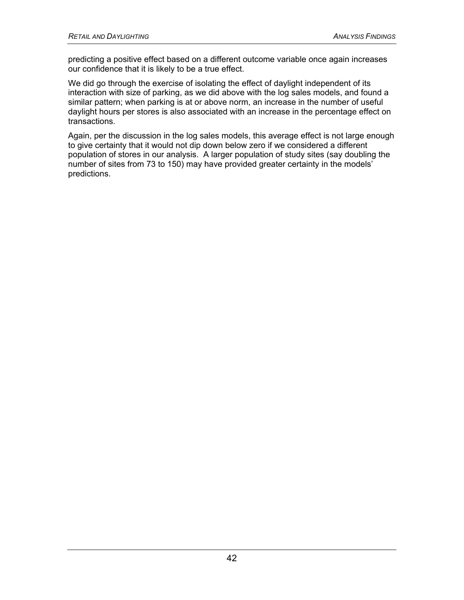predicting a positive effect based on a different outcome variable once again increases our confidence that it is likely to be a true effect.

We did go through the exercise of isolating the effect of daylight independent of its interaction with size of parking, as we did above with the log sales models, and found a similar pattern; when parking is at or above norm, an increase in the number of useful daylight hours per stores is also associated with an increase in the percentage effect on transactions.

Again, per the discussion in the log sales models, this average effect is not large enough to give certainty that it would not dip down below zero if we considered a different population of stores in our analysis. A larger population of study sites (say doubling the number of sites from 73 to 150) may have provided greater certainty in the models' predictions.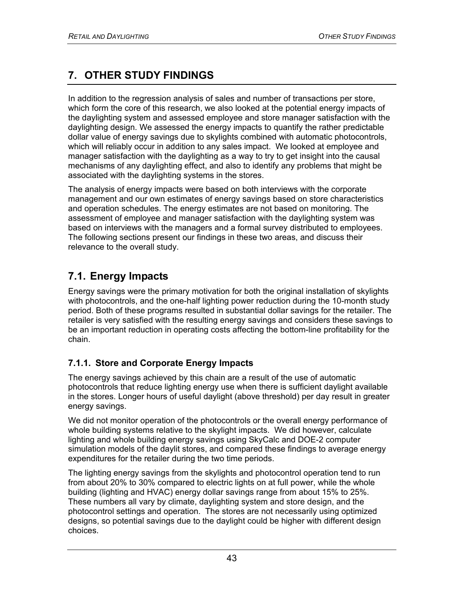# **7. OTHER STUDY FINDINGS**

In addition to the regression analysis of sales and number of transactions per store, which form the core of this research, we also looked at the potential energy impacts of the daylighting system and assessed employee and store manager satisfaction with the daylighting design. We assessed the energy impacts to quantify the rather predictable dollar value of energy savings due to skylights combined with automatic photocontrols, which will reliably occur in addition to any sales impact. We looked at employee and manager satisfaction with the daylighting as a way to try to get insight into the causal mechanisms of any daylighting effect, and also to identify any problems that might be associated with the daylighting systems in the stores.

The analysis of energy impacts were based on both interviews with the corporate management and our own estimates of energy savings based on store characteristics and operation schedules. The energy estimates are not based on monitoring. The assessment of employee and manager satisfaction with the daylighting system was based on interviews with the managers and a formal survey distributed to employees. The following sections present our findings in these two areas, and discuss their relevance to the overall study.

# **7.1. Energy Impacts**

Energy savings were the primary motivation for both the original installation of skylights with photocontrols, and the one-half lighting power reduction during the 10-month study period. Both of these programs resulted in substantial dollar savings for the retailer. The retailer is very satisfied with the resulting energy savings and considers these savings to be an important reduction in operating costs affecting the bottom-line profitability for the chain.

## **7.1.1. Store and Corporate Energy Impacts**

The energy savings achieved by this chain are a result of the use of automatic photocontrols that reduce lighting energy use when there is sufficient daylight available in the stores. Longer hours of useful daylight (above threshold) per day result in greater energy savings.

We did not monitor operation of the photocontrols or the overall energy performance of whole building systems relative to the skylight impacts. We did however, calculate lighting and whole building energy savings using SkyCalc and DOE-2 computer simulation models of the daylit stores, and compared these findings to average energy expenditures for the retailer during the two time periods.

The lighting energy savings from the skylights and photocontrol operation tend to run from about 20% to 30% compared to electric lights on at full power, while the whole building (lighting and HVAC) energy dollar savings range from about 15% to 25%. These numbers all vary by climate, daylighting system and store design, and the photocontrol settings and operation. The stores are not necessarily using optimized designs, so potential savings due to the daylight could be higher with different design choices.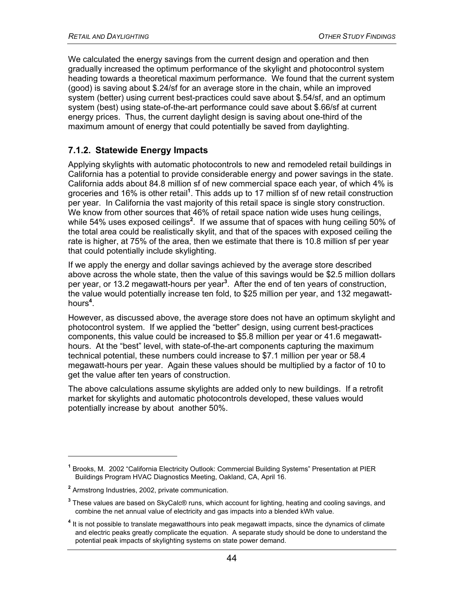We calculated the energy savings from the current design and operation and then gradually increased the optimum performance of the skylight and photocontrol system heading towards a theoretical maximum performance. We found that the current system (good) is saving about \$.24/sf for an average store in the chain, while an improved system (better) using current best-practices could save about \$.54/sf, and an optimum system (best) using state-of-the-art performance could save about \$.66/sf at current energy prices. Thus, the current daylight design is saving about one-third of the maximum amount of energy that could potentially be saved from daylighting.

### **7.1.2. Statewide Energy Impacts**

Applying skylights with automatic photocontrols to new and remodeled retail buildings in California has a potential to provide considerable energy and power savings in the state. California adds about 84.8 million sf of new commercial space each year, of which 4% is groceries and 16% is other retail**<sup>1</sup>** . This adds up to 17 million sf of new retail construction per year. In California the vast majority of this retail space is single story construction. We know from other sources that 46% of retail space nation wide uses hung ceilings, while 54% uses exposed ceilings**<sup>2</sup>** . If we assume that of spaces with hung ceiling 50% of the total area could be realistically skylit, and that of the spaces with exposed ceiling the rate is higher, at 75% of the area, then we estimate that there is 10.8 million sf per year that could potentially include skylighting.

If we apply the energy and dollar savings achieved by the average store described above across the whole state, then the value of this savings would be \$2.5 million dollars per year, or 13.2 megawatt-hours per year<sup>3</sup>. After the end of ten years of construction, the value would potentially increase ten fold, to \$25 million per year, and 132 megawatthours**<sup>4</sup>** .

However, as discussed above, the average store does not have an optimum skylight and photocontrol system. If we applied the "better" design, using current best-practices components, this value could be increased to \$5.8 million per year or 41.6 megawatthours. At the "best" level, with state-of-the-art components capturing the maximum technical potential, these numbers could increase to \$7.1 million per year or 58.4 megawatt-hours per year. Again these values should be multiplied by a factor of 10 to get the value after ten years of construction.

The above calculations assume skylights are added only to new buildings. If a retrofit market for skylights and automatic photocontrols developed, these values would potentially increase by about another 50%.

-

**<sup>1</sup>** Brooks, M. 2002 "California Electricity Outlook: Commercial Building Systems" Presentation at PIER Buildings Program HVAC Diagnostics Meeting, Oakland, CA, April 16.

**<sup>2</sup>** Armstrong Industries, 2002, private communication.

**<sup>3</sup>** These values are based on SkyCalc® runs, which account for lighting, heating and cooling savings, and combine the net annual value of electricity and gas impacts into a blended kWh value.

<sup>&</sup>lt;sup>4</sup> It is not possible to translate megawatthours into peak megawatt impacts, since the dynamics of climate and electric peaks greatly complicate the equation. A separate study should be done to understand the potential peak impacts of skylighting systems on state power demand.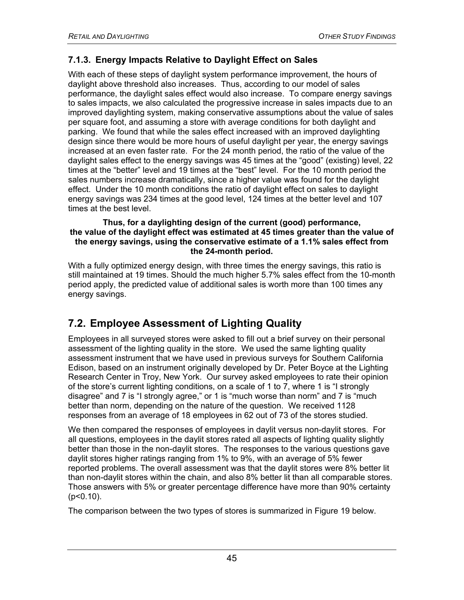### **7.1.3. Energy Impacts Relative to Daylight Effect on Sales**

With each of these steps of daylight system performance improvement, the hours of daylight above threshold also increases. Thus, according to our model of sales performance, the daylight sales effect would also increase. To compare energy savings to sales impacts, we also calculated the progressive increase in sales impacts due to an improved daylighting system, making conservative assumptions about the value of sales per square foot, and assuming a store with average conditions for both daylight and parking. We found that while the sales effect increased with an improved daylighting design since there would be more hours of useful daylight per year, the energy savings increased at an even faster rate. For the 24 month period, the ratio of the value of the daylight sales effect to the energy savings was 45 times at the "good" (existing) level, 22 times at the "better" level and 19 times at the "best" level. For the 10 month period the sales numbers increase dramatically, since a higher value was found for the daylight effect. Under the 10 month conditions the ratio of daylight effect on sales to daylight energy savings was 234 times at the good level, 124 times at the better level and 107 times at the best level.

#### **Thus, for a daylighting design of the current (good) performance, the value of the daylight effect was estimated at 45 times greater than the value of the energy savings, using the conservative estimate of a 1.1% sales effect from the 24-month period.**

With a fully optimized energy design, with three times the energy savings, this ratio is still maintained at 19 times. Should the much higher 5.7% sales effect from the 10-month period apply, the predicted value of additional sales is worth more than 100 times any energy savings.

# **7.2. Employee Assessment of Lighting Quality**

Employees in all surveyed stores were asked to fill out a brief survey on their personal assessment of the lighting quality in the store. We used the same lighting quality assessment instrument that we have used in previous surveys for Southern California Edison, based on an instrument originally developed by Dr. Peter Boyce at the Lighting Research Center in Troy, New York. Our survey asked employees to rate their opinion of the store's current lighting conditions, on a scale of 1 to 7, where 1 is "I strongly disagree" and 7 is "I strongly agree," or 1 is "much worse than norm" and 7 is "much better than norm, depending on the nature of the question. We received 1128 responses from an average of 18 employees in 62 out of 73 of the stores studied.

We then compared the responses of employees in daylit versus non-daylit stores. For all questions, employees in the daylit stores rated all aspects of lighting quality slightly better than those in the non-daylit stores. The responses to the various questions gave daylit stores higher ratings ranging from 1% to 9%, with an average of 5% fewer reported problems. The overall assessment was that the daylit stores were 8% better lit than non-daylit stores within the chain, and also 8% better lit than all comparable stores. Those answers with 5% or greater percentage difference have more than 90% certainty  $(p<0.10)$ .

The comparison between the two types of stores is summarized in Figure 19 below.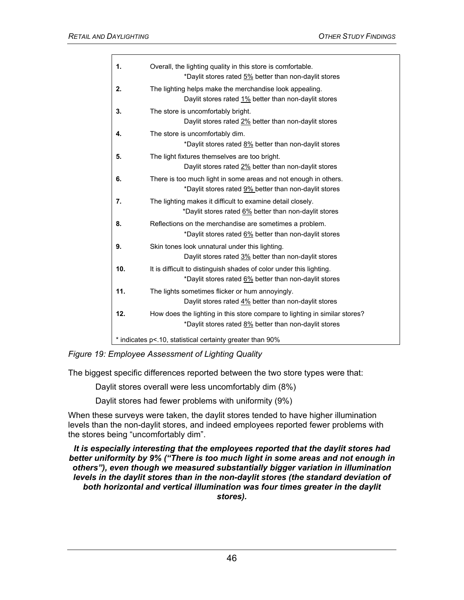| 1.  | Overall, the lighting quality in this store is comfortable.<br>*Daylit stores rated 5% better than non-daylit stores                |
|-----|-------------------------------------------------------------------------------------------------------------------------------------|
| 2.  | The lighting helps make the merchandise look appealing.<br>Daylit stores rated 1% better than non-daylit stores                     |
| 3.  | The store is uncomfortably bright.<br>Daylit stores rated 2% better than non-daylit stores                                          |
| 4.  | The store is uncomfortably dim.<br>*Daylit stores rated 8% better than non-daylit stores                                            |
| 5.  | The light fixtures themselves are too bright.<br>Daylit stores rated 2% better than non-daylit stores                               |
| 6.  | There is too much light in some areas and not enough in others.<br>*Daylit stores rated 9% better than non-daylit stores            |
| 7.  | The lighting makes it difficult to examine detail closely.<br>*Daylit stores rated 6% better than non-daylit stores                 |
| 8.  | Reflections on the merchandise are sometimes a problem.<br>*Daylit stores rated 6% better than non-daylit stores                    |
| 9.  | Skin tones look unnatural under this lighting.<br>Daylit stores rated 3% better than non-daylit stores                              |
| 10. | It is difficult to distinguish shades of color under this lighting.<br>*Daylit stores rated 6% better than non-daylit stores        |
| 11. | The lights sometimes flicker or hum annoyingly.<br>Daylit stores rated 4% better than non-daylit stores                             |
| 12. | How does the lighting in this store compare to lighting in similar stores?<br>*Daylit stores rated 8% better than non-daylit stores |
|     | * indicates p<.10, statistical certainty greater than 90%                                                                           |



The biggest specific differences reported between the two store types were that:

Daylit stores overall were less uncomfortably dim (8%)

Daylit stores had fewer problems with uniformity (9%)

When these surveys were taken, the daylit stores tended to have higher illumination levels than the non-daylit stores, and indeed employees reported fewer problems with the stores being "uncomfortably dim".

*It is especially interesting that the employees reported that the daylit stores had better uniformity by 9% ("There is too much light in some areas and not enough in others"), even though we measured substantially bigger variation in illumination levels in the daylit stores than in the non-daylit stores (the standard deviation of both horizontal and vertical illumination was four times greater in the daylit stores).*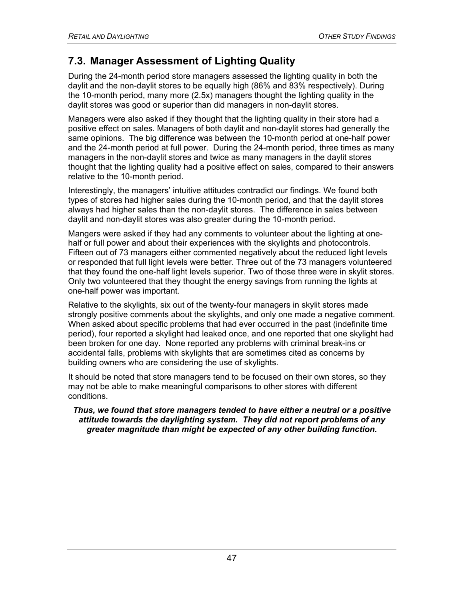## **7.3. Manager Assessment of Lighting Quality**

During the 24-month period store managers assessed the lighting quality in both the daylit and the non-daylit stores to be equally high (86% and 83% respectively). During the 10-month period, many more (2.5x) managers thought the lighting quality in the daylit stores was good or superior than did managers in non-daylit stores.

Managers were also asked if they thought that the lighting quality in their store had a positive effect on sales. Managers of both daylit and non-daylit stores had generally the same opinions. The big difference was between the 10-month period at one-half power and the 24-month period at full power. During the 24-month period, three times as many managers in the non-daylit stores and twice as many managers in the daylit stores thought that the lighting quality had a positive effect on sales, compared to their answers relative to the 10-month period.

Interestingly, the managers' intuitive attitudes contradict our findings. We found both types of stores had higher sales during the 10-month period, and that the daylit stores always had higher sales than the non-daylit stores. The difference in sales between daylit and non-daylit stores was also greater during the 10-month period.

Mangers were asked if they had any comments to volunteer about the lighting at onehalf or full power and about their experiences with the skylights and photocontrols. Fifteen out of 73 managers either commented negatively about the reduced light levels or responded that full light levels were better. Three out of the 73 managers volunteered that they found the one-half light levels superior. Two of those three were in skylit stores. Only two volunteered that they thought the energy savings from running the lights at one-half power was important.

Relative to the skylights, six out of the twenty-four managers in skylit stores made strongly positive comments about the skylights, and only one made a negative comment. When asked about specific problems that had ever occurred in the past (indefinite time period), four reported a skylight had leaked once, and one reported that one skylight had been broken for one day. None reported any problems with criminal break-ins or accidental falls, problems with skylights that are sometimes cited as concerns by building owners who are considering the use of skylights.

It should be noted that store managers tend to be focused on their own stores, so they may not be able to make meaningful comparisons to other stores with different conditions.

#### *Thus, we found that store managers tended to have either a neutral or a positive attitude towards the daylighting system. They did not report problems of any greater magnitude than might be expected of any other building function.*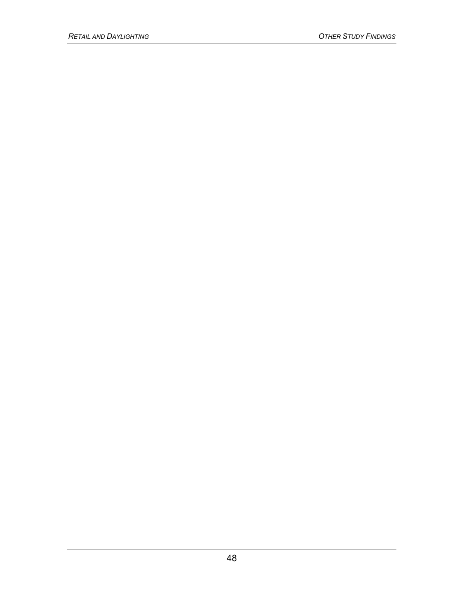48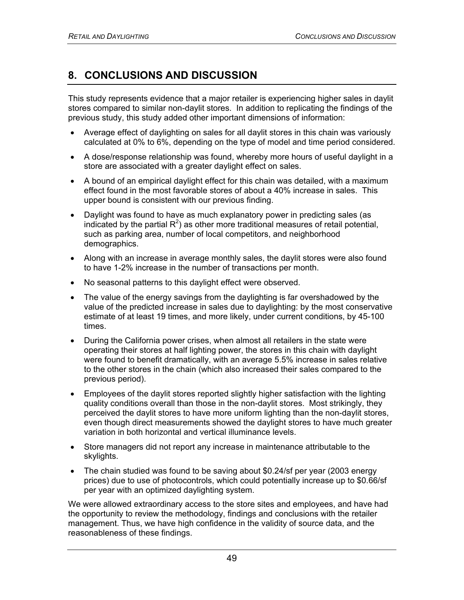## **8. CONCLUSIONS AND DISCUSSION**

This study represents evidence that a major retailer is experiencing higher sales in daylit stores compared to similar non-daylit stores. In addition to replicating the findings of the previous study, this study added other important dimensions of information:

- Average effect of daylighting on sales for all daylit stores in this chain was variously calculated at 0% to 6%, depending on the type of model and time period considered.
- A dose/response relationship was found, whereby more hours of useful daylight in a store are associated with a greater daylight effect on sales.
- A bound of an empirical daylight effect for this chain was detailed, with a maximum effect found in the most favorable stores of about a 40% increase in sales. This upper bound is consistent with our previous finding.
- Daylight was found to have as much explanatory power in predicting sales (as indicated by the partial  $R^2$ ) as other more traditional measures of retail potential, such as parking area, number of local competitors, and neighborhood demographics.
- Along with an increase in average monthly sales, the daylit stores were also found to have 1-2% increase in the number of transactions per month.
- No seasonal patterns to this daylight effect were observed.
- The value of the energy savings from the daylighting is far overshadowed by the value of the predicted increase in sales due to daylighting: by the most conservative estimate of at least 19 times, and more likely, under current conditions, by 45-100 times.
- During the California power crises, when almost all retailers in the state were operating their stores at half lighting power, the stores in this chain with daylight were found to benefit dramatically, with an average 5.5% increase in sales relative to the other stores in the chain (which also increased their sales compared to the previous period).
- Employees of the daylit stores reported slightly higher satisfaction with the lighting quality conditions overall than those in the non-daylit stores. Most strikingly, they perceived the daylit stores to have more uniform lighting than the non-daylit stores, even though direct measurements showed the daylight stores to have much greater variation in both horizontal and vertical illuminance levels.
- Store managers did not report any increase in maintenance attributable to the skylights.
- The chain studied was found to be saving about \$0.24/sf per year (2003 energy prices) due to use of photocontrols, which could potentially increase up to \$0.66/sf per year with an optimized daylighting system.

We were allowed extraordinary access to the store sites and employees, and have had the opportunity to review the methodology, findings and conclusions with the retailer management. Thus, we have high confidence in the validity of source data, and the reasonableness of these findings.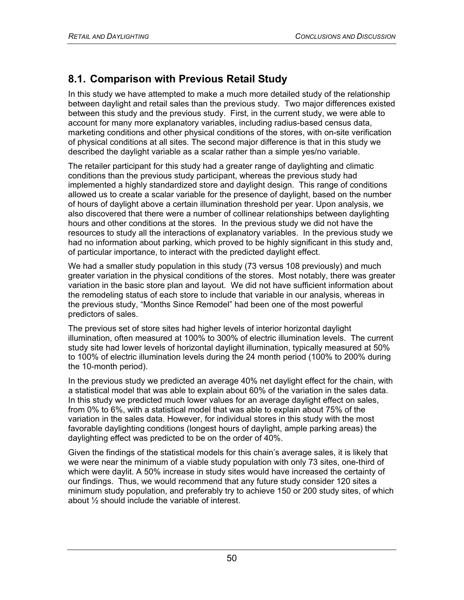# **8.1. Comparison with Previous Retail Study**

In this study we have attempted to make a much more detailed study of the relationship between daylight and retail sales than the previous study. Two major differences existed between this study and the previous study. First, in the current study, we were able to account for many more explanatory variables, including radius-based census data, marketing conditions and other physical conditions of the stores, with on-site verification of physical conditions at all sites. The second major difference is that in this study we described the daylight variable as a scalar rather than a simple yes/no variable.

The retailer participant for this study had a greater range of daylighting and climatic conditions than the previous study participant, whereas the previous study had implemented a highly standardized store and daylight design. This range of conditions allowed us to create a scalar variable for the presence of daylight, based on the number of hours of daylight above a certain illumination threshold per year. Upon analysis, we also discovered that there were a number of collinear relationships between daylighting hours and other conditions at the stores. In the previous study we did not have the resources to study all the interactions of explanatory variables. In the previous study we had no information about parking, which proved to be highly significant in this study and, of particular importance, to interact with the predicted daylight effect.

We had a smaller study population in this study (73 versus 108 previously) and much greater variation in the physical conditions of the stores. Most notably, there was greater variation in the basic store plan and layout. We did not have sufficient information about the remodeling status of each store to include that variable in our analysis, whereas in the previous study, "Months Since Remodel" had been one of the most powerful predictors of sales.

The previous set of store sites had higher levels of interior horizontal daylight illumination, often measured at 100% to 300% of electric illumination levels. The current study site had lower levels of horizontal daylight illumination, typically measured at 50% to 100% of electric illumination levels during the 24 month period (100% to 200% during the 10-month period).

In the previous study we predicted an average 40% net daylight effect for the chain, with a statistical model that was able to explain about 60% of the variation in the sales data. In this study we predicted much lower values for an average daylight effect on sales, from 0% to 6%, with a statistical model that was able to explain about 75% of the variation in the sales data. However, for individual stores in this study with the most favorable daylighting conditions (longest hours of daylight, ample parking areas) the daylighting effect was predicted to be on the order of 40%.

Given the findings of the statistical models for this chain's average sales, it is likely that we were near the minimum of a viable study population with only 73 sites, one-third of which were daylit. A 50% increase in study sites would have increased the certainty of our findings. Thus, we would recommend that any future study consider 120 sites a minimum study population, and preferably try to achieve 150 or 200 study sites, of which about ½ should include the variable of interest.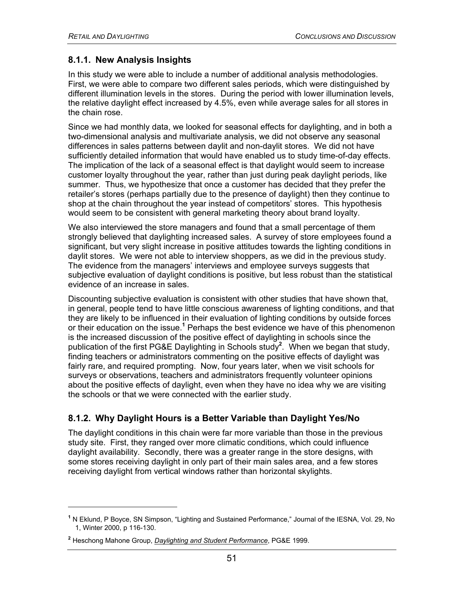### **8.1.1. New Analysis Insights**

In this study we were able to include a number of additional analysis methodologies. First, we were able to compare two different sales periods, which were distinguished by different illumination levels in the stores. During the period with lower illumination levels, the relative daylight effect increased by 4.5%, even while average sales for all stores in the chain rose.

Since we had monthly data, we looked for seasonal effects for daylighting, and in both a two-dimensional analysis and multivariate analysis, we did not observe any seasonal differences in sales patterns between daylit and non-daylit stores. We did not have sufficiently detailed information that would have enabled us to study time-of-day effects. The implication of the lack of a seasonal effect is that daylight would seem to increase customer loyalty throughout the year, rather than just during peak daylight periods, like summer. Thus, we hypothesize that once a customer has decided that they prefer the retailer's stores (perhaps partially due to the presence of daylight) then they continue to shop at the chain throughout the year instead of competitors' stores. This hypothesis would seem to be consistent with general marketing theory about brand loyalty.

We also interviewed the store managers and found that a small percentage of them strongly believed that daylighting increased sales. A survey of store employees found a significant, but very slight increase in positive attitudes towards the lighting conditions in daylit stores. We were not able to interview shoppers, as we did in the previous study. The evidence from the managers' interviews and employee surveys suggests that subjective evaluation of daylight conditions is positive, but less robust than the statistical evidence of an increase in sales.

Discounting subjective evaluation is consistent with other studies that have shown that, in general, people tend to have little conscious awareness of lighting conditions, and that they are likely to be influenced in their evaluation of lighting conditions by outside forces or their education on the issue.<sup>1</sup> Perhaps the best evidence we have of this phenomenon is the increased discussion of the positive effect of daylighting in schools since the publication of the first PG&E Daylighting in Schools study**<sup>2</sup>** . When we began that study, finding teachers or administrators commenting on the positive effects of daylight was fairly rare, and required prompting. Now, four years later, when we visit schools for surveys or observations, teachers and administrators frequently volunteer opinions about the positive effects of daylight, even when they have no idea why we are visiting the schools or that we were connected with the earlier study.

### **8.1.2. Why Daylight Hours is a Better Variable than Daylight Yes/No**

The daylight conditions in this chain were far more variable than those in the previous study site. First, they ranged over more climatic conditions, which could influence daylight availability. Secondly, there was a greater range in the store designs, with some stores receiving daylight in only part of their main sales area, and a few stores receiving daylight from vertical windows rather than horizontal skylights.

<sup>&</sup>lt;sup>1</sup> N Eklund, P Boyce, SN Simpson, "Lighting and Sustained Performance," Journal of the IESNA, Vol. 29, No 1, Winter 2000, p 116-130.

**<sup>2</sup>** Heschong Mahone Group, *Daylighting and Student Performance*, PG&E 1999.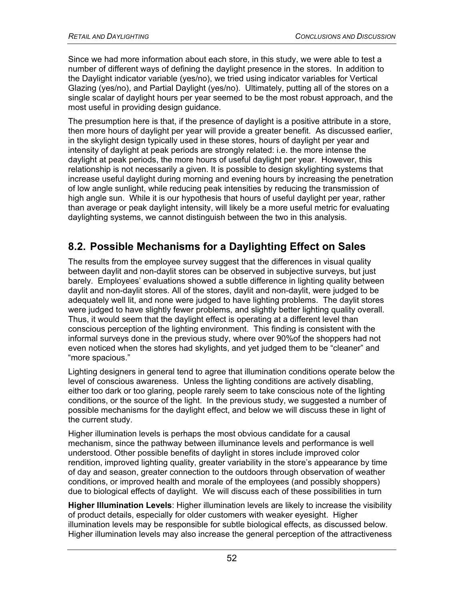Since we had more information about each store, in this study, we were able to test a number of different ways of defining the daylight presence in the stores. In addition to the Daylight indicator variable (yes/no), we tried using indicator variables for Vertical Glazing (yes/no), and Partial Daylight (yes/no). Ultimately, putting all of the stores on a single scalar of daylight hours per year seemed to be the most robust approach, and the most useful in providing design guidance.

The presumption here is that, if the presence of daylight is a positive attribute in a store, then more hours of daylight per year will provide a greater benefit. As discussed earlier, in the skylight design typically used in these stores, hours of daylight per year and intensity of daylight at peak periods are strongly related: i.e. the more intense the daylight at peak periods, the more hours of useful daylight per year. However, this relationship is not necessarily a given. It is possible to design skylighting systems that increase useful daylight during morning and evening hours by increasing the penetration of low angle sunlight, while reducing peak intensities by reducing the transmission of high angle sun. While it is our hypothesis that hours of useful daylight per year, rather than average or peak daylight intensity, will likely be a more useful metric for evaluating daylighting systems, we cannot distinguish between the two in this analysis.

## **8.2. Possible Mechanisms for a Daylighting Effect on Sales**

The results from the employee survey suggest that the differences in visual quality between daylit and non-daylit stores can be observed in subjective surveys, but just barely. Employees' evaluations showed a subtle difference in lighting quality between daylit and non-daylit stores. All of the stores, daylit and non-daylit, were judged to be adequately well lit, and none were judged to have lighting problems. The daylit stores were judged to have slightly fewer problems, and slightly better lighting quality overall. Thus, it would seem that the daylight effect is operating at a different level than conscious perception of the lighting environment. This finding is consistent with the informal surveys done in the previous study, where over 90%of the shoppers had not even noticed when the stores had skylights, and yet judged them to be "cleaner" and "more spacious."

Lighting designers in general tend to agree that illumination conditions operate below the level of conscious awareness. Unless the lighting conditions are actively disabling, either too dark or too glaring, people rarely seem to take conscious note of the lighting conditions, or the source of the light. In the previous study, we suggested a number of possible mechanisms for the daylight effect, and below we will discuss these in light of the current study.

Higher illumination levels is perhaps the most obvious candidate for a causal mechanism, since the pathway between illuminance levels and performance is well understood. Other possible benefits of daylight in stores include improved color rendition, improved lighting quality, greater variability in the store's appearance by time of day and season, greater connection to the outdoors through observation of weather conditions, or improved health and morale of the employees (and possibly shoppers) due to biological effects of daylight. We will discuss each of these possibilities in turn

**Higher Illumination Levels**: Higher illumination levels are likely to increase the visibility of product details, especially for older customers with weaker eyesight. Higher illumination levels may be responsible for subtle biological effects, as discussed below. Higher illumination levels may also increase the general perception of the attractiveness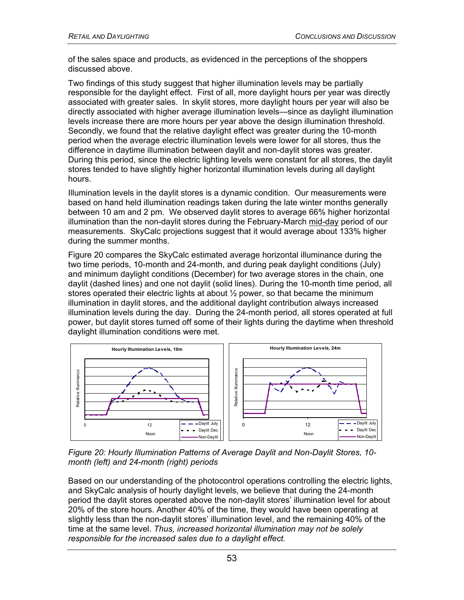of the sales space and products, as evidenced in the perceptions of the shoppers discussed above.

Two findings of this study suggest that higher illumination levels may be partially responsible for the daylight effect. First of all, more daylight hours per year was directly associated with greater sales. In skylit stores, more daylight hours per year will also be directly associated with higher average illumination levels—since as daylight illumination levels increase there are more hours per year above the design illumination threshold. Secondly, we found that the relative daylight effect was greater during the 10-month period when the average electric illumination levels were lower for all stores, thus the difference in daytime illumination between daylit and non-daylit stores was greater. During this period, since the electric lighting levels were constant for all stores, the daylit stores tended to have slightly higher horizontal illumination levels during all daylight hours.

Illumination levels in the daylit stores is a dynamic condition. Our measurements were based on hand held illumination readings taken during the late winter months generally between 10 am and 2 pm. We observed daylit stores to average 66% higher horizontal illumination than the non-daylit stores during the February-March mid-day period of our measurements. SkyCalc projections suggest that it would average about 133% higher during the summer months.

Figure 20 compares the SkyCalc estimated average horizontal illuminance during the two time periods, 10-month and 24-month, and during peak daylight conditions (July) and minimum daylight conditions (December) for two average stores in the chain, one daylit (dashed lines) and one not daylit (solid lines). During the 10-month time period, all stores operated their electric lights at about ½ power, so that became the minimum illumination in daylit stores, and the additional daylight contribution always increased illumination levels during the day. During the 24-month period, all stores operated at full power, but daylit stores turned off some of their lights during the daytime when threshold daylight illumination conditions were met.



*Figure 20: Hourly Illumination Patterns of Average Daylit and Non-Daylit Stores, 10 month (left) and 24-month (right) periods* 

Based on our understanding of the photocontrol operations controlling the electric lights, and SkyCalc analysis of hourly daylight levels, we believe that during the 24-month period the daylit stores operated above the non-daylit stores' illumination level for about 20% of the store hours. Another 40% of the time, they would have been operating at slightly less than the non-daylit stores' illumination level, and the remaining 40% of the time at the same level. *Thus, increased horizontal illumination may not be solely responsible for the increased sales due to a daylight effect.*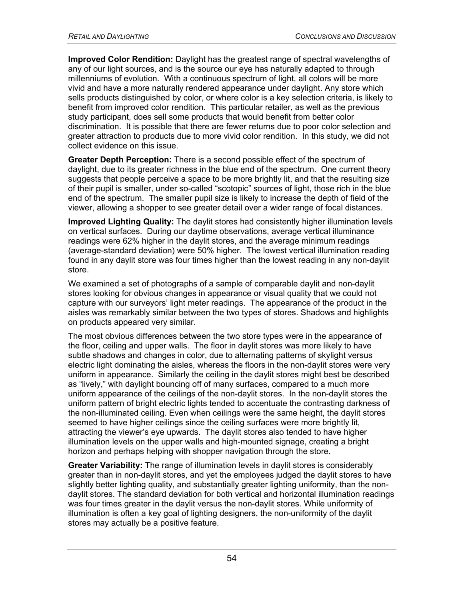**Improved Color Rendition:** Daylight has the greatest range of spectral wavelengths of any of our light sources, and is the source our eye has naturally adapted to through millenniums of evolution. With a continuous spectrum of light, all colors will be more vivid and have a more naturally rendered appearance under daylight. Any store which sells products distinguished by color, or where color is a key selection criteria, is likely to benefit from improved color rendition. This particular retailer, as well as the previous study participant, does sell some products that would benefit from better color discrimination. It is possible that there are fewer returns due to poor color selection and greater attraction to products due to more vivid color rendition. In this study, we did not collect evidence on this issue.

**Greater Depth Perception:** There is a second possible effect of the spectrum of daylight, due to its greater richness in the blue end of the spectrum. One current theory suggests that people perceive a space to be more brightly lit, and that the resulting size of their pupil is smaller, under so-called "scotopic" sources of light, those rich in the blue end of the spectrum. The smaller pupil size is likely to increase the depth of field of the viewer, allowing a shopper to see greater detail over a wider range of focal distances.

**Improved Lighting Quality:** The daylit stores had consistently higher illumination levels on vertical surfaces. During our daytime observations, average vertical illuminance readings were 62% higher in the daylit stores, and the average minimum readings (average-standard deviation) were 50% higher. The lowest vertical illumination reading found in any daylit store was four times higher than the lowest reading in any non-daylit store.

We examined a set of photographs of a sample of comparable daylit and non-daylit stores looking for obvious changes in appearance or visual quality that we could not capture with our surveyors' light meter readings. The appearance of the product in the aisles was remarkably similar between the two types of stores. Shadows and highlights on products appeared very similar.

The most obvious differences between the two store types were in the appearance of the floor, ceiling and upper walls. The floor in daylit stores was more likely to have subtle shadows and changes in color, due to alternating patterns of skylight versus electric light dominating the aisles, whereas the floors in the non-daylit stores were very uniform in appearance. Similarly the ceiling in the daylit stores might best be described as "lively," with daylight bouncing off of many surfaces, compared to a much more uniform appearance of the ceilings of the non-daylit stores. In the non-daylit stores the uniform pattern of bright electric lights tended to accentuate the contrasting darkness of the non-illuminated ceiling. Even when ceilings were the same height, the daylit stores seemed to have higher ceilings since the ceiling surfaces were more brightly lit, attracting the viewer's eye upwards. The daylit stores also tended to have higher illumination levels on the upper walls and high-mounted signage, creating a bright horizon and perhaps helping with shopper navigation through the store.

**Greater Variability:** The range of illumination levels in daylit stores is considerably greater than in non-daylit stores, and yet the employees judged the daylit stores to have slightly better lighting quality, and substantially greater lighting uniformity, than the nondaylit stores. The standard deviation for both vertical and horizontal illumination readings was four times greater in the daylit versus the non-daylit stores. While uniformity of illumination is often a key goal of lighting designers, the non-uniformity of the daylit stores may actually be a positive feature.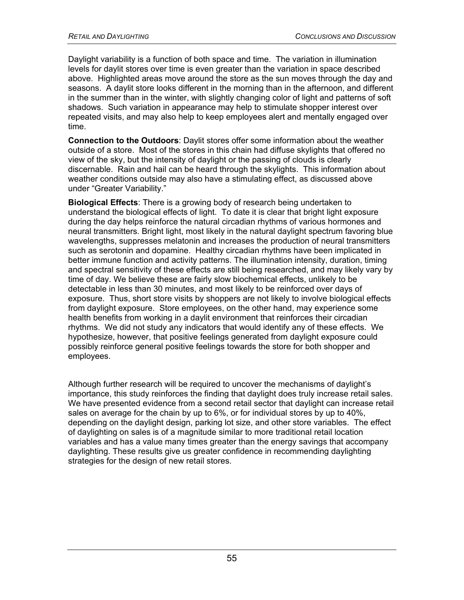Daylight variability is a function of both space and time. The variation in illumination levels for daylit stores over time is even greater than the variation in space described above. Highlighted areas move around the store as the sun moves through the day and seasons. A daylit store looks different in the morning than in the afternoon, and different in the summer than in the winter, with slightly changing color of light and patterns of soft shadows. Such variation in appearance may help to stimulate shopper interest over repeated visits, and may also help to keep employees alert and mentally engaged over time.

**Connection to the Outdoors**: Daylit stores offer some information about the weather outside of a store. Most of the stores in this chain had diffuse skylights that offered no view of the sky, but the intensity of daylight or the passing of clouds is clearly discernable. Rain and hail can be heard through the skylights. This information about weather conditions outside may also have a stimulating effect, as discussed above under "Greater Variability."

**Biological Effects**: There is a growing body of research being undertaken to understand the biological effects of light. To date it is clear that bright light exposure during the day helps reinforce the natural circadian rhythms of various hormones and neural transmitters. Bright light, most likely in the natural daylight spectrum favoring blue wavelengths, suppresses melatonin and increases the production of neural transmitters such as serotonin and dopamine. Healthy circadian rhythms have been implicated in better immune function and activity patterns. The illumination intensity, duration, timing and spectral sensitivity of these effects are still being researched, and may likely vary by time of day. We believe these are fairly slow biochemical effects, unlikely to be detectable in less than 30 minutes, and most likely to be reinforced over days of exposure. Thus, short store visits by shoppers are not likely to involve biological effects from daylight exposure. Store employees, on the other hand, may experience some health benefits from working in a daylit environment that reinforces their circadian rhythms. We did not study any indicators that would identify any of these effects. We hypothesize, however, that positive feelings generated from daylight exposure could possibly reinforce general positive feelings towards the store for both shopper and employees.

Although further research will be required to uncover the mechanisms of daylight's importance, this study reinforces the finding that daylight does truly increase retail sales. We have presented evidence from a second retail sector that daylight can increase retail sales on average for the chain by up to 6%, or for individual stores by up to 40%, depending on the daylight design, parking lot size, and other store variables. The effect of daylighting on sales is of a magnitude similar to more traditional retail location variables and has a value many times greater than the energy savings that accompany daylighting. These results give us greater confidence in recommending daylighting strategies for the design of new retail stores.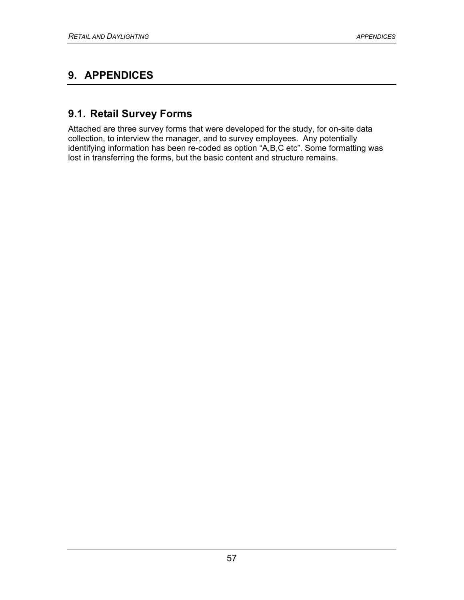## **9. APPENDICES**

## **9.1. Retail Survey Forms**

Attached are three survey forms that were developed for the study, for on-site data collection, to interview the manager, and to survey employees. Any potentially identifying information has been re-coded as option "A,B,C etc". Some formatting was lost in transferring the forms, but the basic content and structure remains.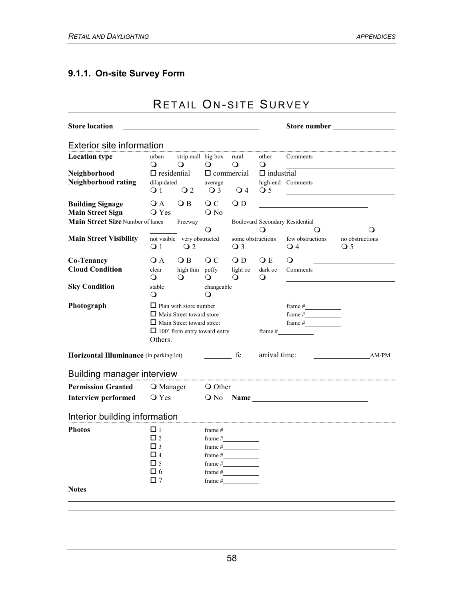# **9.1.1. On-site Survey Form**

# RETAIL ON-SITE SURVEY

| <b>Store location</b>                              |                                                                             |                                                                                                      |                                              |                                                                       |                                   |                                                                                                                                                                                                                               |                               |
|----------------------------------------------------|-----------------------------------------------------------------------------|------------------------------------------------------------------------------------------------------|----------------------------------------------|-----------------------------------------------------------------------|-----------------------------------|-------------------------------------------------------------------------------------------------------------------------------------------------------------------------------------------------------------------------------|-------------------------------|
| <b>Exterior site information</b>                   |                                                                             |                                                                                                      |                                              |                                                                       |                                   |                                                                                                                                                                                                                               |                               |
| <b>Location type</b>                               | urban<br>$\Omega$                                                           | strip mall big-box<br>$\Omega$                                                                       | $\Omega$                                     | rural<br>$\Omega$                                                     | other<br>$\circ$                  | Comments                                                                                                                                                                                                                      |                               |
| Neighborhood<br>Neighborhood rating                | $\Box$ residential<br>dilapidated<br>$\bigcirc$ 1                           | $\Omega$                                                                                             | $\Box$ commercial<br>average<br>$\bigcirc$ 3 | $\bigcirc$ 4                                                          | $\Box$ industrial<br>$\bigcirc$ 5 | high-end Comments                                                                                                                                                                                                             |                               |
| <b>Building Signage</b><br><b>Main Street Sign</b> | $\bigcirc$ A<br><b>O</b> Yes                                                | O B                                                                                                  | $\overline{O}C$<br>$\overline{O}$ No         | $\overline{O}$ D                                                      |                                   |                                                                                                                                                                                                                               |                               |
| Main Street Size Number of lanes                   |                                                                             | Freeway                                                                                              | $\circ$                                      |                                                                       | O                                 | <b>Boulevard Secondary Residential</b><br>O                                                                                                                                                                                   | O                             |
| <b>Main Street Visibility</b>                      | $\Omega$ 1                                                                  | not visible very obstructed<br>$\Omega$                                                              |                                              | some obstructions<br>$\bigcirc$ 3                                     |                                   | few obstructions<br>$\Omega$ 4                                                                                                                                                                                                | no obstructions<br>$\Omega$ 5 |
| <b>Co-Tenancy</b><br><b>Cloud Condition</b>        | O A<br>clear<br>$\circ$                                                     | $\bigcirc$ B<br>high thin puffy<br>$\circ$                                                           | $\circ$ C<br>$\circ$                         | OD.<br>light oc<br>$\circ$                                            | O E<br>dark oc<br>$\circ$         | $\Omega$<br>Comments                                                                                                                                                                                                          |                               |
| <b>Sky Condition</b>                               | stable<br>$\Omega$                                                          |                                                                                                      | changeable<br>O                              |                                                                       |                                   |                                                                                                                                                                                                                               |                               |
| Photograph                                         |                                                                             | $\Box$ Plan with store number<br>$\Box$ Main Street toward store<br>$\Box$ Main Street toward street | $\Box$ 100' from entry toward entry          |                                                                       | frame $#$                         | frame $#$                                                                                                                                                                                                                     |                               |
| Horizontal Illuminance (in parking lot)            | $\frac{\ }{}$ fc                                                            |                                                                                                      | arrival time:                                |                                                                       | AM/PM                             |                                                                                                                                                                                                                               |                               |
| <b>Building manager interview</b>                  |                                                                             |                                                                                                      |                                              |                                                                       |                                   |                                                                                                                                                                                                                               |                               |
| <b>Permission Granted</b>                          | O Manager                                                                   |                                                                                                      | <b>Q</b> Other                               |                                                                       |                                   |                                                                                                                                                                                                                               |                               |
| <b>Interview performed</b>                         | O Yes                                                                       |                                                                                                      | $Q$ No                                       |                                                                       |                                   | Name and the same state of the state of the state of the state of the state of the state of the state of the state of the state of the state of the state of the state of the state of the state of the state of the state of |                               |
| Interior building information                      |                                                                             |                                                                                                      |                                              |                                                                       |                                   |                                                                                                                                                                                                                               |                               |
| <b>Photos</b>                                      | □ 1<br>$\Box$ 2<br>$\Box$ 3<br>$\Box$ 4<br>$\Box$ 5<br>$\Box$ 6<br>$\Box$ 7 |                                                                                                      | frame #<br>frame $#$                         | frame $#$<br><u> 1990 - John Barnett, f</u><br>frame $#$<br>frame $#$ |                                   |                                                                                                                                                                                                                               |                               |
| <b>Notes</b>                                       |                                                                             |                                                                                                      |                                              |                                                                       |                                   |                                                                                                                                                                                                                               |                               |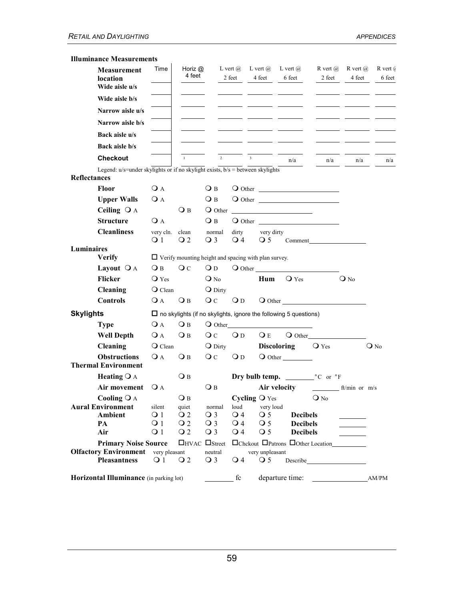| <b>Illuminance Measurements</b>                                                    |                            |                                                             |                         |                        |                                      |                                                                                                                                                                                                                                |                        |                        |                             |
|------------------------------------------------------------------------------------|----------------------------|-------------------------------------------------------------|-------------------------|------------------------|--------------------------------------|--------------------------------------------------------------------------------------------------------------------------------------------------------------------------------------------------------------------------------|------------------------|------------------------|-----------------------------|
| <b>Measurement</b><br>location<br>Wide aisle u/s                                   | Time                       | Horiz $@$<br>4 feet                                         |                         | L vert $(a)$<br>2 feet | L vert $\omega$<br>4 feet            | L vert $\omega$<br>6 feet                                                                                                                                                                                                      | R vert $(a)$<br>2 feet | R vert $(a)$<br>4 feet | $R$ vert $\alpha$<br>6 feet |
| Wide aisle b/s                                                                     |                            |                                                             |                         |                        |                                      |                                                                                                                                                                                                                                |                        |                        |                             |
| Narrow aisle u/s                                                                   |                            |                                                             |                         |                        |                                      |                                                                                                                                                                                                                                |                        |                        |                             |
| Narrow aisle b/s                                                                   |                            |                                                             |                         |                        |                                      |                                                                                                                                                                                                                                |                        |                        |                             |
| Back aisle u/s                                                                     |                            |                                                             |                         |                        |                                      |                                                                                                                                                                                                                                |                        |                        |                             |
| Back aisle b/s                                                                     |                            |                                                             |                         |                        |                                      |                                                                                                                                                                                                                                |                        |                        |                             |
| <b>Checkout</b>                                                                    |                            |                                                             |                         |                        |                                      | n/a                                                                                                                                                                                                                            | n/a                    | n/a                    | n/a                         |
| Legend: $u/s$ =under skylights or if no skylight exists, $b/s$ = between skylights |                            |                                                             |                         |                        |                                      |                                                                                                                                                                                                                                |                        |                        |                             |
| Reflectances                                                                       |                            |                                                             |                         |                        |                                      |                                                                                                                                                                                                                                |                        |                        |                             |
| <b>Floor</b>                                                                       | $\bigcirc$ A               |                                                             | $\bigcirc$ B            |                        |                                      |                                                                                                                                                                                                                                |                        |                        |                             |
| <b>Upper Walls</b>                                                                 | $\bigcirc$ A               |                                                             | $\bigcirc$ B            |                        |                                      |                                                                                                                                                                                                                                |                        |                        |                             |
| Ceiling $O A$                                                                      |                            | О В                                                         | $\overline{Q}$ Other    |                        |                                      |                                                                                                                                                                                                                                |                        |                        |                             |
| <b>Structure</b>                                                                   | O A                        |                                                             | OВ                      |                        |                                      | O Other and the contract of the contract of the contract of the contract of the contract of the contract of the contract of the contract of the contract of the contract of the contract of the contract of the contract of th |                        |                        |                             |
| <b>Cleanliness</b>                                                                 | very cln.                  | clean                                                       | normal                  | dirty                  | very dirty                           |                                                                                                                                                                                                                                |                        |                        |                             |
| Luminaires                                                                         | $\bigcirc$ 1               | $\mathsf{Q}$ 2                                              | $\bigcirc$ 3            | $\bigcirc$ 4           | $\bigcirc$ 5                         | Comment                                                                                                                                                                                                                        |                        |                        |                             |
| <b>Verify</b>                                                                      |                            | $\Box$ Verify mounting height and spacing with plan survey. |                         |                        |                                      |                                                                                                                                                                                                                                |                        |                        |                             |
| Layout $\bigcirc$ A                                                                | $\bigcirc$ B               | $\mathsf{O} \mathsf{C}$                                     | O D                     |                        | $\bigcirc$ Other                     |                                                                                                                                                                                                                                |                        |                        |                             |
| <b>Flicker</b>                                                                     | $\mathbf{Q}$ Yes           |                                                             | $\mathbf{Q}$ No         |                        | Hum                                  | $\mathbf{Q}$ Yes                                                                                                                                                                                                               |                        | $\mathbf{Q}$ No        |                             |
| <b>Cleaning</b>                                                                    | $\overline{Q}$ Clean       |                                                             | $\overline{Q}$ Dirty    |                        |                                      |                                                                                                                                                                                                                                |                        |                        |                             |
| <b>Controls</b>                                                                    | $\overline{Q}$ A           | $\bigcirc$ B                                                | $\mathsf{O} \mathsf{C}$ | $\overline{O}$ D       |                                      | $\bigcirc$ Other                                                                                                                                                                                                               |                        |                        |                             |
| <b>Skylights</b>                                                                   |                            |                                                             |                         |                        |                                      | $\Box$ no skylights (if no skylights, ignore the following 5 questions)                                                                                                                                                        |                        |                        |                             |
| <b>Type</b>                                                                        | $\bigcirc$ A               | OВ                                                          | $\bigcirc$ Other        |                        |                                      |                                                                                                                                                                                                                                |                        |                        |                             |
| <b>Well Depth</b>                                                                  | $\bigcirc$ A               | OВ                                                          | $\mathsf{O} \mathsf{C}$ | Q <sub>D</sub>         | QE                                   | O Other                                                                                                                                                                                                                        |                        |                        |                             |
| <b>Cleaning</b>                                                                    | O Clean                    |                                                             | $\bigcirc$ Dirty        |                        | <b>Discoloring</b>                   |                                                                                                                                                                                                                                | $\mathbf{Q}$ Yes       |                        | $Q$ No                      |
| <b>Obstructions</b>                                                                | $\bigcirc$ A               | $\bigcirc$ B                                                | $Q_{C}$                 | Q <sub>D</sub>         |                                      | O Other                                                                                                                                                                                                                        |                        |                        |                             |
| <b>Thermal Environment</b>                                                         |                            |                                                             |                         |                        |                                      |                                                                                                                                                                                                                                |                        |                        |                             |
| Heating $\bigcirc$ A                                                               |                            | O B                                                         |                         |                        |                                      |                                                                                                                                                                                                                                |                        |                        |                             |
| Air movement                                                                       | OА                         |                                                             | O B                     |                        | Air velocity                         |                                                                                                                                                                                                                                |                        | ft/min or m/s          |                             |
| Cooling $\bigcirc$ A                                                               |                            | O <sub>B</sub>                                              |                         | Cycling $\bigcirc$ Yes |                                      |                                                                                                                                                                                                                                | $Q$ No                 |                        |                             |
| <b>Aural Environment</b><br><b>Ambient</b>                                         | silent<br>$\overline{O}$ 1 | quiet<br>$\overline{O}2$                                    | normal<br>$\bigcirc$ 3  | loud<br>$\bigcirc$ 4   | very loud<br>$\overline{\text{O}}$ 5 | <b>Decibels</b>                                                                                                                                                                                                                |                        |                        |                             |
| PA                                                                                 | $\bigcirc$ 1               | $\Omega$                                                    | $\bigcirc$ 3            | $\bigcirc$ 4           | $\bigcirc$ 5                         | <b>Decibels</b>                                                                                                                                                                                                                |                        |                        |                             |
| Air                                                                                | $\overline{O}$ 1           | $\overline{O}2$                                             | $\overline{O}3$         | $\bigcirc$ 4           | $\overline{O}5$                      | <b>Decibels</b>                                                                                                                                                                                                                |                        |                        |                             |
| <b>Primary Noise Source</b>                                                        |                            | $\Box$ HVAC $\Box$ Street                                   |                         |                        |                                      | $\Box$ Chckout $\Box$ Patrons $\Box$ Other Location                                                                                                                                                                            |                        |                        |                             |
| <b>Olfactory Environment</b>                                                       | very pleasant              |                                                             | neutral                 |                        | very unpleasant                      |                                                                                                                                                                                                                                |                        |                        |                             |
| <b>Pleasantness</b>                                                                | $\bigcirc$ 1               | $\overline{O}2$                                             | $\bigcirc$ 3            | $\bigcirc$ 4           | $\overline{\smash{\bigcirc}}\,$ 5    | Describe                                                                                                                                                                                                                       |                        |                        |                             |
| Horizontal Illuminance (in parking lot)                                            |                            |                                                             |                         | fc                     | departure time:                      |                                                                                                                                                                                                                                |                        |                        | AM/PM                       |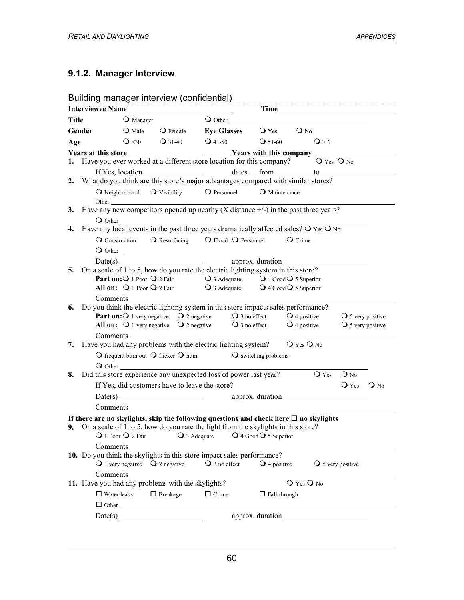# **9.1.2. Manager Interview**

|              |                       |                                    |                                                   | Building manager interview (confidential)                                                                                                                          |                                                               |                                                                                                                                                |                                                          |                   |
|--------------|-----------------------|------------------------------------|---------------------------------------------------|--------------------------------------------------------------------------------------------------------------------------------------------------------------------|---------------------------------------------------------------|------------------------------------------------------------------------------------------------------------------------------------------------|----------------------------------------------------------|-------------------|
|              |                       |                                    | Interviewee Name                                  |                                                                                                                                                                    | Time                                                          |                                                                                                                                                |                                                          |                   |
| <b>Title</b> |                       | O Manager                          |                                                   |                                                                                                                                                                    |                                                               |                                                                                                                                                |                                                          |                   |
| Gender       |                       | $\bigcirc$ Male                    | $\bigcirc$ Female                                 | <b>Eye Glasses</b> $Q$ Yes $Q$ No                                                                                                                                  |                                                               |                                                                                                                                                |                                                          |                   |
| Age          |                       | $Q \leq 30$                        | $Q$ 31-40                                         |                                                                                                                                                                    | $Q_{41-50}$ $Q_{51-60}$                                       | Q > 61                                                                                                                                         |                                                          |                   |
|              |                       |                                    |                                                   |                                                                                                                                                                    |                                                               | Years with this company ______                                                                                                                 |                                                          |                   |
|              |                       |                                    |                                                   | 1. Have you ever worked at a different store location for this company?                                                                                            |                                                               | O Yes O No                                                                                                                                     |                                                          |                   |
|              |                       |                                    |                                                   |                                                                                                                                                                    |                                                               | dates from to                                                                                                                                  |                                                          |                   |
| 2.           |                       |                                    |                                                   |                                                                                                                                                                    |                                                               | What do you think are this store's major advantages compared with similar stores?                                                              |                                                          |                   |
|              |                       |                                    |                                                   | O Neighborhood O Visibility O Personnel O Maintenance                                                                                                              |                                                               |                                                                                                                                                |                                                          |                   |
| 3.           | Other                 |                                    |                                                   |                                                                                                                                                                    |                                                               | Have any new competitors opened up nearby $(X$ distance $+\prime$ -) in the past three years?                                                  |                                                          |                   |
|              |                       |                                    |                                                   |                                                                                                                                                                    |                                                               |                                                                                                                                                |                                                          |                   |
| 4.           |                       |                                    |                                                   |                                                                                                                                                                    |                                                               | $\overline{O}$ Other $\overline{O}$ Other Have any local events in the past three years dramatically affected sales? $O$ Yes $\overline{O}$ No |                                                          |                   |
|              | <b>Q</b> Construction |                                    |                                                   | $\bigcirc$ Resurfacing $\bigcirc$ Flood $\bigcirc$ Personnel                                                                                                       |                                                               | O Crime                                                                                                                                        |                                                          |                   |
|              |                       |                                    |                                                   | $\bigcirc$ Other                                                                                                                                                   |                                                               |                                                                                                                                                |                                                          |                   |
|              |                       |                                    |                                                   | $Date(s)$ approx. duration                                                                                                                                         |                                                               |                                                                                                                                                |                                                          |                   |
| 5.           |                       |                                    |                                                   | On a scale of 1 to 5, how do you rate the electric lighting system in this store?                                                                                  |                                                               |                                                                                                                                                |                                                          |                   |
|              |                       |                                    |                                                   | Part on: O 1 Poor O 2 Fair O 3 Adequate O 4 Good O 5 Superior                                                                                                      |                                                               |                                                                                                                                                |                                                          |                   |
|              |                       | All on: $Q_1$ Poor $Q_2$ Fair      |                                                   |                                                                                                                                                                    | $\bigcirc$ 3 Adequate $\bigcirc$ 4 Good $\bigcirc$ 5 Superior |                                                                                                                                                |                                                          |                   |
|              |                       | Comments                           |                                                   |                                                                                                                                                                    |                                                               |                                                                                                                                                |                                                          |                   |
| 6.           |                       |                                    |                                                   | Do you think the electric lighting system in this store impacts sales performance?                                                                                 |                                                               |                                                                                                                                                |                                                          |                   |
|              |                       |                                    |                                                   | <b>Part on:</b> O 1 very negative O 2 negative O 3 no effect<br><b>All on:</b> $\overline{O}$ 1 very negative $\overline{O}$ 2 negative $\overline{O}$ 3 no effect |                                                               | $\bigcirc$ 4 positive<br>$\bigcirc$ 4 positive                                                                                                 | $\bigcirc$ 5 very positive<br>$\bigcirc$ 5 very positive |                   |
|              |                       | Comments                           |                                                   |                                                                                                                                                                    |                                                               |                                                                                                                                                |                                                          |                   |
| 7.           |                       |                                    |                                                   | Have you had any problems with the electric lighting system? $Q$ Yes $Q$ No                                                                                        |                                                               |                                                                                                                                                |                                                          |                   |
|              |                       |                                    |                                                   | $\overline{O}$ frequent burn out $\overline{O}$ flicker $\overline{O}$ hum $\overline{O}$ switching problems                                                       |                                                               |                                                                                                                                                |                                                          |                   |
|              |                       |                                    |                                                   |                                                                                                                                                                    |                                                               |                                                                                                                                                |                                                          |                   |
| 8.           |                       |                                    |                                                   | Did this store experience any unexpected loss of power last year?                                                                                                  |                                                               | <b>O</b> Yes                                                                                                                                   | $\mathbf{Q}$ No                                          |                   |
|              |                       |                                    | If Yes, did customers have to leave the store?    |                                                                                                                                                                    |                                                               |                                                                                                                                                | $\mathbf{Q}$ Yes                                         | $\overline{Q}$ No |
|              |                       |                                    |                                                   |                                                                                                                                                                    |                                                               | approx. duration                                                                                                                               |                                                          |                   |
|              |                       | Comments                           |                                                   |                                                                                                                                                                    |                                                               |                                                                                                                                                |                                                          |                   |
|              |                       |                                    |                                                   |                                                                                                                                                                    |                                                               | If there are no skylights, skip the following questions and check here $\square$ no skylights                                                  |                                                          |                   |
|              |                       |                                    |                                                   | 9. On a scale of 1 to 5, how do you rate the light from the skylights in this store?                                                                               |                                                               |                                                                                                                                                |                                                          |                   |
|              | Q 1 Poor Q 2 Fair     |                                    | $\bigcirc$ 3 Adequate                             |                                                                                                                                                                    | $\bigcirc$ 4 Good $\bigcirc$ 5 Superior                       |                                                                                                                                                |                                                          |                   |
|              | Comments              |                                    |                                                   | 10. Do you think the skylights in this store impact sales performance?                                                                                             |                                                               |                                                                                                                                                |                                                          |                   |
|              |                       |                                    | $\bigcirc$ 1 very negative $\bigcirc$ 2 negative  | ○ 3 no effect                                                                                                                                                      | $\bigcirc$ 4 positive                                         | $\bigcirc$ 5 very positive                                                                                                                     |                                                          |                   |
|              |                       | Comments                           |                                                   |                                                                                                                                                                    |                                                               |                                                                                                                                                |                                                          |                   |
|              |                       |                                    | 11. Have you had any problems with the skylights? |                                                                                                                                                                    |                                                               | $\bigcirc$ Yes $\bigcirc$ No                                                                                                                   |                                                          |                   |
|              |                       | $\Box$ Water leaks $\Box$ Breakage |                                                   | $\Box$ Crime                                                                                                                                                       | $\Box$ Fall-through                                           |                                                                                                                                                |                                                          |                   |
|              |                       |                                    | $\Box$ Other                                      |                                                                                                                                                                    |                                                               |                                                                                                                                                |                                                          |                   |
|              |                       |                                    |                                                   |                                                                                                                                                                    |                                                               |                                                                                                                                                |                                                          |                   |
|              |                       |                                    |                                                   |                                                                                                                                                                    |                                                               |                                                                                                                                                |                                                          |                   |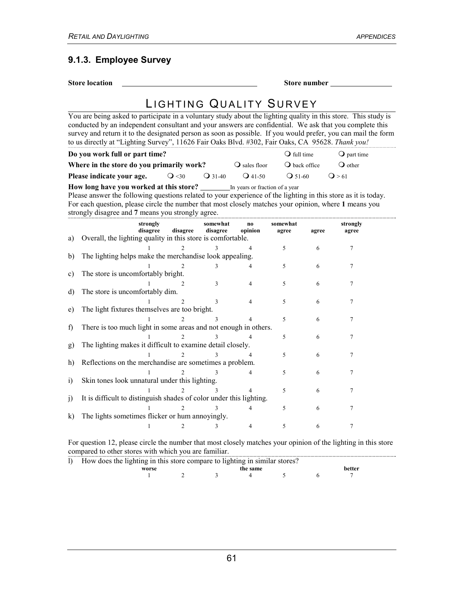# **9.1.3. Employee Survey**

|    | <b>Store location</b>                                                                                                                                                                                                                                                                                                                                                                                                                           |             | <b>Store number</b>     |                        |                      |       |                                 |  |
|----|-------------------------------------------------------------------------------------------------------------------------------------------------------------------------------------------------------------------------------------------------------------------------------------------------------------------------------------------------------------------------------------------------------------------------------------------------|-------------|-------------------------|------------------------|----------------------|-------|---------------------------------|--|
|    |                                                                                                                                                                                                                                                                                                                                                                                                                                                 |             | LIGHTING QUALITY SURVEY |                        |                      |       |                                 |  |
|    | You are being asked to participate in a voluntary study about the lighting quality in this store. This study is<br>conducted by an independent consultant and your answers are confidential. We ask that you complete this<br>survey and return it to the designated person as soon as possible. If you would prefer, you can mail the form<br>to us directly at "Lighting Survey", 11626 Fair Oaks Blvd. #302, Fair Oaks, CA 95628. Thank you! |             |                         |                        |                      |       |                                 |  |
|    | Do you work full or part time?                                                                                                                                                                                                                                                                                                                                                                                                                  |             |                         |                        | $\bigcirc$ full time |       | $\mathbf{\mathsf{Q}}$ part time |  |
|    | Where in the store do you primarily work?                                                                                                                                                                                                                                                                                                                                                                                                       |             |                         | $\bigcirc$ sales floor | O back office        |       | $\mathbf{\odot}$ other          |  |
|    | Please indicate your age.                                                                                                                                                                                                                                                                                                                                                                                                                       | $Q \leq 30$ | $Q$ 31-40               | $Q$ 41-50              | $Q$ 51-60            |       | Q > 61                          |  |
|    | How long have you worked at this store? _________ In years or fraction of a year<br>Please answer the following questions related to your experience of the lighting in this store as it is today.<br>For each question, please circle the number that most closely matches your opinion, where 1 means you<br>strongly disagree and 7 means you strongly agree.                                                                                |             |                         |                        |                      |       |                                 |  |
|    | strongly                                                                                                                                                                                                                                                                                                                                                                                                                                        |             | somewhat                | no                     | somewhat             |       | strongly                        |  |
| a) | disagree<br>Overall, the lighting quality in this store is comfortable.                                                                                                                                                                                                                                                                                                                                                                         | disagree    | disagree                | opinion                | agree                | agree | agree                           |  |
| b) | The lighting helps make the merchandise look appealing.                                                                                                                                                                                                                                                                                                                                                                                         |             |                         | 4                      | 5                    | 6     | 7                               |  |
|    |                                                                                                                                                                                                                                                                                                                                                                                                                                                 |             | 3                       | 4                      | 5                    | 6     | 7                               |  |
| c) | The store is uncomfortably bright.                                                                                                                                                                                                                                                                                                                                                                                                              |             |                         |                        |                      |       |                                 |  |
| d) | The store is uncomfortably dim.                                                                                                                                                                                                                                                                                                                                                                                                                 |             | 3                       | 4                      | 5                    | 6     | 7                               |  |
| e) | The light fixtures themselves are too bright.                                                                                                                                                                                                                                                                                                                                                                                                   |             | 3                       | 4                      | 5                    | 6     | 7                               |  |
| f) | There is too much light in some areas and not enough in others.                                                                                                                                                                                                                                                                                                                                                                                 | 2           |                         | 4                      | 5                    | 6     | 7                               |  |
| g) | The lighting makes it difficult to examine detail closely.                                                                                                                                                                                                                                                                                                                                                                                      |             |                         | 4                      | 5                    | 6     | 7                               |  |
| h) | Reflections on the merchandise are sometimes a problem.                                                                                                                                                                                                                                                                                                                                                                                         |             |                         | 4                      | 5                    | 6     | 7                               |  |
|    |                                                                                                                                                                                                                                                                                                                                                                                                                                                 |             | 3                       | 4                      | 5                    | 6     | 7                               |  |
| i) | Skin tones look unnatural under this lighting.                                                                                                                                                                                                                                                                                                                                                                                                  |             |                         |                        | 5                    | 6     | 7                               |  |
| j) | It is difficult to distinguish shades of color under this lighting.                                                                                                                                                                                                                                                                                                                                                                             |             |                         |                        |                      |       |                                 |  |
| k) | The lights sometimes flicker or hum annoyingly.                                                                                                                                                                                                                                                                                                                                                                                                 |             |                         | 4                      | 5                    | 6     | 7                               |  |
|    |                                                                                                                                                                                                                                                                                                                                                                                                                                                 | 2           | 3                       | 4                      | 5                    | 6     | $\tau$                          |  |

For question 12, please circle the number that most closely matches your opinion of the lighting in this store compared to other stores with which you are familiar. ....

| How does the lighting in this store compare to lighting in similar stores? |  |          |  |        |  |
|----------------------------------------------------------------------------|--|----------|--|--------|--|
| worse                                                                      |  | the same |  | better |  |
|                                                                            |  |          |  |        |  |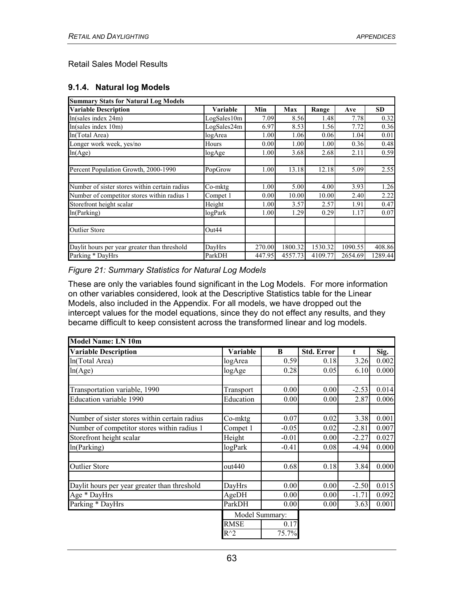### Retail Sales Model Results

### **9.1.4. Natural log Models**

| <b>Summary Stats for Natural Log Models</b>   |             |        |         |         |         |           |  |  |  |  |
|-----------------------------------------------|-------------|--------|---------|---------|---------|-----------|--|--|--|--|
| <b>Variable Description</b>                   | Variable    | Min    | Max     | Range   | Ave     | <b>SD</b> |  |  |  |  |
| ln(sales index 24m)                           | LogSales10m | 7.09   | 8.56    | 1.48    | 7.78    | 0.32      |  |  |  |  |
| ln(sales index 10m)                           | LogSales24m | 6.97   | 8.53    | 1.56    | 7.72    | 0.36      |  |  |  |  |
| ln(Total Area)                                | logArea     | 1.00   | 1.06    | 0.06    | 1.04    | 0.01      |  |  |  |  |
| Longer work week, yes/no                      | Hours       | 0.00   | 1.00    | 1.00    | 0.36    | 0.48      |  |  |  |  |
| ln(Age)                                       | logAge      | 1.00   | 3.68    | 2.68    | 2.11    | 0.59      |  |  |  |  |
|                                               |             |        |         |         |         |           |  |  |  |  |
| Percent Population Growth, 2000-1990          | PopGrow     | 1.00   | 13.18   | 12.18   | 5.09    | 2.55      |  |  |  |  |
|                                               |             |        |         |         |         |           |  |  |  |  |
| Number of sister stores within certain radius | Co-mktg     | 1.00   | 5.00    | 4.00    | 3.93    | 1.26      |  |  |  |  |
| Number of competitor stores within radius 1   | Compet 1    | 0.00   | 10.00   | 10.00   | 2.40    | 2.22      |  |  |  |  |
| Storefront height scalar                      | Height      | 1.00   | 3.57    | 2.57    | 1.91    | 0.47      |  |  |  |  |
| ln(Parking)                                   | logPark     | 1.00   | 1.29    | 0.29    | 1.17    | 0.07      |  |  |  |  |
|                                               |             |        |         |         |         |           |  |  |  |  |
| <b>Outlier Store</b>                          | Out44       |        |         |         |         |           |  |  |  |  |
| Daylit hours per year greater than threshold  | DayHrs      | 270.00 | 1800.32 | 1530.32 | 1090.55 | 408.86    |  |  |  |  |
| Parking * DayHrs                              | ParkDH      | 447.95 | 4557.73 | 4109.77 | 2654.69 | 1289.44   |  |  |  |  |

#### *Figure 21: Summary Statistics for Natural Log Models*

These are only the variables found significant in the Log Models. For more information on other variables considered, look at the Descriptive Statistics table for the Linear Models, also included in the Appendix. For all models, we have dropped out the intercept values for the model equations, since they do not effect any results, and they became difficult to keep consistent across the transformed linear and log models.

| <b>Model Name: LN 10m</b>                     |                |         |                   |         |       |
|-----------------------------------------------|----------------|---------|-------------------|---------|-------|
| <b>Variable Description</b>                   | Variable       | B       | <b>Std. Error</b> | t       | Sig.  |
| ln(Total Area)                                | logArea        | 0.59    | 0.18              | 3.26    | 0.002 |
| ln(Age)                                       | logAge         | 0.28    | 0.05              | 6.10    | 0.000 |
| Transportation variable, 1990                 | Transport      | 0.00    | 0.00              | $-2.53$ | 0.014 |
| Education variable 1990                       | Education      | 0.00    | 0.00              | 2.87    | 0.006 |
| Number of sister stores within certain radius | Co-mktg        | 0.07    | 0.02              | 3.38    | 0.001 |
| Number of competitor stores within radius 1   | Compet 1       | $-0.05$ | 0.02              | $-2.81$ | 0.007 |
| Storefront height scalar                      | Height         | $-0.01$ | 0.00              | $-2.27$ | 0.027 |
| ln(Parking)                                   | logPark        | $-0.41$ | 0.08              | $-4.94$ | 0.000 |
| <b>Outlier Store</b>                          | out440         | 0.68    | 0.18              | 3.84    | 0.000 |
| Daylit hours per year greater than threshold  | DayHrs         | 0.00    | 0.00              | $-2.50$ | 0.015 |
| Age * DayHrs                                  | AgeDH          | 0.00    | 0.00              | $-1.71$ | 0.092 |
| Parking * DayHrs                              | ParkDH         | 0.00    | 0.00              | 3.63    | 0.001 |
|                                               | Model Summary: |         |                   |         |       |
|                                               | <b>RMSE</b>    | 0.17    |                   |         |       |
|                                               | $R^{\wedge}2$  | 75.7%   |                   |         |       |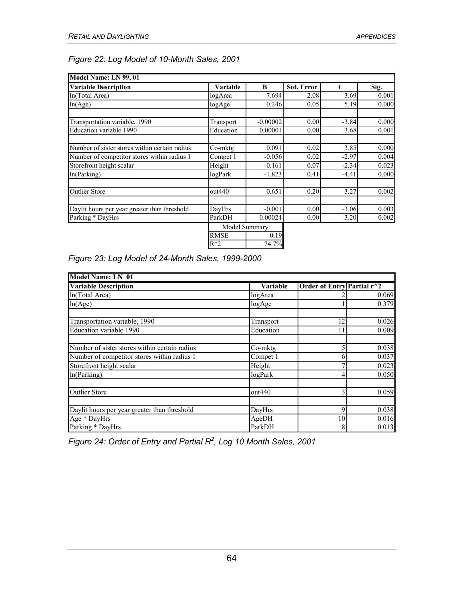| <b>Variable Description</b>                   | Variable       | B          | <b>Std. Error</b> | t       | Sig.  |
|-----------------------------------------------|----------------|------------|-------------------|---------|-------|
| ln(Total Area)                                | logArea        | 7.694      | 2.08              | 3.69    | 0.001 |
| ln(Age)                                       | logAge         | 0.246      | 0.05              | 5.19    | 0.000 |
| Transportation variable, 1990                 | Transport      | $-0.00002$ | 0.00              | $-3.84$ | 0.000 |
| Education variable 1990                       | Education      | 0.00001    | 0.00              | 3.68    | 0.001 |
| Number of sister stores within certain radius | Co-mktg        | 0.091      | 0.02              | 3.85    | 0.000 |
| Number of competitor stores within radius 1   | Compet 1       | $-0.056$   | 0.02              | $-2.97$ | 0.004 |
| Storefront height scalar                      | Height         | $-0.161$   | 0.07              | $-2.34$ | 0.023 |
| ln(Parking)                                   | logPark        | $-1.823$   | 0.41              | $-4.41$ | 0.000 |
| <b>Outlier Store</b>                          | out440         | 0.651      | 0.20              | 3.27    | 0.002 |
| Daylit hours per year greater than threshold  | DayHrs         | $-0.001$   | 0.00              | $-3.06$ | 0.003 |
| Parking * DayHrs                              | ParkDH         | 0.00024    | 0.00              | 3.20    | 0.002 |
|                                               | Model Summary: |            |                   |         |       |
|                                               | <b>RMSE</b>    | 0.19       |                   |         |       |
|                                               | $R^{\wedge}2$  | 74.7%      |                   |         |       |

## *Figure 22: Log Model of 10-Month Sales, 2001*

*Figure 23: Log Model of 24-Month Sales, 1999-2000* 

| <b>Model Name: LN 01</b>                      |           |    |                            |  |  |  |  |
|-----------------------------------------------|-----------|----|----------------------------|--|--|--|--|
| <b>Variable Description</b>                   | Variable  |    | Order of Entry Partial r^2 |  |  |  |  |
| In(Total Area)                                | logArea   |    | 0.069                      |  |  |  |  |
| ln(Age)                                       | logAge    |    | 0.379                      |  |  |  |  |
| Transportation variable, 1990                 | Transport | 12 | 0.026                      |  |  |  |  |
| <b>Education variable 1990</b>                | Education | 11 | 0.009                      |  |  |  |  |
| Number of sister stores within certain radius | Co-mktg   |    | 0.038                      |  |  |  |  |
| Number of competitor stores within radius 1   | Compet 1  | b  | 0.037                      |  |  |  |  |
| Storefront height scalar                      | Height    |    | 0.023                      |  |  |  |  |
| ln(Parking)                                   | logPark   |    | 0.050                      |  |  |  |  |
| <b>Outlier Store</b>                          | out440    |    | 0.059                      |  |  |  |  |
| Daylit hours per year greater than threshold  | DayHrs    | 9  | 0.038                      |  |  |  |  |
| Age * DayHrs                                  | AgeDH     | 10 | 0.016                      |  |  |  |  |
| Parking * DayHrs                              | ParkDH    | 8  | 0.013                      |  |  |  |  |

Figure 24: Order of Entry and Partial R<sup>2</sup>, Log 10 Month Sales, 2001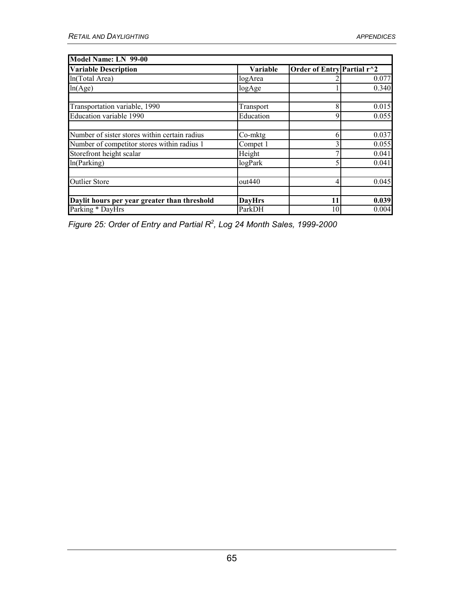| Model Name: LN 99-00                          |               |                            |       |
|-----------------------------------------------|---------------|----------------------------|-------|
| <b>Variable Description</b>                   | Variable      | Order of Entry Partial r^2 |       |
| ln(Total Area)                                | logArea       |                            | 0.077 |
| ln(Age)                                       | logAge        |                            | 0.340 |
| Transportation variable, 1990                 | Transport     | 8                          | 0.015 |
| <b>Education variable 1990</b>                | Education     | 9                          | 0.055 |
| Number of sister stores within certain radius | Co-mktg       | 6                          | 0.037 |
| Number of competitor stores within radius 1   | Compet 1      | 3                          | 0.055 |
| Storefront height scalar                      | Height        | 7                          | 0.041 |
| ln(Parking)                                   | logPark       | 5                          | 0.041 |
| <b>Outlier Store</b>                          | out440        | 4                          | 0.045 |
| Daylit hours per year greater than threshold  | <b>DayHrs</b> | 11                         | 0.039 |
| Parking * DayHrs                              | ParkDH        | 10                         | 0.004 |

*Figure 25: Order of Entry and Partial R2 , Log 24 Month Sales, 1999-2000*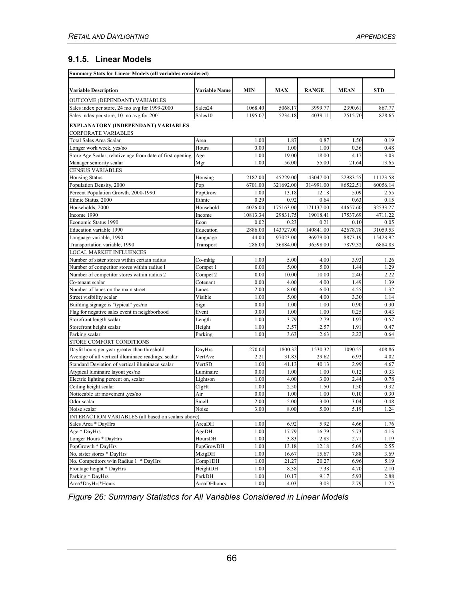## **9.1.5. Linear Models**

| <b>Summary Stats for Linear Models (all variables considered)</b>    |                     |              |                |                |              |              |  |  |
|----------------------------------------------------------------------|---------------------|--------------|----------------|----------------|--------------|--------------|--|--|
|                                                                      |                     |              |                |                |              |              |  |  |
| <b>Variable Description</b>                                          | Variable Name       | <b>MIN</b>   | <b>MAX</b>     | <b>RANGE</b>   | MEAN         | <b>STD</b>   |  |  |
| OUTCOME (DEPENDANT) VARIABLES                                        |                     |              |                |                |              |              |  |  |
| Sales index per store, 24 mo avg for 1999-2000                       | Sales24             | 1068.40      | 5068.17        | 3999.77        | 2390.61      | 867.77       |  |  |
| Sales index per store, 10 mo avg for 2001                            | Sales10             | 1195.07      | 5234.18        | 4039.11        | 2515.70      | 828.65       |  |  |
| <b>EXPLANATORY (INDEPENDANT) VARIABLES</b>                           |                     |              |                |                |              |              |  |  |
| <b>CORPORATE VARIABLES</b>                                           |                     |              |                |                |              |              |  |  |
| Total Sales Area Scalar                                              | Area                | 1.00         | 1.87           | 0.87           | 1.50         | 0.19         |  |  |
| Longer work week, yes/no                                             | Hours               | 0.00         | 1.00           | 1.00           | 0.36         | 0.48         |  |  |
| Store Age Scalar, relative age from date of first opening            | Age                 | 1.00         | 19.00          | 18.00          | 4.17         | 3.03         |  |  |
| Manager seniority scalar                                             | Mgr                 | 1.00         | 56.00          | 55.00          | 21.64        | 13.65        |  |  |
| <b>CENSUS VARIABLES</b>                                              |                     |              |                |                |              |              |  |  |
| <b>Housing Status</b>                                                | Housing             | 2182.00      | 45229.00       | 43047.00       | 22983.55     | 11123.58     |  |  |
| Population Density, 2000                                             | Pop                 | 6701.00      | 321692.00      | 314991.00      | 86522.51     | 60056.14     |  |  |
| Percent Population Growth, 2000-1990                                 | PopGrow             | 1.00         | 13.18          | 12.18          | 5.09         | 2.55         |  |  |
| Ethnic Status, 2000                                                  | Ethnic              | 0.29         | 0.92           | 0.64           | 0.63         | 0.15         |  |  |
| Households, 2000                                                     | Household           | 4026.00      | 175163.00      | 171137.00      | 44657.60     | 32533.27     |  |  |
| Income 1990                                                          | Income              | 10813.34     | 29831.75       | 19018.41       | 17537.69     | 4711.22      |  |  |
| Economic Status 1990                                                 | Econ                | 0.02         | 0.23           | 0.21           | 0.10         | 0.05         |  |  |
| Education variable 1990                                              | Education           | 2886.00      | 143727.00      | 140841.00      | 42678.78     | 31059.53     |  |  |
| Language variable, 1990                                              | Language            | 44.00        | 97023.00       | 96979.00       | 8873.19      | 15428.92     |  |  |
| Transportation variable, 1990                                        | Transport           | 286.00       | 36884.00       | 36598.00       | 7879.32      | 6884.83      |  |  |
| LOCAL MARKET INFLUENCES                                              |                     |              |                |                |              |              |  |  |
| Number of sister stores within certain radius                        | Co-mktg             | 1.00         | 5.00           | 4.00           | 3.93         | 1.26         |  |  |
| Number of competitor stores within radius 1                          | Compet 1            | 0.00         | 5.00           | 5.00           | 1.44         | 1.29         |  |  |
| Number of competitor stores within radius 2                          | Compet 2            | 0.00         | 10.00          | 10.00          | 2.40         | 2.22         |  |  |
| Co-tenant scalar                                                     | Cotenant            | 0.00         | 4.00           | 4.00           | 1.49         | 1.39         |  |  |
| Number of lanes on the main street                                   | Lanes               | 2.00         | 8.00           | 6.00           | 4.55         | 1.32         |  |  |
| Street visibility scalar                                             | Visible             | 1.00         | 5.00           | 4.00           | 3.30         | 1.14         |  |  |
| Building signage is "typical" yes/no                                 | Sign                | 0.00         | 1.00           | 1.00           | 0.90         | 0.30         |  |  |
| Flag for negative sales event in neighborhood                        | Event               | 0.00         | 1.00           | 1.00           | 0.25         | 0.43         |  |  |
| Storefront length scalar                                             | Length              | 1.00         | 3.79           | 2.79           | 1.97         | 0.57         |  |  |
| Storefront height scalar                                             | Height              | 1.00         | 3.57           | 2.57           | 1.91         | 0.47         |  |  |
| Parking scalar                                                       | Parking             | 1.00         | 3.63           | 2.63           | 2.22         | 0.64         |  |  |
| STORE COMFORT CONDITIONS                                             |                     |              |                |                |              |              |  |  |
| Daylit hours per year greater than threshold                         | DayHrs              | 270.00       | 1800.32        | 1530.32        | 1090.55      | 408.86       |  |  |
| Average of all vertical illuminace readings, scalar                  | VertAve             | 2.21         | 31.83          | 29.62          | 6.93         | 4.02         |  |  |
| Standard Deviation of vertical illuminace scalar                     | VertSD              | 1.00         | 41.13          | 40.13          | 2.99         | 4.67         |  |  |
| Atypical luminaire layout yes/no                                     | Luminaire           | 0.00         | 1.00           | 1.00           | 0.12         | 0.33         |  |  |
| Electric lighting percent on, scalar                                 | Lightson            | 1.00         | 4.00           | 3.00           | 2.44         | 0.78         |  |  |
| Ceiling height scalar                                                | ClgHt               | 1.00         | 2.50           | 1.50           | 1.50         | 0.32         |  |  |
| Noticeable air movement , yes/no                                     | Air                 | 0.00         | 1.00           | 1.00           | 0.10         | 0.30         |  |  |
| Odor scalar                                                          | Smell               | 2.00         | 5.00           | 3.00           | 3.04         | 0.48         |  |  |
| Noise scalar                                                         | Noise               | 3.00         | 8.00           | 5.00           | 5.19         | 1.24         |  |  |
| INTERACTION VARIABLES (all based on scalars above)                   |                     |              |                |                |              |              |  |  |
| Sales Area * DayHrs                                                  | AreaDH              | 1.00         | 6.92           | 5.92           | 4.66         | 1.76         |  |  |
| Age * DayHrs                                                         | AgeDH               | 1.00         | 17.79          | 16.79          | 5.73         | 4.13         |  |  |
| Longer Hours * DayHrs                                                | HoursDH             | 1.00         | 3.83           | 2.83           | 2.71         | 1.19         |  |  |
| PopGrowth * DayHrs                                                   | PopGrowDH<br>MktgDH | 1.00         | 13.18          | 12.18          | 5.09         | 2.55         |  |  |
| No. sister stores * DayHrs<br>No. Competitors w/in Radius 1 * DayHrs | Comp1DH             | 1.00<br>1.00 | 16.67<br>21.27 | 15.67<br>20.27 | 7.88<br>6.96 | 3.69<br>5.19 |  |  |
|                                                                      |                     |              |                |                |              |              |  |  |
| Frontage height * DayHrs<br>Parking * DayHrs                         | HeightDH<br>ParkDH  | 1.00<br>1.00 | 8.38<br>10.17  | 7.38<br>9.17   | 4.70<br>5.93 | 2.10         |  |  |
| Area*DayHrs*Hours                                                    | AreaDHhours         | 1.00         | 4.03           | 3.03           | 2.79         | 2.88<br>1.25 |  |  |
|                                                                      |                     |              |                |                |              |              |  |  |

*Figure 26: Summary Statistics for All Variables Considered in Linear Models*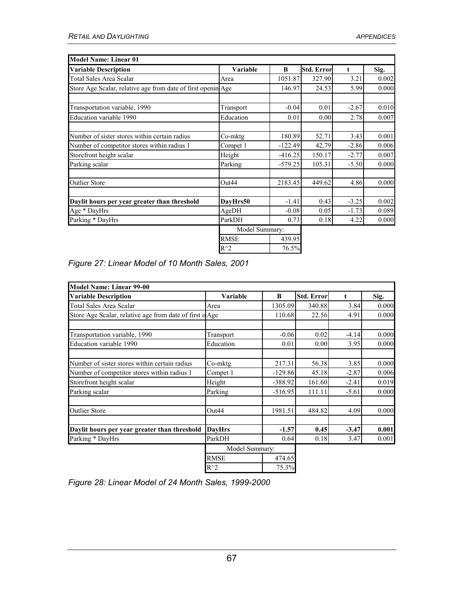| <b>Model Name: Linear 01</b>                                 |                |           |                   |         |       |
|--------------------------------------------------------------|----------------|-----------|-------------------|---------|-------|
| <b>Variable Description</b>                                  | Variable       | B         | <b>Std. Error</b> | t       | Sig.  |
| <b>Total Sales Area Scalar</b>                               | Area           | 1051.87   | 327.90            | 3.21    | 0.002 |
| Store Age Scalar, relative age from date of first openin Age |                | 146.97    | 24.53             | 5.99    | 0.000 |
| Transportation variable, 1990                                | Transport      | $-0.04$   | 0.01              | $-2.67$ | 0.010 |
| Education variable 1990                                      | Education      | 0.01      | 0.00              | 2.78    | 0.007 |
| Number of sister stores within certain radius                | Co-mktg        | 180.89    | 52.71             | 3.43    | 0.001 |
| Number of competitor stores within radius 1                  | Compet 1       | $-122.49$ | 42.79             | $-2.86$ | 0.006 |
| Storefront height scalar                                     | Height         | $-416.25$ | 150.17            | $-2.77$ | 0.007 |
| Parking scalar                                               | Parking        | $-579.25$ | 105.31            | $-5.50$ | 0.000 |
| <b>Outlier Store</b>                                         | Out44          | 2183.45   | 449.62            | 4.86    | 0.000 |
| Daylit hours per year greater than threshold                 | DayHrs50       | $-1.41$   | 0.43              | $-3.25$ | 0.002 |
| Age * DayHrs                                                 | AgeDH          | $-0.08$   | 0.05              | $-1.73$ | 0.089 |
| Parking * DayHrs                                             | ParkDH         | 0.73      | 0.18              | 4.22    | 0.000 |
|                                                              | Model Summary: |           |                   |         |       |
|                                                              | <b>RMSE</b>    | 439.95    |                   |         |       |
|                                                              | $R^{\wedge}2$  | 76.5%     |                   |         |       |

*Figure 27: Linear Model of 10 Month Sales, 2001* 

| <b>Model Name: Linear 99-00</b>                         |                |           |                   |         |       |
|---------------------------------------------------------|----------------|-----------|-------------------|---------|-------|
| <b>Variable Description</b>                             | Variable       | B         | <b>Std. Error</b> | t       | Sig.  |
| <b>Total Sales Area Scalar</b>                          | Area           | 1305.09   | 340.88            | 3.84    | 0.000 |
| Store Age Scalar, relative age from date of first o Age |                | 110.68    | 22.56             | 4.91    | 0.000 |
| Transportation variable, 1990                           | Transport      | $-0.06$   | 0.02              | $-4.14$ | 0.000 |
| Education variable 1990                                 | Education      | 0.01      | 0.00              | 3.95    | 0.000 |
| Number of sister stores within certain radius           | Co-mktg        | 217.31    | 56.38             | 3.85    | 0.000 |
| Number of competitor stores within radius 1             | Compet 1       | $-129.86$ | 45.18             | $-2.87$ | 0.006 |
| Storefront height scalar                                | Height         | $-388.92$ | 161.60            | $-2.41$ | 0.019 |
| Parking scalar                                          | Parking        | $-516.95$ | 111.11            | $-5.61$ | 0.000 |
| <b>Outlier Store</b>                                    | Out44          | 1981.51   | 484.82            | 4.09    | 0.000 |
| Daylit hours per year greater than threshold            | <b>DavHrs</b>  | $-1.57$   | 0.45              | $-3.47$ | 0.001 |
| Parking * DayHrs                                        | ParkDH         | 0.64      | 0.18              | 3.47    | 0.001 |
|                                                         | Model Summary: |           |                   |         |       |
|                                                         | <b>RMSE</b>    | 474.65    |                   |         |       |
|                                                         | $R^{\wedge}2$  | 75.3%     |                   |         |       |

*Figure 28: Linear Model of 24 Month Sales, 1999-2000*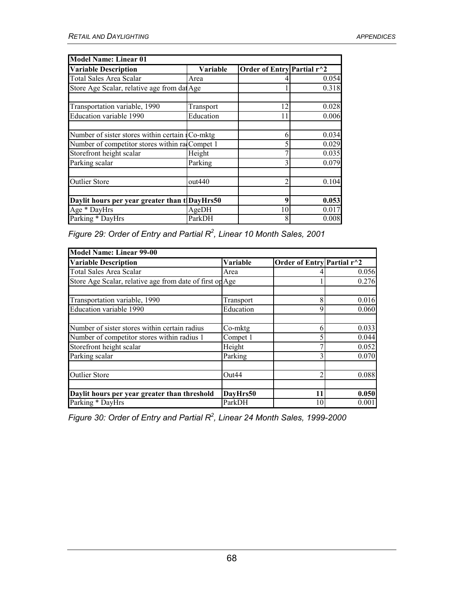| <b>Model Name: Linear 01</b>                   |           |                            |       |  |  |
|------------------------------------------------|-----------|----------------------------|-------|--|--|
| <b>Variable Description</b>                    | Variable  | Order of Entry Partial r^2 |       |  |  |
| <b>Total Sales Area Scalar</b>                 | Area      |                            | 0.054 |  |  |
| Store Age Scalar, relative age from dat Age    |           |                            | 0.318 |  |  |
| Transportation variable, 1990                  | Transport | 12                         | 0.028 |  |  |
| Education variable 1990                        | Education | 11                         | 0.006 |  |  |
| Number of sister stores within certain Co-mktg |           | 6                          | 0.034 |  |  |
| Number of competitor stores within ra Compet 1 |           |                            | 0.029 |  |  |
| Storefront height scalar                       | Height    |                            | 0.035 |  |  |
| Parking scalar                                 | Parking   |                            | 0.079 |  |  |
| <b>Outlier Store</b>                           | out440    |                            | 0.104 |  |  |
| Daylit hours per year greater than t DayHrs50  |           | q                          | 0.053 |  |  |
| Age * DayHrs                                   | AgeDH     | 10                         | 0.017 |  |  |
| Parking * DayHrs                               | ParkDH    | 8                          | 0.008 |  |  |

*Figure 29: Order of Entry and Partial R2 , Linear 10 Month Sales, 2001* 

| <b>Model Name: Linear 99-00</b>                          |           |                            |       |  |
|----------------------------------------------------------|-----------|----------------------------|-------|--|
| <b>Variable Description</b>                              | Variable  | Order of Entry Partial r^2 |       |  |
| <b>Total Sales Area Scalar</b>                           | Area      |                            | 0.056 |  |
| Store Age Scalar, relative age from date of first op Age |           |                            | 0.276 |  |
| Transportation variable, 1990                            | Transport | 8                          | 0.016 |  |
| Education variable 1990                                  | Education | 9                          | 0.060 |  |
| Number of sister stores within certain radius            | Co-mktg   | h.                         | 0.033 |  |
| Number of competitor stores within radius 1              | Compet 1  |                            | 0.044 |  |
| Storefront height scalar                                 | Height    |                            | 0.052 |  |
| Parking scalar                                           | Parking   |                            | 0.070 |  |
| <b>Outlier Store</b>                                     | Out44     | $\overline{2}$             | 0.088 |  |
| Daylit hours per year greater than threshold             | DayHrs50  | 11                         | 0.050 |  |
| Parking * DayHrs                                         | ParkDH    | 10                         | 0.001 |  |

Figure 30: Order of Entry and Partial R<sup>2</sup>, Linear 24 Month Sales, 1999-2000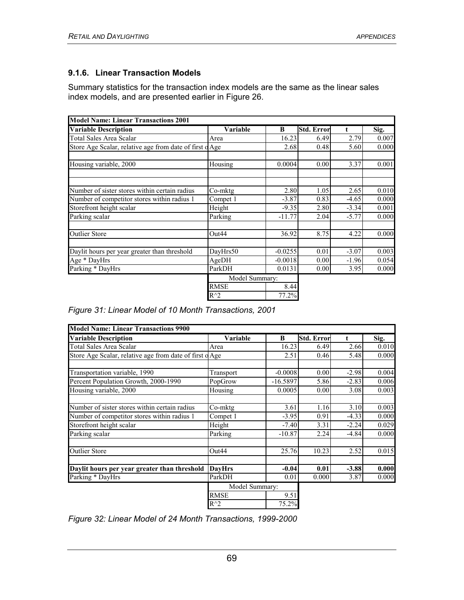## **9.1.6. Linear Transaction Models**

Summary statistics for the transaction index models are the same as the linear sales index models, and are presented earlier in Figure 26.

| <b>Model Name: Linear Transactions 2001</b>              |                 |           |                   |         |       |  |
|----------------------------------------------------------|-----------------|-----------|-------------------|---------|-------|--|
| <b>Variable Description</b>                              | <b>Variable</b> | B         | <b>Std. Error</b> | t.      | Sig.  |  |
| Total Sales Area Scalar                                  | Area            | 16.23     | 6.49              | 2.79    | 0.007 |  |
| Store Age Scalar, relative age from date of first of Age |                 | 2.68      | 0.48              | 5.60    | 0.000 |  |
| Housing variable, 2000                                   | Housing         | 0.0004    | 0.00              | 3.37    | 0.001 |  |
| Number of sister stores within certain radius            | Co-mktg         | 2.80      | 1.05              | 2.65    | 0.010 |  |
| Number of competitor stores within radius 1              | Compet 1        | $-3.87$   | 0.83              | $-4.65$ | 0.000 |  |
| Storefront height scalar                                 | Height          | $-9.35$   | 2.80              | $-3.34$ | 0.001 |  |
| Parking scalar                                           | Parking         | $-11.77$  | 2.04              | $-5.77$ | 0.000 |  |
| <b>Outlier Store</b>                                     | Out44           | 36.92     | 8.75              | 4.22    | 0.000 |  |
| Daylit hours per year greater than threshold             | DayHrs50        | $-0.0255$ | 0.01              | $-3.07$ | 0.003 |  |
| Age * DayHrs                                             | AgeDH           | $-0.0018$ | 0.00              | $-1.96$ | 0.054 |  |
| Parking * DayHrs                                         | ParkDH          | 0.0131    | 0.00              | 3.95    | 0.000 |  |
|                                                          | Model Summary:  |           |                   |         |       |  |
|                                                          | <b>RMSE</b>     | 8.44      |                   |         |       |  |
|                                                          | $R^{\wedge}2$   | 77.2%     |                   |         |       |  |

*Figure 31: Linear Model of 10 Month Transactions, 2001* 

| <b>Model Name: Linear Transactions 9900</b>             |                 |            |                   |         |               |
|---------------------------------------------------------|-----------------|------------|-------------------|---------|---------------|
| <b>Variable Description</b>                             | <b>Variable</b> | B          | <b>Std. Error</b> | t       | Sig.<br>0.010 |
| Total Sales Area Scalar                                 | Area            | 16.23      | 6.49              | 2.66    |               |
| Store Age Scalar, relative age from date of first o Age |                 | 2.51       | 0.46              | 5.48    | 0.000         |
| Transportation variable, 1990                           | Transport       | $-0.0008$  | 0.00              | $-2.98$ | 0.004         |
| Percent Population Growth, 2000-1990                    | PopGrow         | $-16.5897$ | 5.86              | $-2.83$ | 0.006         |
| Housing variable, 2000                                  | Housing         | 0.0005     | 0.00              | 3.08    | 0.003         |
| Number of sister stores within certain radius           | Co-mktg         | 3.61       | 1.16              | 3.10    | 0.003         |
| Number of competitor stores within radius 1             | Compet 1        | $-3.95$    | 0.91              | $-4.33$ | 0.000         |
| Storefront height scalar                                | Height          | $-7.40$    | 3.31              | $-2.24$ | 0.029         |
| Parking scalar                                          | Parking         | $-10.87$   | 2.24              | $-4.84$ | 0.000         |
| <b>Outlier Store</b>                                    | Out44           | 25.76      | 10.23             | 2.52    | 0.015         |
| Daylit hours per year greater than threshold            | <b>DavHrs</b>   | $-0.04$    | 0.01              | $-3.88$ | 0.000         |
| Parking * DayHrs                                        | ParkDH          | 0.01       | 0.000             | 3.87    | 0.000         |
|                                                         | Model Summary:  |            |                   |         |               |
|                                                         | <b>RMSE</b>     | 9.51       |                   |         |               |
|                                                         | $R^{\wedge}2$   | 75.2%      |                   |         |               |

*Figure 32: Linear Model of 24 Month Transactions, 1999-2000*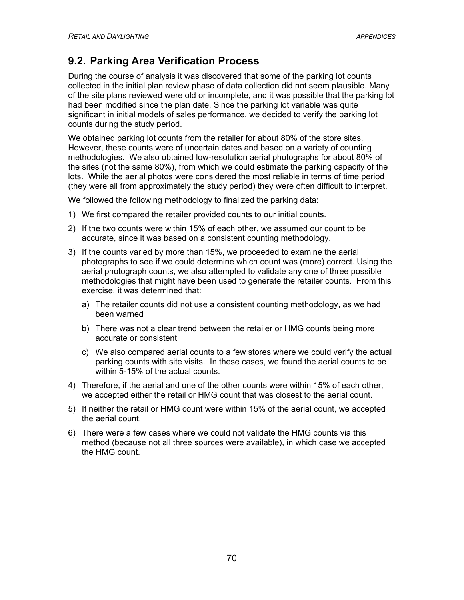# **9.2. Parking Area Verification Process**

During the course of analysis it was discovered that some of the parking lot counts collected in the initial plan review phase of data collection did not seem plausible. Many of the site plans reviewed were old or incomplete, and it was possible that the parking lot had been modified since the plan date. Since the parking lot variable was quite significant in initial models of sales performance, we decided to verify the parking lot counts during the study period.

We obtained parking lot counts from the retailer for about 80% of the store sites. However, these counts were of uncertain dates and based on a variety of counting methodologies. We also obtained low-resolution aerial photographs for about 80% of the sites (not the same 80%), from which we could estimate the parking capacity of the lots. While the aerial photos were considered the most reliable in terms of time period (they were all from approximately the study period) they were often difficult to interpret.

We followed the following methodology to finalized the parking data:

- 1) We first compared the retailer provided counts to our initial counts.
- 2) If the two counts were within 15% of each other, we assumed our count to be accurate, since it was based on a consistent counting methodology.
- 3) If the counts varied by more than 15%, we proceeded to examine the aerial photographs to see if we could determine which count was (more) correct. Using the aerial photograph counts, we also attempted to validate any one of three possible methodologies that might have been used to generate the retailer counts. From this exercise, it was determined that:
	- a) The retailer counts did not use a consistent counting methodology, as we had been warned
	- b) There was not a clear trend between the retailer or HMG counts being more accurate or consistent
	- c) We also compared aerial counts to a few stores where we could verify the actual parking counts with site visits. In these cases, we found the aerial counts to be within 5-15% of the actual counts.
- 4) Therefore, if the aerial and one of the other counts were within 15% of each other, we accepted either the retail or HMG count that was closest to the aerial count.
- 5) If neither the retail or HMG count were within 15% of the aerial count, we accepted the aerial count.
- 6) There were a few cases where we could not validate the HMG counts via this method (because not all three sources were available), in which case we accepted the HMG count.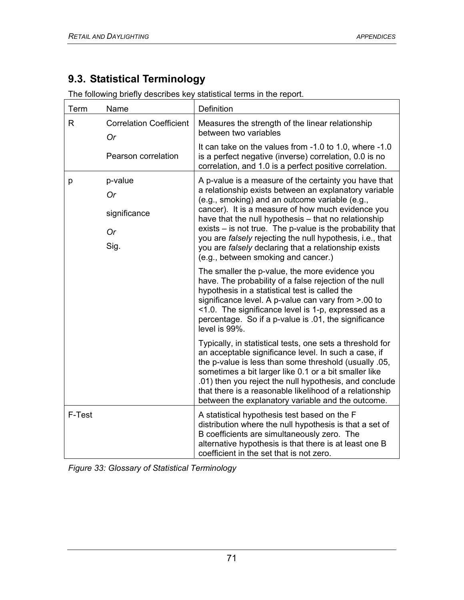# **9.3. Statistical Terminology**

The following briefly describes key statistical terms in the report.

| Term   | Name                                              | Definition                                                                                                                                                                                                                                                                                                                                                                                                    |  |  |
|--------|---------------------------------------------------|---------------------------------------------------------------------------------------------------------------------------------------------------------------------------------------------------------------------------------------------------------------------------------------------------------------------------------------------------------------------------------------------------------------|--|--|
| R.     | <b>Correlation Coefficient</b><br><b>Or</b>       | Measures the strength of the linear relationship<br>between two variables                                                                                                                                                                                                                                                                                                                                     |  |  |
|        | Pearson correlation                               | It can take on the values from -1.0 to 1.0, where -1.0<br>is a perfect negative (inverse) correlation, 0.0 is no<br>correlation, and 1.0 is a perfect positive correlation.                                                                                                                                                                                                                                   |  |  |
| p      | p-value<br><b>Or</b><br>significance<br><b>Or</b> | A p-value is a measure of the certainty you have that<br>a relationship exists between an explanatory variable<br>(e.g., smoking) and an outcome variable (e.g.,<br>cancer). It is a measure of how much evidence you<br>have that the null hypothesis - that no relationship<br>exists - is not true. The p-value is the probability that<br>you are falsely rejecting the null hypothesis, i.e., that       |  |  |
|        | Sig.                                              | you are falsely declaring that a relationship exists<br>(e.g., between smoking and cancer.)                                                                                                                                                                                                                                                                                                                   |  |  |
|        |                                                   | The smaller the p-value, the more evidence you<br>have. The probability of a false rejection of the null<br>hypothesis in a statistical test is called the<br>significance level. A p-value can vary from >.00 to<br><1.0. The significance level is 1-p, expressed as a<br>percentage. So if a p-value is .01, the significance<br>level is 99%.                                                             |  |  |
|        |                                                   | Typically, in statistical tests, one sets a threshold for<br>an acceptable significance level. In such a case, if<br>the p-value is less than some threshold (usually .05,<br>sometimes a bit larger like 0.1 or a bit smaller like<br>.01) then you reject the null hypothesis, and conclude<br>that there is a reasonable likelihood of a relationship<br>between the explanatory variable and the outcome. |  |  |
| F-Test |                                                   | A statistical hypothesis test based on the F<br>distribution where the null hypothesis is that a set of<br>B coefficients are simultaneously zero. The<br>alternative hypothesis is that there is at least one B<br>coefficient in the set that is not zero.                                                                                                                                                  |  |  |

|  |  | Figure 33: Glossary of Statistical Terminology |
|--|--|------------------------------------------------|
|  |  |                                                |